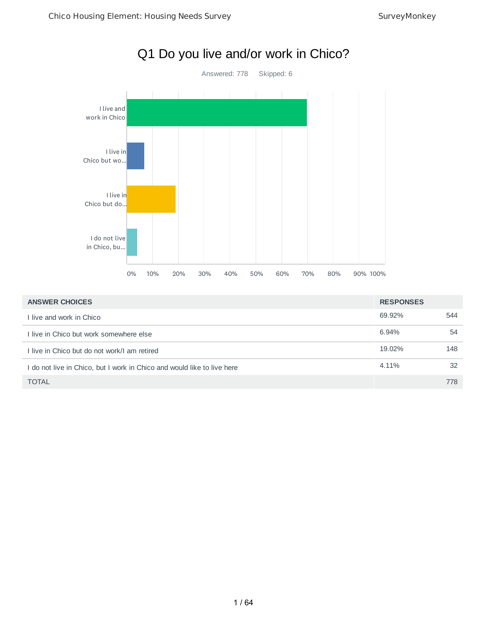

| <b>ANSWER CHOICES</b>                                                 | <b>RESPONSES</b> |     |
|-----------------------------------------------------------------------|------------------|-----|
| live and work in Chico                                                | 69.92%           | 544 |
| I live in Chico but work somewhere else                               | 6.94%            | 54  |
| Llive in Chico but do not work/Lam retired                            | 19.02%           | 148 |
| do not live in Chico, but I work in Chico and would like to live here | 4.11%            | 32  |
| <b>TOTAL</b>                                                          |                  | 778 |

# Q1 Do you live and/or work in Chico?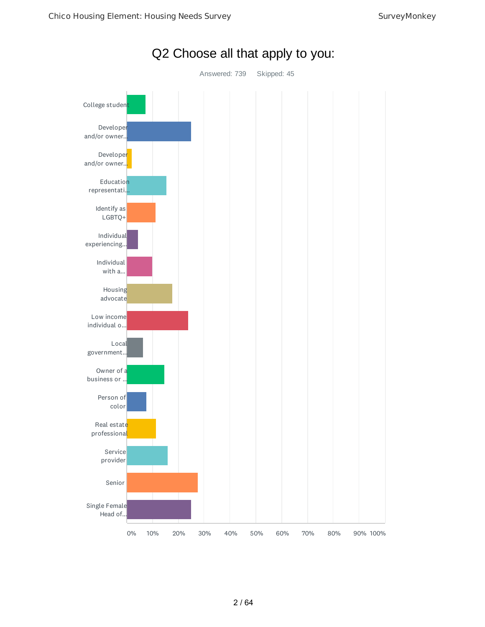

Q2 Choose all that apply to you: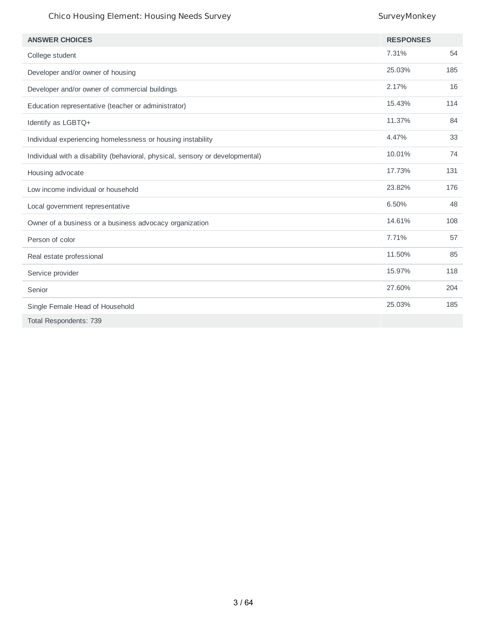| <b>ANSWER CHOICES</b>                                                         | <b>RESPONSES</b> |     |
|-------------------------------------------------------------------------------|------------------|-----|
| College student                                                               | 7.31%            | 54  |
| Developer and/or owner of housing                                             | 25.03%           | 185 |
| Developer and/or owner of commercial buildings                                | 2.17%            | 16  |
| Education representative (teacher or administrator)                           | 15.43%           | 114 |
| Identify as LGBTQ+                                                            | 11.37%           | 84  |
| Individual experiencing homelessness or housing instability                   | 4.47%            | 33  |
| Individual with a disability (behavioral, physical, sensory or developmental) | 10.01%           | 74  |
| Housing advocate                                                              | 17.73%           | 131 |
| Low income individual or household                                            | 23.82%           | 176 |
| Local government representative                                               | 6.50%            | 48  |
| Owner of a business or a business advocacy organization                       | 14.61%           | 108 |
| Person of color                                                               | 7.71%            | 57  |
| Real estate professional                                                      | 11.50%           | 85  |
| Service provider                                                              | 15.97%           | 118 |
| Senior                                                                        | 27.60%           | 204 |
| Single Female Head of Household                                               | 25.03%           | 185 |
| Total Respondents: 739                                                        |                  |     |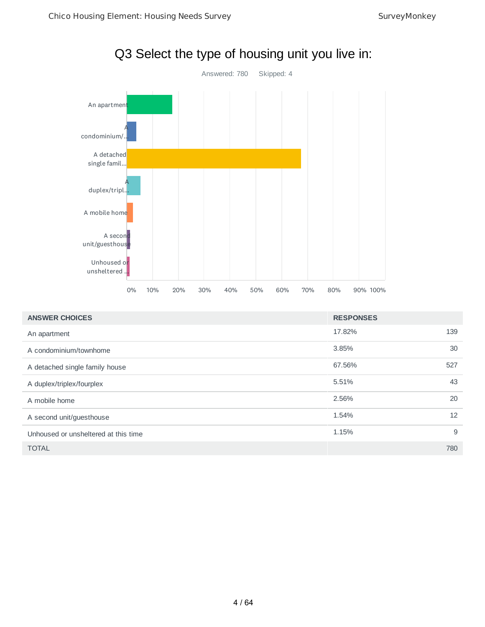

| <b>ANSWER CHOICES</b>                | <b>RESPONSES</b> |     |
|--------------------------------------|------------------|-----|
| An apartment                         | 17.82%           | 139 |
| A condominium/townhome               | 3.85%            | 30  |
| A detached single family house       | 67.56%           | 527 |
| A duplex/triplex/fourplex            | 5.51%            | 43  |
| A mobile home                        | 2.56%            | 20  |
| A second unit/guesthouse             | 1.54%            | 12  |
| Unhoused or unsheltered at this time | 1.15%            | 9   |
| <b>TOTAL</b>                         |                  | 780 |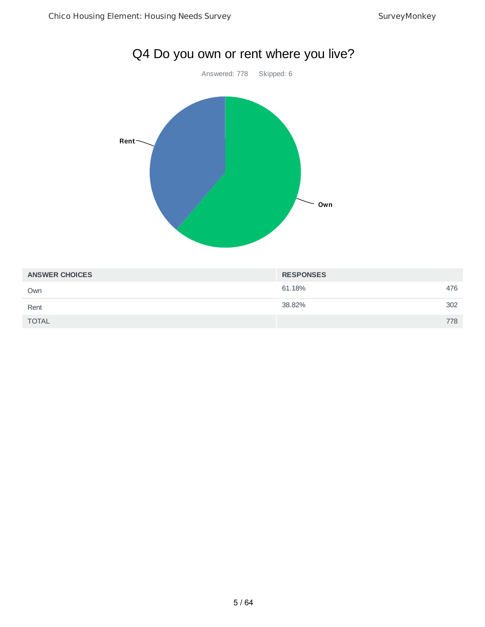

| <b>ANSWER CHOICES</b> | <b>RESPONSES</b> |     |
|-----------------------|------------------|-----|
| Own                   | 61.18%           | 476 |
| Rent                  | 38.82%           | 302 |
| <b>TOTAL</b>          |                  | 778 |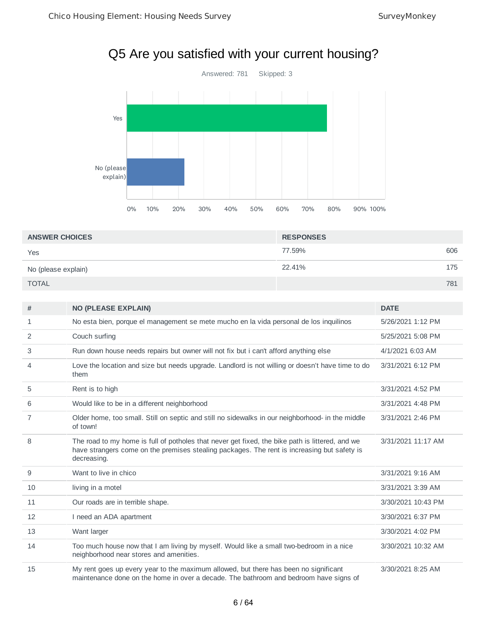# Q5 Are you satisfied with your current housing?



| <b>ANSWER CHOICES</b> | <b>RESPONSES</b> |     |
|-----------------------|------------------|-----|
| Yes                   | 77.59%           | 606 |
| No (please explain)   | 22.41%           | 175 |
| <b>TOTAL</b>          |                  | 781 |

| #  | <b>NO (PLEASE EXPLAIN)</b>                                                                                                                                                                                    | <b>DATE</b>        |
|----|---------------------------------------------------------------------------------------------------------------------------------------------------------------------------------------------------------------|--------------------|
| 1  | No esta bien, porque el management se mete mucho en la vida personal de los inquilinos                                                                                                                        | 5/26/2021 1:12 PM  |
| 2  | Couch surfing                                                                                                                                                                                                 | 5/25/2021 5:08 PM  |
| 3  | Run down house needs repairs but owner will not fix but i can't afford anything else                                                                                                                          | 4/1/2021 6:03 AM   |
| 4  | Love the location and size but needs upgrade. Landlord is not willing or doesn't have time to do<br>them                                                                                                      | 3/31/2021 6:12 PM  |
| 5  | Rent is to high                                                                                                                                                                                               | 3/31/2021 4:52 PM  |
| 6  | Would like to be in a different neighborhood                                                                                                                                                                  | 3/31/2021 4:48 PM  |
| 7  | Older home, too small. Still on septic and still no sidewalks in our neighborhood- in the middle<br>of town!                                                                                                  | 3/31/2021 2:46 PM  |
| 8  | The road to my home is full of potholes that never get fixed, the bike path is littered, and we<br>have strangers come on the premises stealing packages. The rent is increasing but safety is<br>decreasing. | 3/31/2021 11:17 AM |
| 9  | Want to live in chico                                                                                                                                                                                         | 3/31/2021 9:16 AM  |
| 10 | living in a motel                                                                                                                                                                                             | 3/31/2021 3:39 AM  |
| 11 | Our roads are in terrible shape.                                                                                                                                                                              | 3/30/2021 10:43 PM |
| 12 | I need an ADA apartment                                                                                                                                                                                       | 3/30/2021 6:37 PM  |
| 13 | Want larger                                                                                                                                                                                                   | 3/30/2021 4:02 PM  |
| 14 | Too much house now that I am living by myself. Would like a small two-bedroom in a nice<br>neighborhood near stores and amenities.                                                                            | 3/30/2021 10:32 AM |
| 15 | My rent goes up every year to the maximum allowed, but there has been no significant<br>maintenance done on the home in over a decade. The bathroom and bedroom have signs of                                 | 3/30/2021 8:25 AM  |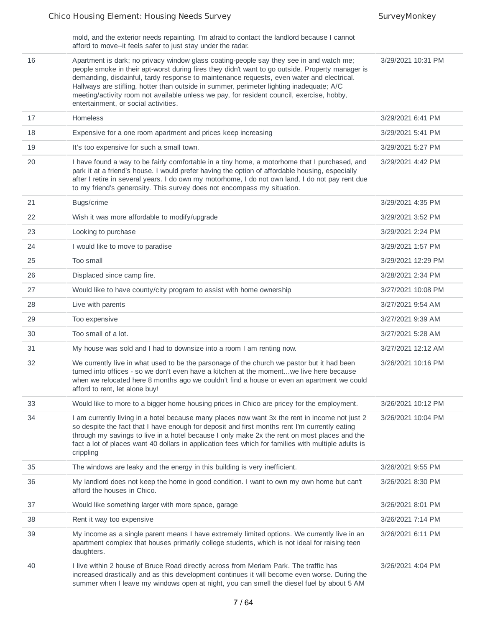mold, and the exterior needs repainting. I'm afraid to contact the landlord because I cannot

afford to move--it feels safer to just stay under the radar. 16 Apartment is dark; no privacy window glass coating-people say they see in and watch me; people smoke in their apt-worst during fires they didn't want to go outside. Property manager is demanding, disdainful, tardy response to maintenance requests, even water and electrical. Hallways are stifling, hotter than outside in summer, perimeter lighting inadequate; A/C meeting/activity room not available unless we pay, for resident council, exercise, hobby, entertainment, or social activities. 3/29/2021 10:31 PM 17 Homeless 3/29/2021 6:41 PM 18 Expensive for a one room apartment and prices keep increasing **18 Expensive 10 S** 3/29/2021 5:41 PM 19 It's too expensive for such a small town. **19** It's too expensive for such a small town. 20 I have found a way to be fairly comfortable in a tiny home, a motorhome that I purchased, and park it at a friend's house. I would prefer having the option of affordable housing, especially after I retire in several years. I do own my motorhome, I do not own land, I do not pay rent due to my friend's generosity. This survey does not encompass my situation. 3/29/2021 4:42 PM 21 Bugs/crime 3/29/2021 4:35 PM 22 Wish it was more affordable to modify/upgrade 3/29/2021 3:52 PM 23 Looking to purchase 3/29/2021 2:24 PM 24 I would like to move to paradise 3/29/2021 1:57 PM 25 Too small 3/29/2021 12:29 PM 26 Displaced since camp fire. 3/28/2021 2:34 PM 27 Would like to have county/city program to assist with home ownership 3/27/2021 10:08 PM 28 Live with parents **3/27/2021 9:54 AM** 29 Too expensive 3/27/2021 9:39 AM 30 Too small of a lot. 3/27/2021 5:28 AM 31 My house was sold and I had to downsize into a room I am renting now. 3/27/2021 12:12 AM 32 We currently live in what used to be the parsonage of the church we pastor but it had been turned into offices - so we don't even have a kitchen at the moment...we live here because when we relocated here 8 months ago we couldn't find a house or even an apartment we could afford to rent, let alone buy! 3/26/2021 10:16 PM <sup>33</sup> Would like to more to a bigger home housing prices in Chico are pricey for the employment. 3/26/2021 10:12 PM 34 I am currently living in a hotel because many places now want 3x the rent in income not just 2 so despite the fact that I have enough for deposit and first months rent I'm currently eating through my savings to live in a hotel because I only make 2x the rent on most places and the fact a lot of places want 40 dollars in application fees which for families with multiple adults is crippling 3/26/2021 10:04 PM 35 The windows are leaky and the energy in this building is very inefficient. 3/26/2021 9:55 PM 36 My landlord does not keep the home in good condition. I want to own my own home but can't afford the houses in Chico. 3/26/2021 8:30 PM 37 3126/2021 8:01 PM Would like something larger with more space, garage 3/26/2021 8:01 PM 38 Rent it way too expensive 3/26/2021 7:14 PM 39 My income as a single parent means I have extremely limited options. We currently live in an apartment complex that houses primarily college students, which is not ideal for raising teen daughters. 3/26/2021 6:11 PM 40 I live within 2 house of Bruce Road directly across from Meriam Park. The traffic has increased drastically and as this development continues it will become even worse. During the summer when I leave my windows open at night, you can smell the diesel fuel by about 5 AM 3/26/2021 4:04 PM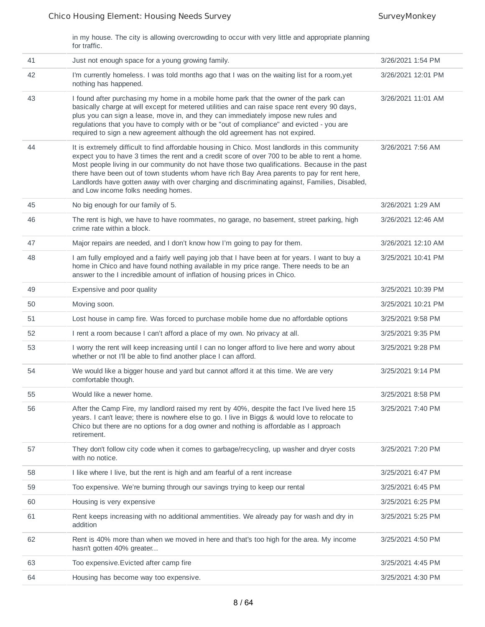in my house. The city is allowing overcrowding to occur with very little and appropriate planning for traffic.

| 41 | Just not enough space for a young growing family.                                                                                                                                                                                                                                                                                                                                                                                                                                                                                       | 3/26/2021 1:54 PM  |
|----|-----------------------------------------------------------------------------------------------------------------------------------------------------------------------------------------------------------------------------------------------------------------------------------------------------------------------------------------------------------------------------------------------------------------------------------------------------------------------------------------------------------------------------------------|--------------------|
| 42 | I'm currently homeless. I was told months ago that I was on the waiting list for a room,yet<br>nothing has happened.                                                                                                                                                                                                                                                                                                                                                                                                                    | 3/26/2021 12:01 PM |
| 43 | I found after purchasing my home in a mobile home park that the owner of the park can<br>basically charge at will except for metered utilities and can raise space rent every 90 days,<br>plus you can sign a lease, move in, and they can immediately impose new rules and<br>regulations that you have to comply with or be "out of compliance" and evicted - you are<br>required to sign a new agreement although the old agreement has not expired.                                                                                 | 3/26/2021 11:01 AM |
| 44 | It is extremely difficult to find affordable housing in Chico. Most landlords in this community<br>expect you to have 3 times the rent and a credit score of over 700 to be able to rent a home.<br>Most people living in our community do not have those two qualifications. Because in the past<br>there have been out of town students whom have rich Bay Area parents to pay for rent here,<br>Landlords have gotten away with over charging and discriminating against, Families, Disabled,<br>and Low income folks needing homes. | 3/26/2021 7:56 AM  |
| 45 | No big enough for our family of 5.                                                                                                                                                                                                                                                                                                                                                                                                                                                                                                      | 3/26/2021 1:29 AM  |
| 46 | The rent is high, we have to have roommates, no garage, no basement, street parking, high<br>crime rate within a block.                                                                                                                                                                                                                                                                                                                                                                                                                 | 3/26/2021 12:46 AM |
| 47 | Major repairs are needed, and I don't know how I'm going to pay for them.                                                                                                                                                                                                                                                                                                                                                                                                                                                               | 3/26/2021 12:10 AM |
| 48 | I am fully employed and a fairly well paying job that I have been at for years. I want to buy a<br>home in Chico and have found nothing available in my price range. There needs to be an<br>answer to the I incredible amount of inflation of housing prices in Chico.                                                                                                                                                                                                                                                                 | 3/25/2021 10:41 PM |
| 49 | Expensive and poor quality                                                                                                                                                                                                                                                                                                                                                                                                                                                                                                              | 3/25/2021 10:39 PM |
| 50 | Moving soon.                                                                                                                                                                                                                                                                                                                                                                                                                                                                                                                            | 3/25/2021 10:21 PM |
| 51 | Lost house in camp fire. Was forced to purchase mobile home due no affordable options                                                                                                                                                                                                                                                                                                                                                                                                                                                   | 3/25/2021 9:58 PM  |
| 52 | I rent a room because I can't afford a place of my own. No privacy at all.                                                                                                                                                                                                                                                                                                                                                                                                                                                              | 3/25/2021 9:35 PM  |
| 53 | I worry the rent will keep increasing until I can no longer afford to live here and worry about<br>whether or not I'll be able to find another place I can afford.                                                                                                                                                                                                                                                                                                                                                                      | 3/25/2021 9:28 PM  |
| 54 | We would like a bigger house and yard but cannot afford it at this time. We are very<br>comfortable though.                                                                                                                                                                                                                                                                                                                                                                                                                             | 3/25/2021 9:14 PM  |
| 55 | Would like a newer home.                                                                                                                                                                                                                                                                                                                                                                                                                                                                                                                | 3/25/2021 8:58 PM  |
| 56 | After the Camp Fire, my landlord raised my rent by 40%, despite the fact I've lived here 15<br>years. I can't leave; there is nowhere else to go. I live in Biggs & would love to relocate to<br>Chico but there are no options for a dog owner and nothing is affordable as I approach<br>retirement.                                                                                                                                                                                                                                  | 3/25/2021 7:40 PM  |
| 57 | They don't follow city code when it comes to garbage/recycling, up washer and dryer costs<br>with no notice.                                                                                                                                                                                                                                                                                                                                                                                                                            | 3/25/2021 7:20 PM  |
| 58 | I like where I live, but the rent is high and am fearful of a rent increase                                                                                                                                                                                                                                                                                                                                                                                                                                                             | 3/25/2021 6:47 PM  |
| 59 | Too expensive. We're burning through our savings trying to keep our rental                                                                                                                                                                                                                                                                                                                                                                                                                                                              | 3/25/2021 6:45 PM  |
| 60 | Housing is very expensive                                                                                                                                                                                                                                                                                                                                                                                                                                                                                                               | 3/25/2021 6:25 PM  |
| 61 | Rent keeps increasing with no additional ammentities. We already pay for wash and dry in<br>addition                                                                                                                                                                                                                                                                                                                                                                                                                                    | 3/25/2021 5:25 PM  |
| 62 | Rent is 40% more than when we moved in here and that's too high for the area. My income<br>hasn't gotten 40% greater                                                                                                                                                                                                                                                                                                                                                                                                                    | 3/25/2021 4:50 PM  |
| 63 | Too expensive. Evicted after camp fire                                                                                                                                                                                                                                                                                                                                                                                                                                                                                                  | 3/25/2021 4:45 PM  |
| 64 | Housing has become way too expensive.                                                                                                                                                                                                                                                                                                                                                                                                                                                                                                   | 3/25/2021 4:30 PM  |
|    |                                                                                                                                                                                                                                                                                                                                                                                                                                                                                                                                         |                    |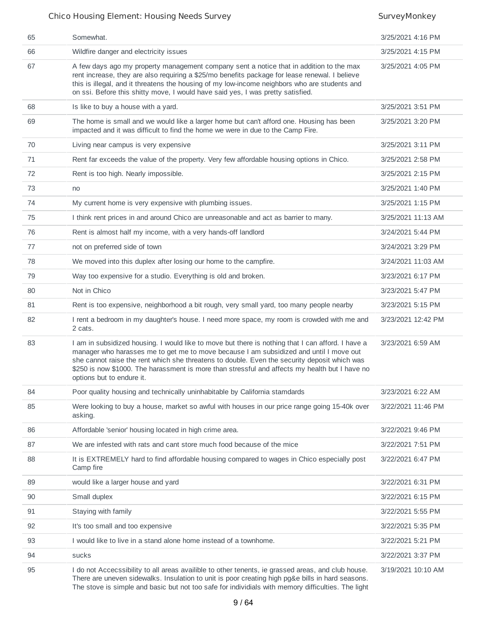| 65 | Somewhat.                                                                                                                                                                                                                                                                                                                                                                                                                  | 3/25/2021 4:16 PM  |
|----|----------------------------------------------------------------------------------------------------------------------------------------------------------------------------------------------------------------------------------------------------------------------------------------------------------------------------------------------------------------------------------------------------------------------------|--------------------|
| 66 | Wildfire danger and electricity issues                                                                                                                                                                                                                                                                                                                                                                                     | 3/25/2021 4:15 PM  |
| 67 | A few days ago my property management company sent a notice that in addition to the max<br>rent increase, they are also requiring a \$25/mo benefits package for lease renewal. I believe<br>this is illegal, and it threatens the housing of my low-income neighbors who are students and<br>on ssi. Before this shitty move, I would have said yes, I was pretty satisfied.                                              | 3/25/2021 4:05 PM  |
| 68 | Is like to buy a house with a yard.                                                                                                                                                                                                                                                                                                                                                                                        | 3/25/2021 3:51 PM  |
| 69 | The home is small and we would like a larger home but can't afford one. Housing has been<br>impacted and it was difficult to find the home we were in due to the Camp Fire.                                                                                                                                                                                                                                                | 3/25/2021 3:20 PM  |
| 70 | Living near campus is very expensive                                                                                                                                                                                                                                                                                                                                                                                       | 3/25/2021 3:11 PM  |
| 71 | Rent far exceeds the value of the property. Very few affordable housing options in Chico.                                                                                                                                                                                                                                                                                                                                  | 3/25/2021 2:58 PM  |
| 72 | Rent is too high. Nearly impossible.                                                                                                                                                                                                                                                                                                                                                                                       | 3/25/2021 2:15 PM  |
| 73 | no                                                                                                                                                                                                                                                                                                                                                                                                                         | 3/25/2021 1:40 PM  |
| 74 | My current home is very expensive with plumbing issues.                                                                                                                                                                                                                                                                                                                                                                    | 3/25/2021 1:15 PM  |
| 75 | I think rent prices in and around Chico are unreasonable and act as barrier to many.                                                                                                                                                                                                                                                                                                                                       | 3/25/2021 11:13 AM |
| 76 | Rent is almost half my income, with a very hands-off landlord                                                                                                                                                                                                                                                                                                                                                              | 3/24/2021 5:44 PM  |
| 77 | not on preferred side of town                                                                                                                                                                                                                                                                                                                                                                                              | 3/24/2021 3:29 PM  |
| 78 | We moved into this duplex after losing our home to the campfire.                                                                                                                                                                                                                                                                                                                                                           | 3/24/2021 11:03 AM |
| 79 | Way too expensive for a studio. Everything is old and broken.                                                                                                                                                                                                                                                                                                                                                              | 3/23/2021 6:17 PM  |
| 80 | Not in Chico                                                                                                                                                                                                                                                                                                                                                                                                               | 3/23/2021 5:47 PM  |
| 81 | Rent is too expensive, neighborhood a bit rough, very small yard, too many people nearby                                                                                                                                                                                                                                                                                                                                   | 3/23/2021 5:15 PM  |
| 82 | I rent a bedroom in my daughter's house. I need more space, my room is crowded with me and<br>2 cats.                                                                                                                                                                                                                                                                                                                      | 3/23/2021 12:42 PM |
| 83 | I am in subsidized housing. I would like to move but there is nothing that I can afford. I have a<br>manager who harasses me to get me to move because I am subsidized and until I move out<br>she cannot raise the rent which she threatens to double. Even the security deposit which was<br>\$250 is now \$1000. The harassment is more than stressful and affects my health but I have no<br>options but to endure it. | 3/23/2021 6:59 AM  |
| 84 | Poor quality housing and technically uninhabitable by California stamdards                                                                                                                                                                                                                                                                                                                                                 | 3/23/2021 6:22 AM  |
| 85 | Were looking to buy a house, market so awful with houses in our price range going 15-40k over<br>asking.                                                                                                                                                                                                                                                                                                                   | 3/22/2021 11:46 PM |
| 86 | Affordable 'senior' housing located in high crime area.                                                                                                                                                                                                                                                                                                                                                                    | 3/22/2021 9:46 PM  |
| 87 | We are infested with rats and cant store much food because of the mice                                                                                                                                                                                                                                                                                                                                                     | 3/22/2021 7:51 PM  |
| 88 | It is EXTREMELY hard to find affordable housing compared to wages in Chico especially post<br>Camp fire                                                                                                                                                                                                                                                                                                                    | 3/22/2021 6:47 PM  |
| 89 | would like a larger house and yard                                                                                                                                                                                                                                                                                                                                                                                         | 3/22/2021 6:31 PM  |
| 90 | Small duplex                                                                                                                                                                                                                                                                                                                                                                                                               | 3/22/2021 6:15 PM  |
| 91 | Staying with family                                                                                                                                                                                                                                                                                                                                                                                                        | 3/22/2021 5:55 PM  |
| 92 | It's too small and too expensive                                                                                                                                                                                                                                                                                                                                                                                           | 3/22/2021 5:35 PM  |
| 93 | I would like to live in a stand alone home instead of a townhome.                                                                                                                                                                                                                                                                                                                                                          | 3/22/2021 5:21 PM  |
| 94 | sucks                                                                                                                                                                                                                                                                                                                                                                                                                      | 3/22/2021 3:37 PM  |
| 95 | I do not Accecssibility to all areas availible to other tenents, ie grassed areas, and club house.<br>There are uneven sidewalks. Insulation to unit is poor creating high pg&e bills in hard seasons.<br>The stove is simple and basic but not too safe for individials with memory difficulties. The light                                                                                                               | 3/19/2021 10:10 AM |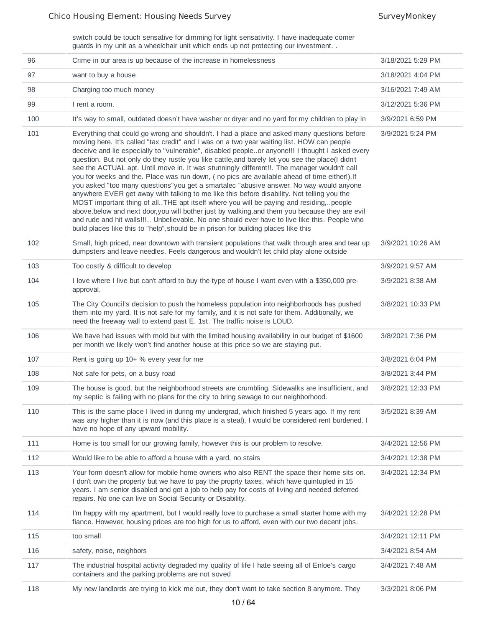switch could be touch sensative for dimming for light sensativity. I have inadequate corner guards in my unit as a wheelchair unit which ends up not protecting our investment. .

| 96  | Crime in our area is up because of the increase in homelessness                                                                                                                                                                                                                                                                                                                                                                                                                                                                                                                                                                                                                                                                                                                                                                                                                                                                                                                                                                                                                                                                                                                | 3/18/2021 5:29 PM |
|-----|--------------------------------------------------------------------------------------------------------------------------------------------------------------------------------------------------------------------------------------------------------------------------------------------------------------------------------------------------------------------------------------------------------------------------------------------------------------------------------------------------------------------------------------------------------------------------------------------------------------------------------------------------------------------------------------------------------------------------------------------------------------------------------------------------------------------------------------------------------------------------------------------------------------------------------------------------------------------------------------------------------------------------------------------------------------------------------------------------------------------------------------------------------------------------------|-------------------|
| 97  | want to buy a house                                                                                                                                                                                                                                                                                                                                                                                                                                                                                                                                                                                                                                                                                                                                                                                                                                                                                                                                                                                                                                                                                                                                                            | 3/18/2021 4:04 PM |
| 98  | Charging too much money                                                                                                                                                                                                                                                                                                                                                                                                                                                                                                                                                                                                                                                                                                                                                                                                                                                                                                                                                                                                                                                                                                                                                        | 3/16/2021 7:49 AM |
| 99  | I rent a room.                                                                                                                                                                                                                                                                                                                                                                                                                                                                                                                                                                                                                                                                                                                                                                                                                                                                                                                                                                                                                                                                                                                                                                 | 3/12/2021 5:36 PM |
| 100 | It's way to small, outdated doesn't have washer or dryer and no yard for my children to play in                                                                                                                                                                                                                                                                                                                                                                                                                                                                                                                                                                                                                                                                                                                                                                                                                                                                                                                                                                                                                                                                                | 3/9/2021 6:59 PM  |
| 101 | Everything that could go wrong and shouldn't. I had a place and asked many questions before<br>moving here. It's called "tax credit" and I was on a two year waiting list. HOW can people<br>deceive and lie especially to "vulnerable", disabled peopleor anyone!!! I thought I asked every<br>question. But not only do they rustle you like cattle, and barely let you see the place(I didn't<br>see the ACTUAL apt. Until move in. It was stunningly different!!. The manager wouldn't call<br>you for weeks and the. Place was run down, (no pics are available ahead of time either!), If<br>you asked "too many questions"you get a smartalec "abusive answer. No way would anyone<br>anywhere EVER get away with talking to me like this before disability. Not telling you the<br>MOST important thing of all. THE apt itself where you will be paying and residing,people<br>above, below and next door, you will bother just by walking, and them you because they are evil<br>and rude and hit walls!!! Unbelievable. No one should ever have to live like this. People who<br>build places like this to "help", should be in prison for building places like this | 3/9/2021 5:24 PM  |
| 102 | Small, high priced, near downtown with transient populations that walk through area and tear up<br>dumpsters and leave needles. Feels dangerous and wouldn't let child play alone outside                                                                                                                                                                                                                                                                                                                                                                                                                                                                                                                                                                                                                                                                                                                                                                                                                                                                                                                                                                                      | 3/9/2021 10:26 AM |
| 103 | Too costly & difficult to develop                                                                                                                                                                                                                                                                                                                                                                                                                                                                                                                                                                                                                                                                                                                                                                                                                                                                                                                                                                                                                                                                                                                                              | 3/9/2021 9:57 AM  |
| 104 | I love where I live but can't afford to buy the type of house I want even with a \$350,000 pre-<br>approval.                                                                                                                                                                                                                                                                                                                                                                                                                                                                                                                                                                                                                                                                                                                                                                                                                                                                                                                                                                                                                                                                   | 3/9/2021 8:38 AM  |
| 105 | The City Council's decision to push the homeless population into neighborhoods has pushed<br>them into my yard. It is not safe for my family, and it is not safe for them. Additionally, we<br>need the freeway wall to extend past E. 1st. The traffic noise is LOUD.                                                                                                                                                                                                                                                                                                                                                                                                                                                                                                                                                                                                                                                                                                                                                                                                                                                                                                         | 3/8/2021 10:33 PM |
| 106 | We have had issues with mold but with the limited housing availability in our budget of \$1600<br>per month we likely won't find another house at this price so we are staying put.                                                                                                                                                                                                                                                                                                                                                                                                                                                                                                                                                                                                                                                                                                                                                                                                                                                                                                                                                                                            | 3/8/2021 7:36 PM  |
| 107 | Rent is going up 10+ % every year for me                                                                                                                                                                                                                                                                                                                                                                                                                                                                                                                                                                                                                                                                                                                                                                                                                                                                                                                                                                                                                                                                                                                                       | 3/8/2021 6:04 PM  |
| 108 | Not safe for pets, on a busy road                                                                                                                                                                                                                                                                                                                                                                                                                                                                                                                                                                                                                                                                                                                                                                                                                                                                                                                                                                                                                                                                                                                                              | 3/8/2021 3:44 PM  |
| 109 | The house is good, but the neighborhood streets are crumbling, Sidewalks are insufficient, and<br>my septic is failing with no plans for the city to bring sewage to our neighborhood.                                                                                                                                                                                                                                                                                                                                                                                                                                                                                                                                                                                                                                                                                                                                                                                                                                                                                                                                                                                         | 3/8/2021 12:33 PM |
| 110 | This is the same place I lived in during my undergrad, which finished 5 years ago. If my rent<br>was any higher than it is now (and this place is a steal), I would be considered rent burdened. I<br>have no hope of any upward mobility.                                                                                                                                                                                                                                                                                                                                                                                                                                                                                                                                                                                                                                                                                                                                                                                                                                                                                                                                     | 3/5/2021 8:39 AM  |
| 111 | Home is too small for our growing family, however this is our problem to resolve.                                                                                                                                                                                                                                                                                                                                                                                                                                                                                                                                                                                                                                                                                                                                                                                                                                                                                                                                                                                                                                                                                              | 3/4/2021 12:56 PM |
| 112 | Would like to be able to afford a house with a yard, no stairs                                                                                                                                                                                                                                                                                                                                                                                                                                                                                                                                                                                                                                                                                                                                                                                                                                                                                                                                                                                                                                                                                                                 | 3/4/2021 12:38 PM |
| 113 | Your form doesn't allow for mobile home owners who also RENT the space their home sits on.<br>I don't own the property but we have to pay the proprty taxes, which have quintupled in 15<br>years. I am senior disabled and got a job to help pay for costs of living and needed deferred<br>repairs. No one can live on Social Security or Disability.                                                                                                                                                                                                                                                                                                                                                                                                                                                                                                                                                                                                                                                                                                                                                                                                                        | 3/4/2021 12:34 PM |
| 114 | I'm happy with my apartment, but I would really love to purchase a small starter home with my<br>fiance. However, housing prices are too high for us to afford, even with our two decent jobs.                                                                                                                                                                                                                                                                                                                                                                                                                                                                                                                                                                                                                                                                                                                                                                                                                                                                                                                                                                                 | 3/4/2021 12:28 PM |
| 115 | too small                                                                                                                                                                                                                                                                                                                                                                                                                                                                                                                                                                                                                                                                                                                                                                                                                                                                                                                                                                                                                                                                                                                                                                      | 3/4/2021 12:11 PM |
| 116 | safety, noise, neighbors                                                                                                                                                                                                                                                                                                                                                                                                                                                                                                                                                                                                                                                                                                                                                                                                                                                                                                                                                                                                                                                                                                                                                       | 3/4/2021 8:54 AM  |
| 117 | The industrial hospital activity degraded my quality of life I hate seeing all of Enloe's cargo<br>containers and the parking problems are not soved                                                                                                                                                                                                                                                                                                                                                                                                                                                                                                                                                                                                                                                                                                                                                                                                                                                                                                                                                                                                                           | 3/4/2021 7:48 AM  |
| 118 | My new landlords are trying to kick me out, they don't want to take section 8 anymore. They                                                                                                                                                                                                                                                                                                                                                                                                                                                                                                                                                                                                                                                                                                                                                                                                                                                                                                                                                                                                                                                                                    | 3/3/2021 8:06 PM  |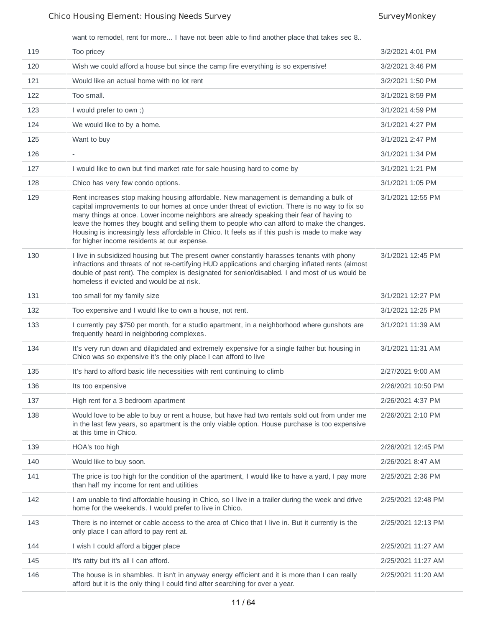want to remodel, rent for more... I have not been able to find another place that takes sec 8..

| 119 | Too pricey                                                                                                                                                                                                                                                                                                                                                                                                                                                                                                                       | 3/2/2021 4:01 PM   |
|-----|----------------------------------------------------------------------------------------------------------------------------------------------------------------------------------------------------------------------------------------------------------------------------------------------------------------------------------------------------------------------------------------------------------------------------------------------------------------------------------------------------------------------------------|--------------------|
| 120 | Wish we could afford a house but since the camp fire everything is so expensive!                                                                                                                                                                                                                                                                                                                                                                                                                                                 | 3/2/2021 3:46 PM   |
| 121 | Would like an actual home with no lot rent                                                                                                                                                                                                                                                                                                                                                                                                                                                                                       | 3/2/2021 1:50 PM   |
| 122 | Too small.                                                                                                                                                                                                                                                                                                                                                                                                                                                                                                                       | 3/1/2021 8:59 PM   |
| 123 | I would prefer to own ;)                                                                                                                                                                                                                                                                                                                                                                                                                                                                                                         | 3/1/2021 4:59 PM   |
| 124 | We would like to by a home.                                                                                                                                                                                                                                                                                                                                                                                                                                                                                                      | 3/1/2021 4:27 PM   |
| 125 | Want to buy                                                                                                                                                                                                                                                                                                                                                                                                                                                                                                                      | 3/1/2021 2:47 PM   |
| 126 | $\overline{\phantom{a}}$                                                                                                                                                                                                                                                                                                                                                                                                                                                                                                         | 3/1/2021 1:34 PM   |
| 127 | I would like to own but find market rate for sale housing hard to come by                                                                                                                                                                                                                                                                                                                                                                                                                                                        | 3/1/2021 1:21 PM   |
| 128 | Chico has very few condo options.                                                                                                                                                                                                                                                                                                                                                                                                                                                                                                | 3/1/2021 1:05 PM   |
| 129 | Rent increases stop making housing affordable. New management is demanding a bulk of<br>capital improvements to our homes at once under threat of eviction. There is no way to fix so<br>many things at once. Lower income neighbors are already speaking their fear of having to<br>leave the homes they bought and selling them to people who can afford to make the changes.<br>Housing is increasingly less affordable in Chico. It feels as if this push is made to make way<br>for higher income residents at our expense. | 3/1/2021 12:55 PM  |
| 130 | I live in subsidized housing but The present owner constantly harasses tenants with phony<br>infractions and threats of not re-certifying HUD applications and charging inflated rents (almost<br>double of past rent). The complex is designated for senior/disabled. I and most of us would be<br>homeless if evicted and would be at risk.                                                                                                                                                                                    | 3/1/2021 12:45 PM  |
| 131 | too small for my family size                                                                                                                                                                                                                                                                                                                                                                                                                                                                                                     | 3/1/2021 12:27 PM  |
| 132 | Too expensive and I would like to own a house, not rent.                                                                                                                                                                                                                                                                                                                                                                                                                                                                         | 3/1/2021 12:25 PM  |
| 133 | I currently pay \$750 per month, for a studio apartment, in a neighborhood where gunshots are<br>frequently heard in neighboring complexes.                                                                                                                                                                                                                                                                                                                                                                                      | 3/1/2021 11:39 AM  |
| 134 | It's very run down and dilapidated and extremely expensive for a single father but housing in<br>Chico was so expensive it's the only place I can afford to live                                                                                                                                                                                                                                                                                                                                                                 | 3/1/2021 11:31 AM  |
| 135 | It's hard to afford basic life necessities with rent continuing to climb                                                                                                                                                                                                                                                                                                                                                                                                                                                         | 2/27/2021 9:00 AM  |
| 136 | Its too expensive                                                                                                                                                                                                                                                                                                                                                                                                                                                                                                                | 2/26/2021 10:50 PM |
| 137 | High rent for a 3 bedroom apartment                                                                                                                                                                                                                                                                                                                                                                                                                                                                                              | 2/26/2021 4:37 PM  |
| 138 | Would love to be able to buy or rent a house, but have had two rentals sold out from under me<br>in the last few years, so apartment is the only viable option. House purchase is too expensive<br>at this time in Chico.                                                                                                                                                                                                                                                                                                        | 2/26/2021 2:10 PM  |
| 139 | HOA's too high                                                                                                                                                                                                                                                                                                                                                                                                                                                                                                                   | 2/26/2021 12:45 PM |
| 140 | Would like to buy soon.                                                                                                                                                                                                                                                                                                                                                                                                                                                                                                          | 2/26/2021 8:47 AM  |
| 141 | The price is too high for the condition of the apartment, I would like to have a yard, I pay more<br>than half my income for rent and utilities                                                                                                                                                                                                                                                                                                                                                                                  | 2/25/2021 2:36 PM  |
| 142 | I am unable to find affordable housing in Chico, so I live in a trailer during the week and drive<br>home for the weekends. I would prefer to live in Chico.                                                                                                                                                                                                                                                                                                                                                                     | 2/25/2021 12:48 PM |
| 143 | There is no internet or cable access to the area of Chico that I live in. But it currently is the<br>only place I can afford to pay rent at.                                                                                                                                                                                                                                                                                                                                                                                     | 2/25/2021 12:13 PM |
| 144 | I wish I could afford a bigger place                                                                                                                                                                                                                                                                                                                                                                                                                                                                                             | 2/25/2021 11:27 AM |
| 145 | It's ratty but it's all I can afford.                                                                                                                                                                                                                                                                                                                                                                                                                                                                                            | 2/25/2021 11:27 AM |
| 146 | The house is in shambles. It isn't in anyway energy efficient and it is more than I can really<br>afford but it is the only thing I could find after searching for over a year.                                                                                                                                                                                                                                                                                                                                                  | 2/25/2021 11:20 AM |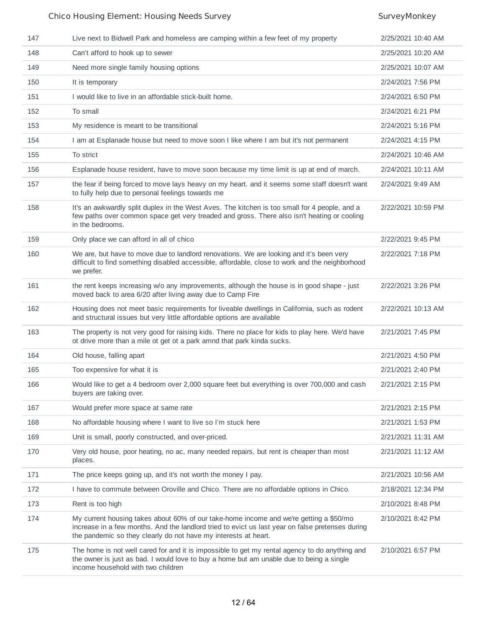| 147 | Live next to Bidwell Park and homeless are camping within a few feet of my property                                                                                                                                                                           | 2/25/2021 10:40 AM |
|-----|---------------------------------------------------------------------------------------------------------------------------------------------------------------------------------------------------------------------------------------------------------------|--------------------|
| 148 | Can't afford to hook up to sewer                                                                                                                                                                                                                              | 2/25/2021 10:20 AM |
| 149 | Need more single family housing options                                                                                                                                                                                                                       | 2/25/2021 10:07 AM |
| 150 | It is temporary                                                                                                                                                                                                                                               | 2/24/2021 7:56 PM  |
| 151 | I would like to live in an affordable stick-built home.                                                                                                                                                                                                       | 2/24/2021 6:50 PM  |
| 152 | To small                                                                                                                                                                                                                                                      | 2/24/2021 6:21 PM  |
| 153 | My residence is meant to be transitional                                                                                                                                                                                                                      | 2/24/2021 5:16 PM  |
| 154 | I am at Esplanade house but need to move soon I like where I am but it's not permanent                                                                                                                                                                        | 2/24/2021 4:15 PM  |
| 155 | To strict                                                                                                                                                                                                                                                     | 2/24/2021 10:46 AM |
| 156 | Esplanade house resident, have to move soon because my time limit is up at end of march.                                                                                                                                                                      | 2/24/2021 10:11 AM |
| 157 | the fear if being forced to move lays heavy on my heart. and it seems some staff doesn't want<br>to fully help due to personal feelings towards me                                                                                                            | 2/24/2021 9:49 AM  |
| 158 | It's an awkwardly split duplex in the West Aves. The kitchen is too small for 4 people, and a<br>few paths over common space get very treaded and gross. There also isn't heating or cooling<br>in the bedrooms.                                              | 2/22/2021 10:59 PM |
| 159 | Only place we can afford in all of chico                                                                                                                                                                                                                      | 2/22/2021 9:45 PM  |
| 160 | We are, but have to move due to landlord renovations. We are looking and it's been very<br>difficult to find something disabled accessible, affordable, close to work and the neighborhood<br>we prefer.                                                      | 2/22/2021 7:18 PM  |
| 161 | the rent keeps increasing w/o any improvements, although the house is in good shape - just<br>moved back to area 6/20 after living away due to Camp Fire                                                                                                      | 2/22/2021 3:26 PM  |
| 162 | Housing does not meet basic requirements for liveable dwellings in California, such as rodent<br>and structural issues but very little affordable options are available                                                                                       | 2/22/2021 10:13 AM |
| 163 | The property is not very good for raising kids. There no place for kids to play here. We'd have<br>ot drive more than a mile ot get ot a park amnd that park kinda sucks.                                                                                     | 2/21/2021 7:45 PM  |
| 164 | Old house, falling apart                                                                                                                                                                                                                                      | 2/21/2021 4:50 PM  |
| 165 | Too expensive for what it is                                                                                                                                                                                                                                  | 2/21/2021 2:40 PM  |
| 166 | Would like to get a 4 bedroom over 2,000 square feet but everything is over 700,000 and cash<br>buyers are taking over.                                                                                                                                       | 2/21/2021 2:15 PM  |
| 167 | Would prefer more space at same rate                                                                                                                                                                                                                          | 2/21/2021 2:15 PM  |
| 168 | No affordable housing where I want to live so I'm stuck here                                                                                                                                                                                                  | 2/21/2021 1:53 PM  |
| 169 | Unit is small, poorly constructed, and over-priced.                                                                                                                                                                                                           | 2/21/2021 11:31 AM |
| 170 | Very old house, poor heating, no ac, many needed repairs, but rent is cheaper than most<br>places.                                                                                                                                                            | 2/21/2021 11:12 AM |
| 171 | The price keeps going up, and it's not worth the money I pay.                                                                                                                                                                                                 | 2/21/2021 10:56 AM |
| 172 | I have to commute between Oroville and Chico. There are no affordable options in Chico.                                                                                                                                                                       | 2/18/2021 12:34 PM |
| 173 | Rent is too high                                                                                                                                                                                                                                              | 2/10/2021 8:48 PM  |
| 174 | My current housing takes about 60% of our take-home income and we're getting a \$50/mo<br>increase in a few months. And the landlord tried to evict us last year on false pretenses during<br>the pandemic so they clearly do not have my interests at heart. | 2/10/2021 8:42 PM  |
| 175 | The home is not well cared for and it is impossible to get my rental agency to do anything and<br>the owner is just as bad. I would love to buy a home but am unable due to being a single<br>income household with two children                              | 2/10/2021 6:57 PM  |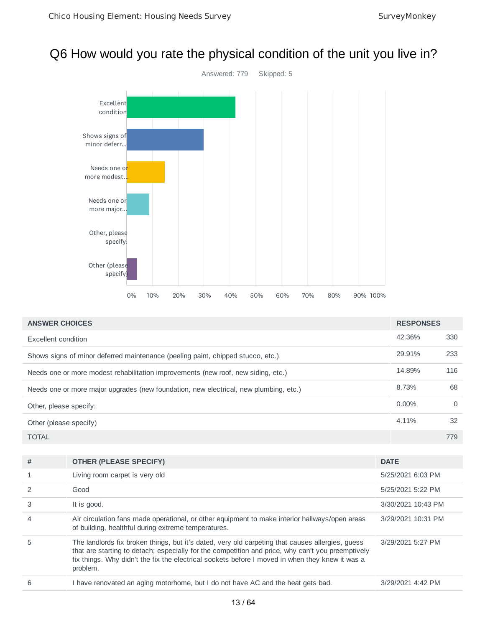## Q6 How would you rate the physical condition of the unit you live in?



| <b>ANSWER CHOICES</b>                                                                 | <b>RESPONSES</b> |          |
|---------------------------------------------------------------------------------------|------------------|----------|
| Excellent condition                                                                   | 42.36%           | 330      |
| Shows signs of minor deferred maintenance (peeling paint, chipped stucco, etc.)       | 29.91%           | 233      |
| Needs one or more modest rehabilitation improvements (new roof, new siding, etc.)     | 14.89%           | 116      |
| Needs one or more major upgrades (new foundation, new electrical, new plumbing, etc.) | 8.73%            | 68       |
| Other, please specify:                                                                | $0.00\%$         | $\Omega$ |
| Other (please specify)                                                                | 4.11%            | 32       |
| <b>TOTAL</b>                                                                          |                  | 779      |

| # | <b>OTHER (PLEASE SPECIFY)</b>                                                                                                                                                                                                                                                                                        | <b>DATE</b>        |
|---|----------------------------------------------------------------------------------------------------------------------------------------------------------------------------------------------------------------------------------------------------------------------------------------------------------------------|--------------------|
|   | Living room carpet is very old                                                                                                                                                                                                                                                                                       | 5/25/2021 6:03 PM  |
|   | Good                                                                                                                                                                                                                                                                                                                 | 5/25/2021 5:22 PM  |
|   | It is good.                                                                                                                                                                                                                                                                                                          | 3/30/2021 10:43 PM |
|   | Air circulation fans made operational, or other equipment to make interior hallways/open areas<br>of building, healthful during extreme temperatures.                                                                                                                                                                | 3/29/2021 10:31 PM |
| 5 | The landlords fix broken things, but it's dated, very old carpeting that causes allergies, guess<br>that are starting to detach; especially for the competition and price, why can't you preemptively<br>fix things. Why didn't the fix the electrical sockets before I moved in when they knew it was a<br>problem. | 3/29/2021 5:27 PM  |
| 6 | I have renovated an aging motorhome, but I do not have AC and the heat gets bad.                                                                                                                                                                                                                                     | 3/29/2021 4:42 PM  |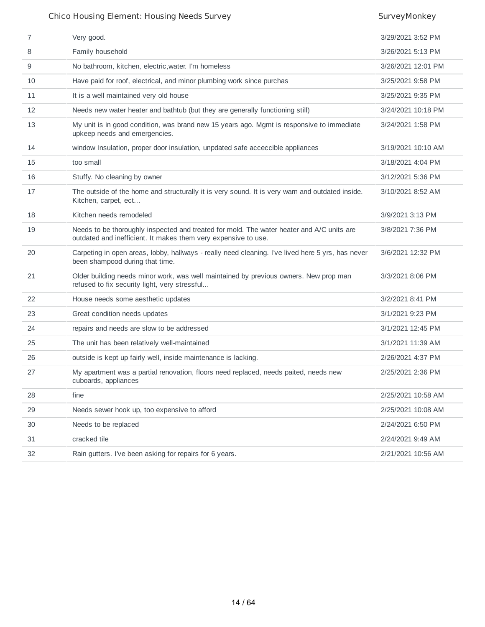| 7  | Very good.                                                                                                                                                  | 3/29/2021 3:52 PM  |
|----|-------------------------------------------------------------------------------------------------------------------------------------------------------------|--------------------|
| 8  | Family household                                                                                                                                            | 3/26/2021 5:13 PM  |
| 9  | No bathroom, kitchen, electric, water. I'm homeless                                                                                                         | 3/26/2021 12:01 PM |
| 10 | Have paid for roof, electrical, and minor plumbing work since purchas                                                                                       | 3/25/2021 9:58 PM  |
| 11 | It is a well maintained very old house                                                                                                                      | 3/25/2021 9:35 PM  |
| 12 | Needs new water heater and bathtub (but they are generally functioning still)                                                                               | 3/24/2021 10:18 PM |
| 13 | My unit is in good condition, was brand new 15 years ago. Mgmt is responsive to immediate<br>upkeep needs and emergencies.                                  | 3/24/2021 1:58 PM  |
| 14 | window Insulation, proper door insulation, unpdated safe acceccible appliances                                                                              | 3/19/2021 10:10 AM |
| 15 | too small                                                                                                                                                   | 3/18/2021 4:04 PM  |
| 16 | Stuffy. No cleaning by owner                                                                                                                                | 3/12/2021 5:36 PM  |
| 17 | The outside of the home and structurally it is very sound. It is very warn and outdated inside.<br>Kitchen, carpet, ect                                     | 3/10/2021 8:52 AM  |
| 18 | Kitchen needs remodeled                                                                                                                                     | 3/9/2021 3:13 PM   |
| 19 | Needs to be thoroughly inspected and treated for mold. The water heater and A/C units are<br>outdated and inefficient. It makes them very expensive to use. | 3/8/2021 7:36 PM   |
| 20 | Carpeting in open areas, lobby, hallways - really need cleaning. I've lived here 5 yrs, has never<br>been shampood during that time.                        | 3/6/2021 12:32 PM  |
| 21 | Older building needs minor work, was well maintained by previous owners. New prop man<br>refused to fix security light, very stressful                      | 3/3/2021 8:06 PM   |
| 22 | House needs some aesthetic updates                                                                                                                          | 3/2/2021 8:41 PM   |
| 23 | Great condition needs updates                                                                                                                               | 3/1/2021 9:23 PM   |
| 24 | repairs and needs are slow to be addressed                                                                                                                  | 3/1/2021 12:45 PM  |
| 25 | The unit has been relatively well-maintained                                                                                                                | 3/1/2021 11:39 AM  |
| 26 | outside is kept up fairly well, inside maintenance is lacking.                                                                                              | 2/26/2021 4:37 PM  |
| 27 | My apartment was a partial renovation, floors need replaced, needs paited, needs new<br>cuboards, appliances                                                | 2/25/2021 2:36 PM  |
| 28 | fine                                                                                                                                                        | 2/25/2021 10:58 AM |
| 29 | Needs sewer hook up, too expensive to afford                                                                                                                | 2/25/2021 10:08 AM |
| 30 | Needs to be replaced                                                                                                                                        | 2/24/2021 6:50 PM  |
| 31 | cracked tile                                                                                                                                                | 2/24/2021 9:49 AM  |
| 32 | Rain gutters. I've been asking for repairs for 6 years.                                                                                                     | 2/21/2021 10:56 AM |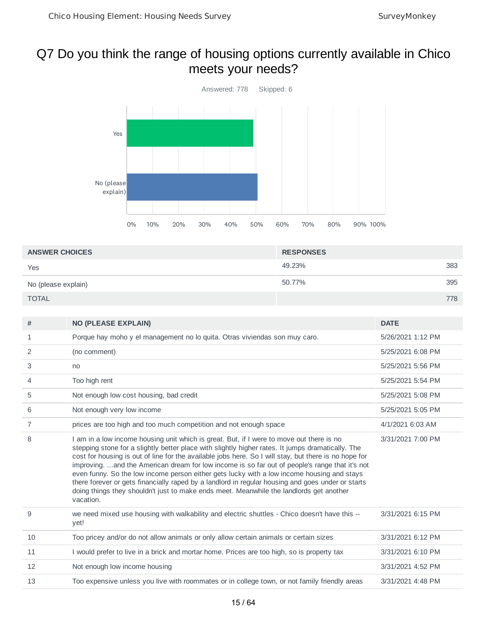## Q7 Do you think the range of housing options currently available in Chico meets your needs?



| <b>ANSWER CHOICES</b> | <b>RESPONSES</b> |     |
|-----------------------|------------------|-----|
| Yes                   | 49.23%           | 383 |
| No (please explain)   | 50.77%           | 395 |
| <b>TOTAL</b>          |                  | 778 |

| #  | <b>NO (PLEASE EXPLAIN)</b>                                                                                                                                                                                                                                                                                                                                                                                                                                                                                                                                                                                                                                                                                           | <b>DATE</b>       |
|----|----------------------------------------------------------------------------------------------------------------------------------------------------------------------------------------------------------------------------------------------------------------------------------------------------------------------------------------------------------------------------------------------------------------------------------------------------------------------------------------------------------------------------------------------------------------------------------------------------------------------------------------------------------------------------------------------------------------------|-------------------|
| 1  | Porque hay moho y el management no lo quita. Otras viviendas son muy caro.                                                                                                                                                                                                                                                                                                                                                                                                                                                                                                                                                                                                                                           | 5/26/2021 1:12 PM |
| 2  | (no comment)                                                                                                                                                                                                                                                                                                                                                                                                                                                                                                                                                                                                                                                                                                         | 5/25/2021 6:08 PM |
| 3  | no                                                                                                                                                                                                                                                                                                                                                                                                                                                                                                                                                                                                                                                                                                                   | 5/25/2021 5:56 PM |
| 4  | Too high rent                                                                                                                                                                                                                                                                                                                                                                                                                                                                                                                                                                                                                                                                                                        | 5/25/2021 5:54 PM |
| 5  | Not enough low cost housing, bad credit                                                                                                                                                                                                                                                                                                                                                                                                                                                                                                                                                                                                                                                                              | 5/25/2021 5:08 PM |
| 6  | Not enough very low income                                                                                                                                                                                                                                                                                                                                                                                                                                                                                                                                                                                                                                                                                           | 5/25/2021 5:05 PM |
| 7  | prices are too high and too much competition and not enough space                                                                                                                                                                                                                                                                                                                                                                                                                                                                                                                                                                                                                                                    | 4/1/2021 6:03 AM  |
| 8  | I am in a low income housing unit which is great. But, if I were to move out there is no<br>stepping stone for a slightly better place with slightly higher rates. It jumps dramatically. The<br>cost for housing is out of line for the available jobs here. So I will stay, but there is no hope for<br>improving.  and the American dream for low income is so far out of people's range that it's not<br>even funny. So the low income person either gets lucky with a low income housing and stays<br>there forever or gets financially raped by a landlord in regular housing and goes under or starts<br>doing things they shouldn't just to make ends meet. Meanwhile the landlords get another<br>vacation. | 3/31/2021 7:00 PM |
| 9  | we need mixed use housing with walkability and electric shuttles - Chico doesn't have this --<br>yet!                                                                                                                                                                                                                                                                                                                                                                                                                                                                                                                                                                                                                | 3/31/2021 6:15 PM |
| 10 | Too pricey and/or do not allow animals or only allow certain animals or certain sizes                                                                                                                                                                                                                                                                                                                                                                                                                                                                                                                                                                                                                                | 3/31/2021 6:12 PM |
| 11 | I would prefer to live in a brick and mortar home. Prices are too high, so is property tax                                                                                                                                                                                                                                                                                                                                                                                                                                                                                                                                                                                                                           | 3/31/2021 6:10 PM |
| 12 | Not enough low income housing                                                                                                                                                                                                                                                                                                                                                                                                                                                                                                                                                                                                                                                                                        | 3/31/2021 4:52 PM |
| 13 | Too expensive unless you live with roommates or in college town, or not family friendly areas                                                                                                                                                                                                                                                                                                                                                                                                                                                                                                                                                                                                                        | 3/31/2021 4:48 PM |
|    |                                                                                                                                                                                                                                                                                                                                                                                                                                                                                                                                                                                                                                                                                                                      |                   |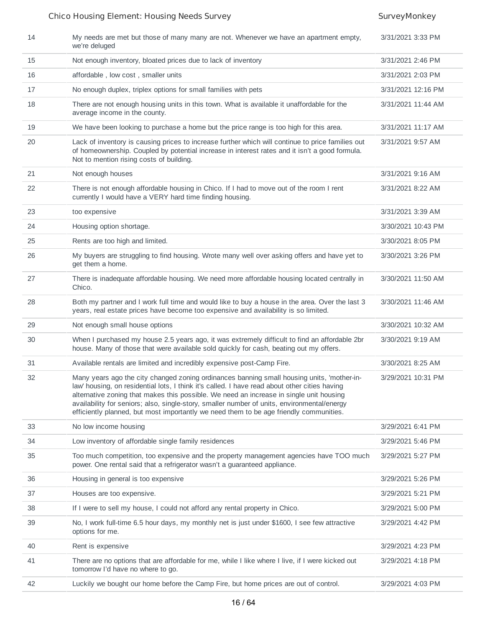| 14 | My needs are met but those of many many are not. Whenever we have an apartment empty,<br>we're deluged                                                                                                                                                                                                                                                                                                                                                                          | 3/31/2021 3:33 PM  |
|----|---------------------------------------------------------------------------------------------------------------------------------------------------------------------------------------------------------------------------------------------------------------------------------------------------------------------------------------------------------------------------------------------------------------------------------------------------------------------------------|--------------------|
| 15 | Not enough inventory, bloated prices due to lack of inventory                                                                                                                                                                                                                                                                                                                                                                                                                   | 3/31/2021 2:46 PM  |
| 16 | affordable, low cost, smaller units                                                                                                                                                                                                                                                                                                                                                                                                                                             | 3/31/2021 2:03 PM  |
| 17 | No enough duplex, triplex options for small families with pets                                                                                                                                                                                                                                                                                                                                                                                                                  | 3/31/2021 12:16 PM |
| 18 | There are not enough housing units in this town. What is available it unaffordable for the<br>average income in the county.                                                                                                                                                                                                                                                                                                                                                     | 3/31/2021 11:44 AM |
| 19 | We have been looking to purchase a home but the price range is too high for this area.                                                                                                                                                                                                                                                                                                                                                                                          | 3/31/2021 11:17 AM |
| 20 | Lack of inventory is causing prices to increase further which will continue to price families out<br>of homeownership. Coupled by potential increase in interest rates and it isn't a good formula.<br>Not to mention rising costs of building.                                                                                                                                                                                                                                 | 3/31/2021 9:57 AM  |
| 21 | Not enough houses                                                                                                                                                                                                                                                                                                                                                                                                                                                               | 3/31/2021 9:16 AM  |
| 22 | There is not enough affordable housing in Chico. If I had to move out of the room I rent<br>currently I would have a VERY hard time finding housing.                                                                                                                                                                                                                                                                                                                            | 3/31/2021 8:22 AM  |
| 23 | too expensive                                                                                                                                                                                                                                                                                                                                                                                                                                                                   | 3/31/2021 3:39 AM  |
| 24 | Housing option shortage.                                                                                                                                                                                                                                                                                                                                                                                                                                                        | 3/30/2021 10:43 PM |
| 25 | Rents are too high and limited.                                                                                                                                                                                                                                                                                                                                                                                                                                                 | 3/30/2021 8:05 PM  |
| 26 | My buyers are struggling to find housing. Wrote many well over asking offers and have yet to<br>get them a home.                                                                                                                                                                                                                                                                                                                                                                | 3/30/2021 3:26 PM  |
| 27 | There is inadequate affordable housing. We need more affordable housing located centrally in<br>Chico.                                                                                                                                                                                                                                                                                                                                                                          | 3/30/2021 11:50 AM |
| 28 | Both my partner and I work full time and would like to buy a house in the area. Over the last 3<br>years, real estate prices have become too expensive and availability is so limited.                                                                                                                                                                                                                                                                                          | 3/30/2021 11:46 AM |
| 29 | Not enough small house options                                                                                                                                                                                                                                                                                                                                                                                                                                                  | 3/30/2021 10:32 AM |
| 30 | When I purchased my house 2.5 years ago, it was extremely difficult to find an affordable 2br<br>house. Many of those that were available sold quickly for cash, beating out my offers.                                                                                                                                                                                                                                                                                         | 3/30/2021 9:19 AM  |
| 31 | Available rentals are limited and incredibly expensive post-Camp Fire.                                                                                                                                                                                                                                                                                                                                                                                                          | 3/30/2021 8:25 AM  |
| 32 | Many years ago the city changed zoning ordinances banning small housing units, 'mother-in-<br>law' housing, on residential lots, I think it's called. I have read about other cities having<br>alternative zoning that makes this possible. We need an increase in single unit housing<br>availability for seniors; also, single-story, smaller number of units, environmental/energy<br>efficiently planned, but most importantly we need them to be age friendly communities. | 3/29/2021 10:31 PM |
| 33 | No low income housing                                                                                                                                                                                                                                                                                                                                                                                                                                                           | 3/29/2021 6:41 PM  |
| 34 | Low inventory of affordable single family residences                                                                                                                                                                                                                                                                                                                                                                                                                            | 3/29/2021 5:46 PM  |
| 35 | Too much competition, too expensive and the property management agencies have TOO much<br>power. One rental said that a refrigerator wasn't a guaranteed appliance.                                                                                                                                                                                                                                                                                                             | 3/29/2021 5:27 PM  |
| 36 | Housing in general is too expensive                                                                                                                                                                                                                                                                                                                                                                                                                                             | 3/29/2021 5:26 PM  |
| 37 | Houses are too expensive.                                                                                                                                                                                                                                                                                                                                                                                                                                                       | 3/29/2021 5:21 PM  |
| 38 | If I were to sell my house, I could not afford any rental property in Chico.                                                                                                                                                                                                                                                                                                                                                                                                    | 3/29/2021 5:00 PM  |
| 39 | No, I work full-time 6.5 hour days, my monthly net is just under \$1600, I see few attractive<br>options for me.                                                                                                                                                                                                                                                                                                                                                                | 3/29/2021 4:42 PM  |
| 40 | Rent is expensive                                                                                                                                                                                                                                                                                                                                                                                                                                                               | 3/29/2021 4:23 PM  |
| 41 | There are no options that are affordable for me, while I like where I live, if I were kicked out<br>tomorrow I'd have no where to go.                                                                                                                                                                                                                                                                                                                                           | 3/29/2021 4:18 PM  |
| 42 | Luckily we bought our home before the Camp Fire, but home prices are out of control.                                                                                                                                                                                                                                                                                                                                                                                            | 3/29/2021 4:03 PM  |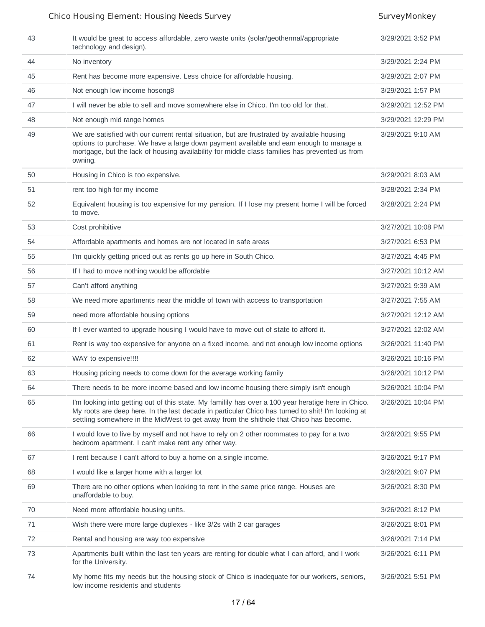| 43 | It would be great to access affordable, zero waste units (solar/geothermal/appropriate)<br>technology and design).                                                                                                                                                                                  | 3/29/2021 3:52 PM  |
|----|-----------------------------------------------------------------------------------------------------------------------------------------------------------------------------------------------------------------------------------------------------------------------------------------------------|--------------------|
| 44 | No inventory                                                                                                                                                                                                                                                                                        | 3/29/2021 2:24 PM  |
| 45 | Rent has become more expensive. Less choice for affordable housing.                                                                                                                                                                                                                                 | 3/29/2021 2:07 PM  |
| 46 | Not enough low income hosong8                                                                                                                                                                                                                                                                       | 3/29/2021 1:57 PM  |
| 47 | I will never be able to sell and move somewhere else in Chico. I'm too old for that.                                                                                                                                                                                                                | 3/29/2021 12:52 PM |
| 48 | Not enough mid range homes                                                                                                                                                                                                                                                                          | 3/29/2021 12:29 PM |
| 49 | We are satisfied with our current rental situation, but are frustrated by available housing<br>options to purchase. We have a large down payment available and earn enough to manage a<br>mortgage, but the lack of housing availability for middle class families has prevented us from<br>owning. | 3/29/2021 9:10 AM  |
| 50 | Housing in Chico is too expensive.                                                                                                                                                                                                                                                                  | 3/29/2021 8:03 AM  |
| 51 | rent too high for my income                                                                                                                                                                                                                                                                         | 3/28/2021 2:34 PM  |
| 52 | Equivalent housing is too expensive for my pension. If I lose my present home I will be forced<br>to move.                                                                                                                                                                                          | 3/28/2021 2:24 PM  |
| 53 | Cost prohibitive                                                                                                                                                                                                                                                                                    | 3/27/2021 10:08 PM |
| 54 | Affordable apartments and homes are not located in safe areas                                                                                                                                                                                                                                       | 3/27/2021 6:53 PM  |
| 55 | I'm quickly getting priced out as rents go up here in South Chico.                                                                                                                                                                                                                                  | 3/27/2021 4:45 PM  |
| 56 | If I had to move nothing would be affordable                                                                                                                                                                                                                                                        | 3/27/2021 10:12 AM |
| 57 | Can't afford anything                                                                                                                                                                                                                                                                               | 3/27/2021 9:39 AM  |
| 58 | We need more apartments near the middle of town with access to transportation                                                                                                                                                                                                                       | 3/27/2021 7:55 AM  |
| 59 | need more affordable housing options                                                                                                                                                                                                                                                                | 3/27/2021 12:12 AM |
| 60 | If I ever wanted to upgrade housing I would have to move out of state to afford it.                                                                                                                                                                                                                 | 3/27/2021 12:02 AM |
| 61 | Rent is way too expensive for anyone on a fixed income, and not enough low income options                                                                                                                                                                                                           | 3/26/2021 11:40 PM |
| 62 | WAY to expensive!!!!                                                                                                                                                                                                                                                                                | 3/26/2021 10:16 PM |
| 63 | Housing pricing needs to come down for the average working family                                                                                                                                                                                                                                   | 3/26/2021 10:12 PM |
| 64 | There needs to be more income based and low income housing there simply isn't enough                                                                                                                                                                                                                | 3/26/2021 10:04 PM |
| 65 | I'm looking into getting out of this state. My familily has over a 100 year heratige here in Chico.<br>My roots are deep here. In the last decade in particular Chico has turned to shit! I'm looking at<br>settling somewhere in the MidWest to get away from the shithole that Chico has become.  | 3/26/2021 10:04 PM |
| 66 | I would love to live by myself and not have to rely on 2 other roommates to pay for a two<br>bedroom apartment. I can't make rent any other way.                                                                                                                                                    | 3/26/2021 9:55 PM  |
| 67 | I rent because I can't afford to buy a home on a single income.                                                                                                                                                                                                                                     | 3/26/2021 9:17 PM  |
| 68 | I would like a larger home with a larger lot                                                                                                                                                                                                                                                        | 3/26/2021 9:07 PM  |
| 69 | There are no other options when looking to rent in the same price range. Houses are<br>unaffordable to buy.                                                                                                                                                                                         | 3/26/2021 8:30 PM  |
| 70 | Need more affordable housing units.                                                                                                                                                                                                                                                                 | 3/26/2021 8:12 PM  |
| 71 | Wish there were more large duplexes - like 3/2s with 2 car garages                                                                                                                                                                                                                                  | 3/26/2021 8:01 PM  |
| 72 | Rental and housing are way too expensive                                                                                                                                                                                                                                                            | 3/26/2021 7:14 PM  |
| 73 | Apartments built within the last ten years are renting for double what I can afford, and I work<br>for the University.                                                                                                                                                                              | 3/26/2021 6:11 PM  |
| 74 | My home fits my needs but the housing stock of Chico is inadequate for our workers, seniors,<br>low income residents and students                                                                                                                                                                   | 3/26/2021 5:51 PM  |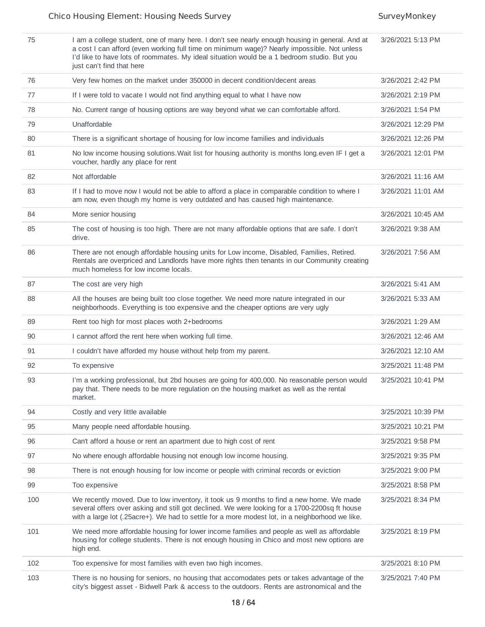| 75  | I am a college student, one of many here. I don't see nearly enough housing in general. And at<br>a cost I can afford (even working full time on minimum wage)? Nearly impossible. Not unless<br>I'd like to have lots of roommates. My ideal situation would be a 1 bedroom studio. But you<br>just can't find that here | 3/26/2021 5:13 PM  |
|-----|---------------------------------------------------------------------------------------------------------------------------------------------------------------------------------------------------------------------------------------------------------------------------------------------------------------------------|--------------------|
| 76  | Very few homes on the market under 350000 in decent condition/decent areas                                                                                                                                                                                                                                                | 3/26/2021 2:42 PM  |
| 77  | If I were told to vacate I would not find anything equal to what I have now                                                                                                                                                                                                                                               | 3/26/2021 2:19 PM  |
| 78  | No. Current range of housing options are way beyond what we can comfortable afford.                                                                                                                                                                                                                                       | 3/26/2021 1:54 PM  |
| 79  | Unaffordable                                                                                                                                                                                                                                                                                                              | 3/26/2021 12:29 PM |
| 80  | There is a significant shortage of housing for low income families and individuals                                                                                                                                                                                                                                        | 3/26/2021 12:26 PM |
| 81  | No low income housing solutions. Wait list for housing authority is months long. even IF I get a<br>voucher, hardly any place for rent                                                                                                                                                                                    | 3/26/2021 12:01 PM |
| 82  | Not affordable                                                                                                                                                                                                                                                                                                            | 3/26/2021 11:16 AM |
| 83  | If I had to move now I would not be able to afford a place in comparable condition to where I<br>am now, even though my home is very outdated and has caused high maintenance.                                                                                                                                            | 3/26/2021 11:01 AM |
| 84  | More senior housing                                                                                                                                                                                                                                                                                                       | 3/26/2021 10:45 AM |
| 85  | The cost of housing is too high. There are not many affordable options that are safe. I don't<br>drive.                                                                                                                                                                                                                   | 3/26/2021 9:38 AM  |
| 86  | There are not enough affordable housing units for Low income, Disabled, Families, Retired.<br>Rentals are overpriced and Landlords have more rights then tenants in our Community creating<br>much homeless for low income locals.                                                                                        | 3/26/2021 7:56 AM  |
| 87  | The cost are very high                                                                                                                                                                                                                                                                                                    | 3/26/2021 5:41 AM  |
| 88  | All the houses are being built too close together. We need more nature integrated in our<br>neighborhoods. Everything is too expensive and the cheaper options are very ugly                                                                                                                                              | 3/26/2021 5:33 AM  |
| 89  | Rent too high for most places woth 2+bedrooms                                                                                                                                                                                                                                                                             | 3/26/2021 1:29 AM  |
| 90  | I cannot afford the rent here when working full time.                                                                                                                                                                                                                                                                     | 3/26/2021 12:46 AM |
| 91  | I couldn't have afforded my house without help from my parent.                                                                                                                                                                                                                                                            | 3/26/2021 12:10 AM |
| 92  | To expensive                                                                                                                                                                                                                                                                                                              | 3/25/2021 11:48 PM |
| 93  | I'm a working professional, but 2bd houses are going for 400,000. No reasonable person would<br>pay that. There needs to be more regulation on the housing market as well as the rental<br>market.                                                                                                                        | 3/25/2021 10:41 PM |
| 94  | Costly and very little available                                                                                                                                                                                                                                                                                          | 3/25/2021 10:39 PM |
| 95  | Many people need affordable housing.                                                                                                                                                                                                                                                                                      | 3/25/2021 10:21 PM |
| 96  | Can't afford a house or rent an apartment due to high cost of rent                                                                                                                                                                                                                                                        | 3/25/2021 9:58 PM  |
| 97  | No where enough affordable housing not enough low income housing.                                                                                                                                                                                                                                                         | 3/25/2021 9:35 PM  |
| 98  | There is not enough housing for low income or people with criminal records or eviction                                                                                                                                                                                                                                    | 3/25/2021 9:00 PM  |
| 99  | Too expensive                                                                                                                                                                                                                                                                                                             | 3/25/2021 8:58 PM  |
| 100 | We recently moved. Due to low inventory, it took us 9 months to find a new home. We made<br>several offers over asking and still got declined. We were looking for a 1700-2200sq ft house<br>with a large lot (.25acre+). We had to settle for a more modest lot, in a neighborhood we like.                              | 3/25/2021 8:34 PM  |
| 101 | We need more affordable housing for lower income families and people as well as affordable<br>housing for college students. There is not enough housing in Chico and most new options are<br>high end.                                                                                                                    | 3/25/2021 8:19 PM  |
| 102 | Too expensive for most families with even two high incomes.                                                                                                                                                                                                                                                               | 3/25/2021 8:10 PM  |
| 103 | There is no housing for seniors, no housing that accomodates pets or takes advantage of the<br>city's biggest asset - Bidwell Park & access to the outdoors. Rents are astronomical and the                                                                                                                               | 3/25/2021 7:40 PM  |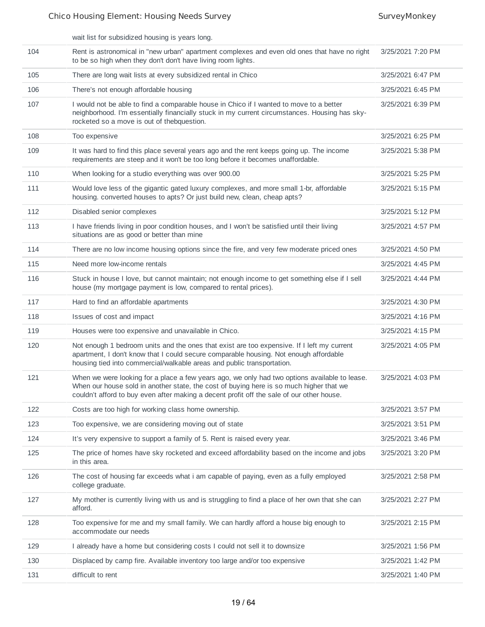wait list for subsidized housing is years long.

| 104 | Rent is astronomical in "new urban" apartment complexes and even old ones that have no right<br>to be so high when they don't don't have living room lights.                                                                                                                          | 3/25/2021 7:20 PM |
|-----|---------------------------------------------------------------------------------------------------------------------------------------------------------------------------------------------------------------------------------------------------------------------------------------|-------------------|
| 105 | There are long wait lists at every subsidized rental in Chico                                                                                                                                                                                                                         | 3/25/2021 6:47 PM |
| 106 | There's not enough affordable housing                                                                                                                                                                                                                                                 | 3/25/2021 6:45 PM |
| 107 | I would not be able to find a comparable house in Chico if I wanted to move to a better<br>neighborhood. I'm essentially financially stuck in my current circumstances. Housing has sky-<br>rocketed so a move is out of thebquestion.                                                | 3/25/2021 6:39 PM |
| 108 | Too expensive                                                                                                                                                                                                                                                                         | 3/25/2021 6:25 PM |
| 109 | It was hard to find this place several years ago and the rent keeps going up. The income<br>requirements are steep and it won't be too long before it becomes unaffordable.                                                                                                           | 3/25/2021 5:38 PM |
| 110 | When looking for a studio everything was over 900.00                                                                                                                                                                                                                                  | 3/25/2021 5:25 PM |
| 111 | Would love less of the gigantic gated luxury complexes, and more small 1-br, affordable<br>housing. converted houses to apts? Or just build new, clean, cheap apts?                                                                                                                   | 3/25/2021 5:15 PM |
| 112 | Disabled senior complexes                                                                                                                                                                                                                                                             | 3/25/2021 5:12 PM |
| 113 | I have friends living in poor condition houses, and I won't be satisfied until their living<br>situations are as good or better than mine                                                                                                                                             | 3/25/2021 4:57 PM |
| 114 | There are no low income housing options since the fire, and very few moderate priced ones                                                                                                                                                                                             | 3/25/2021 4:50 PM |
| 115 | Need more low-income rentals                                                                                                                                                                                                                                                          | 3/25/2021 4:45 PM |
| 116 | Stuck in house I love, but cannot maintain; not enough income to get something else if I sell<br>house (my mortgage payment is low, compared to rental prices).                                                                                                                       | 3/25/2021 4:44 PM |
| 117 | Hard to find an affordable apartments                                                                                                                                                                                                                                                 | 3/25/2021 4:30 PM |
| 118 | Issues of cost and impact                                                                                                                                                                                                                                                             | 3/25/2021 4:16 PM |
| 119 | Houses were too expensive and unavailable in Chico.                                                                                                                                                                                                                                   | 3/25/2021 4:15 PM |
| 120 | Not enough 1 bedroom units and the ones that exist are too expensive. If I left my current<br>apartment, I don't know that I could secure comparable housing. Not enough affordable<br>housing tied into commercial/walkable areas and public transportation.                         | 3/25/2021 4:05 PM |
| 121 | When we were looking for a place a few years ago, we only had two options available to lease.<br>When our house sold in another state, the cost of buying here is so much higher that we<br>couldn't afford to buy even after making a decent profit off the sale of our other house. | 3/25/2021 4:03 PM |
| 122 | Costs are too high for working class home ownership.                                                                                                                                                                                                                                  | 3/25/2021 3:57 PM |
| 123 | Too expensive, we are considering moving out of state                                                                                                                                                                                                                                 | 3/25/2021 3:51 PM |
| 124 | It's very expensive to support a family of 5. Rent is raised every year.                                                                                                                                                                                                              | 3/25/2021 3:46 PM |
| 125 | The price of homes have sky rocketed and exceed affordability based on the income and jobs<br>in this area.                                                                                                                                                                           | 3/25/2021 3:20 PM |
| 126 | The cost of housing far exceeds what i am capable of paying, even as a fully employed<br>college graduate.                                                                                                                                                                            | 3/25/2021 2:58 PM |
| 127 | My mother is currently living with us and is struggling to find a place of her own that she can<br>afford.                                                                                                                                                                            | 3/25/2021 2:27 PM |
| 128 | Too expensive for me and my small family. We can hardly afford a house big enough to<br>accommodate our needs                                                                                                                                                                         | 3/25/2021 2:15 PM |
| 129 | I already have a home but considering costs I could not sell it to downsize                                                                                                                                                                                                           | 3/25/2021 1:56 PM |
| 130 | Displaced by camp fire. Available inventory too large and/or too expensive                                                                                                                                                                                                            | 3/25/2021 1:42 PM |
| 131 | difficult to rent                                                                                                                                                                                                                                                                     | 3/25/2021 1:40 PM |
|     |                                                                                                                                                                                                                                                                                       |                   |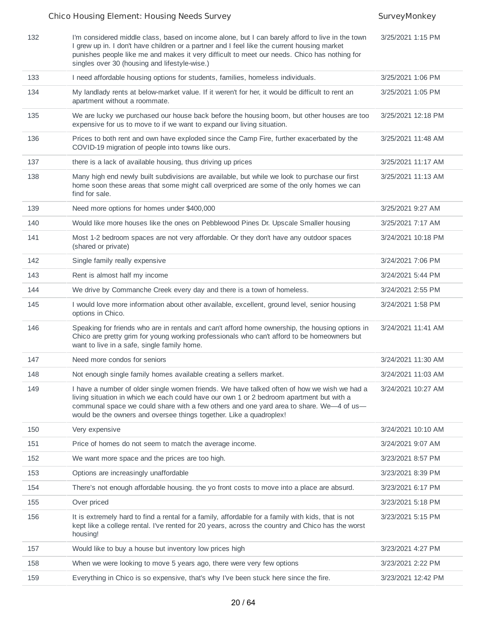| 132 | I'm considered middle class, based on income alone, but I can barely afford to live in the town<br>I grew up in. I don't have children or a partner and I feel like the current housing market<br>punishes people like me and makes it very difficult to meet our needs. Chico has nothing for<br>singles over 30 (housing and lifestyle-wise.)           | 3/25/2021 1:15 PM  |
|-----|-----------------------------------------------------------------------------------------------------------------------------------------------------------------------------------------------------------------------------------------------------------------------------------------------------------------------------------------------------------|--------------------|
| 133 | I need affordable housing options for students, families, homeless individuals.                                                                                                                                                                                                                                                                           | 3/25/2021 1:06 PM  |
| 134 | My landlady rents at below-market value. If it weren't for her, it would be difficult to rent an<br>apartment without a roommate.                                                                                                                                                                                                                         | 3/25/2021 1:05 PM  |
| 135 | We are lucky we purchased our house back before the housing boom, but other houses are too<br>expensive for us to move to if we want to expand our living situation.                                                                                                                                                                                      | 3/25/2021 12:18 PM |
| 136 | Prices to both rent and own have exploded since the Camp Fire, further exacerbated by the<br>COVID-19 migration of people into towns like ours.                                                                                                                                                                                                           | 3/25/2021 11:48 AM |
| 137 | there is a lack of available housing, thus driving up prices                                                                                                                                                                                                                                                                                              | 3/25/2021 11:17 AM |
| 138 | Many high end newly built subdivisions are available, but while we look to purchase our first<br>home soon these areas that some might call overpriced are some of the only homes we can<br>find for sale.                                                                                                                                                | 3/25/2021 11:13 AM |
| 139 | Need more options for homes under \$400,000                                                                                                                                                                                                                                                                                                               | 3/25/2021 9:27 AM  |
| 140 | Would like more houses like the ones on Pebblewood Pines Dr. Upscale Smaller housing                                                                                                                                                                                                                                                                      | 3/25/2021 7:17 AM  |
| 141 | Most 1-2 bedroom spaces are not very affordable. Or they don't have any outdoor spaces<br>(shared or private)                                                                                                                                                                                                                                             | 3/24/2021 10:18 PM |
| 142 | Single family really expensive                                                                                                                                                                                                                                                                                                                            | 3/24/2021 7:06 PM  |
| 143 | Rent is almost half my income                                                                                                                                                                                                                                                                                                                             | 3/24/2021 5:44 PM  |
| 144 | We drive by Commanche Creek every day and there is a town of homeless.                                                                                                                                                                                                                                                                                    | 3/24/2021 2:55 PM  |
| 145 | I would love more information about other available, excellent, ground level, senior housing<br>options in Chico.                                                                                                                                                                                                                                         | 3/24/2021 1:58 PM  |
| 146 | Speaking for friends who are in rentals and can't afford home ownership, the housing options in<br>Chico are pretty grim for young working professionals who can't afford to be homeowners but<br>want to live in a safe, single family home.                                                                                                             | 3/24/2021 11:41 AM |
| 147 | Need more condos for seniors                                                                                                                                                                                                                                                                                                                              | 3/24/2021 11:30 AM |
| 148 | Not enough single family homes available creating a sellers market.                                                                                                                                                                                                                                                                                       | 3/24/2021 11:03 AM |
| 149 | I have a number of older single women friends. We have talked often of how we wish we had a<br>living situation in which we each could have our own 1 or 2 bedroom apartment but with a<br>communal space we could share with a few others and one yard area to share. We-4 of us-<br>would be the owners and oversee things together. Like a quadroplex! | 3/24/2021 10:27 AM |
| 150 | Very expensive                                                                                                                                                                                                                                                                                                                                            | 3/24/2021 10:10 AM |
| 151 | Price of homes do not seem to match the average income.                                                                                                                                                                                                                                                                                                   | 3/24/2021 9:07 AM  |
| 152 | We want more space and the prices are too high.                                                                                                                                                                                                                                                                                                           | 3/23/2021 8:57 PM  |
| 153 | Options are increasingly unaffordable                                                                                                                                                                                                                                                                                                                     | 3/23/2021 8:39 PM  |
| 154 | There's not enough affordable housing. the yo front costs to move into a place are absurd.                                                                                                                                                                                                                                                                | 3/23/2021 6:17 PM  |
| 155 | Over priced                                                                                                                                                                                                                                                                                                                                               | 3/23/2021 5:18 PM  |
| 156 | It is extremely hard to find a rental for a family, affordable for a family with kids, that is not<br>kept like a college rental. I've rented for 20 years, across the country and Chico has the worst<br>housing!                                                                                                                                        | 3/23/2021 5:15 PM  |
| 157 | Would like to buy a house but inventory low prices high                                                                                                                                                                                                                                                                                                   | 3/23/2021 4:27 PM  |
| 158 | When we were looking to move 5 years ago, there were very few options                                                                                                                                                                                                                                                                                     | 3/23/2021 2:22 PM  |
| 159 | Everything in Chico is so expensive, that's why I've been stuck here since the fire.                                                                                                                                                                                                                                                                      | 3/23/2021 12:42 PM |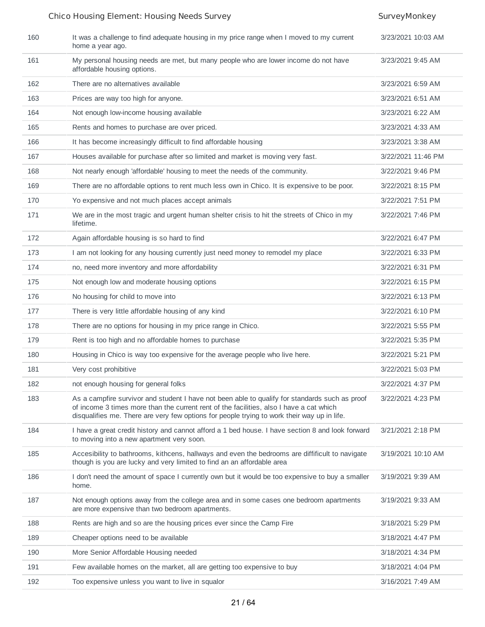| 160 | It was a challenge to find adequate housing in my price range when I moved to my current<br>home a year ago.                                                                                                                                                                             | 3/23/2021 10:03 AM |
|-----|------------------------------------------------------------------------------------------------------------------------------------------------------------------------------------------------------------------------------------------------------------------------------------------|--------------------|
| 161 | My personal housing needs are met, but many people who are lower income do not have<br>affordable housing options.                                                                                                                                                                       | 3/23/2021 9:45 AM  |
| 162 | There are no alternatives available                                                                                                                                                                                                                                                      | 3/23/2021 6:59 AM  |
| 163 | Prices are way too high for anyone.                                                                                                                                                                                                                                                      | 3/23/2021 6:51 AM  |
| 164 | Not enough low-income housing available                                                                                                                                                                                                                                                  | 3/23/2021 6:22 AM  |
| 165 | Rents and homes to purchase are over priced.                                                                                                                                                                                                                                             | 3/23/2021 4:33 AM  |
| 166 | It has become increasingly difficult to find affordable housing                                                                                                                                                                                                                          | 3/23/2021 3:38 AM  |
| 167 | Houses available for purchase after so limited and market is moving very fast.                                                                                                                                                                                                           | 3/22/2021 11:46 PM |
| 168 | Not nearly enough 'affordable' housing to meet the needs of the community.                                                                                                                                                                                                               | 3/22/2021 9:46 PM  |
| 169 | There are no affordable options to rent much less own in Chico. It is expensive to be poor.                                                                                                                                                                                              | 3/22/2021 8:15 PM  |
| 170 | Yo expensive and not much places accept animals                                                                                                                                                                                                                                          | 3/22/2021 7:51 PM  |
| 171 | We are in the most tragic and urgent human shelter crisis to hit the streets of Chico in my<br>lifetime.                                                                                                                                                                                 | 3/22/2021 7:46 PM  |
| 172 | Again affordable housing is so hard to find                                                                                                                                                                                                                                              | 3/22/2021 6:47 PM  |
| 173 | I am not looking for any housing currently just need money to remodel my place                                                                                                                                                                                                           | 3/22/2021 6:33 PM  |
| 174 | no, need more inventory and more affordability                                                                                                                                                                                                                                           | 3/22/2021 6:31 PM  |
| 175 | Not enough low and moderate housing options                                                                                                                                                                                                                                              | 3/22/2021 6:15 PM  |
| 176 | No housing for child to move into                                                                                                                                                                                                                                                        | 3/22/2021 6:13 PM  |
| 177 | There is very little affordable housing of any kind                                                                                                                                                                                                                                      | 3/22/2021 6:10 PM  |
| 178 | There are no options for housing in my price range in Chico.                                                                                                                                                                                                                             | 3/22/2021 5:55 PM  |
| 179 | Rent is too high and no affordable homes to purchase                                                                                                                                                                                                                                     | 3/22/2021 5:35 PM  |
| 180 | Housing in Chico is way too expensive for the average people who live here.                                                                                                                                                                                                              | 3/22/2021 5:21 PM  |
| 181 | Very cost prohibitive                                                                                                                                                                                                                                                                    | 3/22/2021 5:03 PM  |
| 182 | not enough housing for general folks                                                                                                                                                                                                                                                     | 3/22/2021 4:37 PM  |
| 183 | As a campfire survivor and student I have not been able to qualify for standards such as proof<br>of income 3 times more than the current rent of the facilities, also I have a cat which<br>disqualifies me. There are very few options for people trying to work their way up in life. | 3/22/2021 4:23 PM  |
| 184 | I have a great credit history and cannot afford a 1 bed house. I have section 8 and look forward<br>to moving into a new apartment very soon.                                                                                                                                            | 3/21/2021 2:18 PM  |
| 185 | Accesibility to bathrooms, kithcens, hallways and even the bedrooms are diffificult to navigate<br>though is you are lucky and very limited to find an an affordable area                                                                                                                | 3/19/2021 10:10 AM |
| 186 | I don't need the amount of space I currently own but it would be too expensive to buy a smaller<br>home.                                                                                                                                                                                 | 3/19/2021 9:39 AM  |
| 187 | Not enough options away from the college area and in some cases one bedroom apartments<br>are more expensive than two bedroom apartments.                                                                                                                                                | 3/19/2021 9:33 AM  |
| 188 | Rents are high and so are the housing prices ever since the Camp Fire                                                                                                                                                                                                                    | 3/18/2021 5:29 PM  |
| 189 | Cheaper options need to be available                                                                                                                                                                                                                                                     | 3/18/2021 4:47 PM  |
| 190 | More Senior Affordable Housing needed                                                                                                                                                                                                                                                    | 3/18/2021 4:34 PM  |
| 191 | Few available homes on the market, all are getting too expensive to buy                                                                                                                                                                                                                  | 3/18/2021 4:04 PM  |
| 192 | Too expensive unless you want to live in squalor                                                                                                                                                                                                                                         | 3/16/2021 7:49 AM  |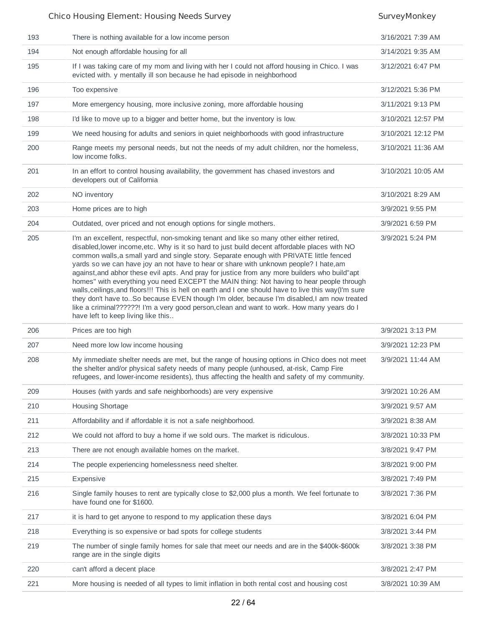| 193 | There is nothing available for a low income person                                                                                                                                                                                                                                                                                                                                                                                                                                                                                                                                                                                                                                                                                                                                                                                                                                                                 | 3/16/2021 7:39 AM  |
|-----|--------------------------------------------------------------------------------------------------------------------------------------------------------------------------------------------------------------------------------------------------------------------------------------------------------------------------------------------------------------------------------------------------------------------------------------------------------------------------------------------------------------------------------------------------------------------------------------------------------------------------------------------------------------------------------------------------------------------------------------------------------------------------------------------------------------------------------------------------------------------------------------------------------------------|--------------------|
| 194 | Not enough affordable housing for all                                                                                                                                                                                                                                                                                                                                                                                                                                                                                                                                                                                                                                                                                                                                                                                                                                                                              | 3/14/2021 9:35 AM  |
| 195 | If I was taking care of my mom and living with her I could not afford housing in Chico. I was<br>evicted with. y mentally ill son because he had episode in neighborhood                                                                                                                                                                                                                                                                                                                                                                                                                                                                                                                                                                                                                                                                                                                                           | 3/12/2021 6:47 PM  |
| 196 | Too expensive                                                                                                                                                                                                                                                                                                                                                                                                                                                                                                                                                                                                                                                                                                                                                                                                                                                                                                      | 3/12/2021 5:36 PM  |
| 197 | More emergency housing, more inclusive zoning, more affordable housing                                                                                                                                                                                                                                                                                                                                                                                                                                                                                                                                                                                                                                                                                                                                                                                                                                             | 3/11/2021 9:13 PM  |
| 198 | I'd like to move up to a bigger and better home, but the inventory is low.                                                                                                                                                                                                                                                                                                                                                                                                                                                                                                                                                                                                                                                                                                                                                                                                                                         | 3/10/2021 12:57 PM |
| 199 | We need housing for adults and seniors in quiet neighborhoods with good infrastructure                                                                                                                                                                                                                                                                                                                                                                                                                                                                                                                                                                                                                                                                                                                                                                                                                             | 3/10/2021 12:12 PM |
| 200 | Range meets my personal needs, but not the needs of my adult children, nor the homeless,<br>low income folks.                                                                                                                                                                                                                                                                                                                                                                                                                                                                                                                                                                                                                                                                                                                                                                                                      | 3/10/2021 11:36 AM |
| 201 | In an effort to control housing availability, the government has chased investors and<br>developers out of California                                                                                                                                                                                                                                                                                                                                                                                                                                                                                                                                                                                                                                                                                                                                                                                              | 3/10/2021 10:05 AM |
| 202 | NO inventory                                                                                                                                                                                                                                                                                                                                                                                                                                                                                                                                                                                                                                                                                                                                                                                                                                                                                                       | 3/10/2021 8:29 AM  |
| 203 | Home prices are to high                                                                                                                                                                                                                                                                                                                                                                                                                                                                                                                                                                                                                                                                                                                                                                                                                                                                                            | 3/9/2021 9:55 PM   |
| 204 | Outdated, over priced and not enough options for single mothers.                                                                                                                                                                                                                                                                                                                                                                                                                                                                                                                                                                                                                                                                                                                                                                                                                                                   | 3/9/2021 6:59 PM   |
| 205 | I'm an excellent, respectful, non-smoking tenant and like so many other either retired,<br>disabled, lower income, etc. Why is it so hard to just build decent affordable places with NO<br>common walls, a small yard and single story. Separate enough with PRIVATE little fenced<br>yards so we can have joy an not have to hear or share with unknown people? I hate, am<br>against, and abhor these evil apts. And pray for justice from any more builders who build"apt<br>homes" with everything you need EXCEPT the MAIN thing: Not having to hear people through<br>walls, ceilings, and floors!!! This is hell on earth and I one should have to live this way(I'm sure<br>they don't have toSo because EVEN though I'm older, because I'm disabled,I am now treated<br>like a criminal??????! I'm a very good person, clean and want to work. How many years do I<br>have left to keep living like this | 3/9/2021 5:24 PM   |
| 206 | Prices are too high                                                                                                                                                                                                                                                                                                                                                                                                                                                                                                                                                                                                                                                                                                                                                                                                                                                                                                | 3/9/2021 3:13 PM   |
| 207 | Need more low low income housing                                                                                                                                                                                                                                                                                                                                                                                                                                                                                                                                                                                                                                                                                                                                                                                                                                                                                   | 3/9/2021 12:23 PM  |
| 208 | My immediate shelter needs are met, but the range of housing options in Chico does not meet<br>the shelter and/or physical safety needs of many people (unhoused, at-risk, Camp Fire<br>refugees, and lower-income residents), thus affecting the health and safety of my community.                                                                                                                                                                                                                                                                                                                                                                                                                                                                                                                                                                                                                               | 3/9/2021 11:44 AM  |
| 209 | Houses (with yards and safe neighborhoods) are very expensive                                                                                                                                                                                                                                                                                                                                                                                                                                                                                                                                                                                                                                                                                                                                                                                                                                                      | 3/9/2021 10:26 AM  |
| 210 | Housing Shortage                                                                                                                                                                                                                                                                                                                                                                                                                                                                                                                                                                                                                                                                                                                                                                                                                                                                                                   | 3/9/2021 9:57 AM   |
| 211 | Affordability and if affordable it is not a safe neighborhood.                                                                                                                                                                                                                                                                                                                                                                                                                                                                                                                                                                                                                                                                                                                                                                                                                                                     | 3/9/2021 8:38 AM   |
| 212 | We could not afford to buy a home if we sold ours. The market is ridiculous.                                                                                                                                                                                                                                                                                                                                                                                                                                                                                                                                                                                                                                                                                                                                                                                                                                       | 3/8/2021 10:33 PM  |
| 213 | There are not enough available homes on the market.                                                                                                                                                                                                                                                                                                                                                                                                                                                                                                                                                                                                                                                                                                                                                                                                                                                                | 3/8/2021 9:47 PM   |
| 214 | The people experiencing homelessness need shelter.                                                                                                                                                                                                                                                                                                                                                                                                                                                                                                                                                                                                                                                                                                                                                                                                                                                                 | 3/8/2021 9:00 PM   |
| 215 | Expensive                                                                                                                                                                                                                                                                                                                                                                                                                                                                                                                                                                                                                                                                                                                                                                                                                                                                                                          | 3/8/2021 7:49 PM   |
| 216 | Single family houses to rent are typically close to \$2,000 plus a month. We feel fortunate to<br>have found one for \$1600.                                                                                                                                                                                                                                                                                                                                                                                                                                                                                                                                                                                                                                                                                                                                                                                       | 3/8/2021 7:36 PM   |
| 217 | it is hard to get anyone to respond to my application these days                                                                                                                                                                                                                                                                                                                                                                                                                                                                                                                                                                                                                                                                                                                                                                                                                                                   | 3/8/2021 6:04 PM   |
| 218 | Everything is so expensive or bad spots for college students                                                                                                                                                                                                                                                                                                                                                                                                                                                                                                                                                                                                                                                                                                                                                                                                                                                       | 3/8/2021 3:44 PM   |
| 219 | The number of single family homes for sale that meet our needs and are in the \$400k-\$600k<br>range are in the single digits                                                                                                                                                                                                                                                                                                                                                                                                                                                                                                                                                                                                                                                                                                                                                                                      | 3/8/2021 3:38 PM   |
| 220 | can't afford a decent place                                                                                                                                                                                                                                                                                                                                                                                                                                                                                                                                                                                                                                                                                                                                                                                                                                                                                        | 3/8/2021 2:47 PM   |
| 221 | More housing is needed of all types to limit inflation in both rental cost and housing cost                                                                                                                                                                                                                                                                                                                                                                                                                                                                                                                                                                                                                                                                                                                                                                                                                        | 3/8/2021 10:39 AM  |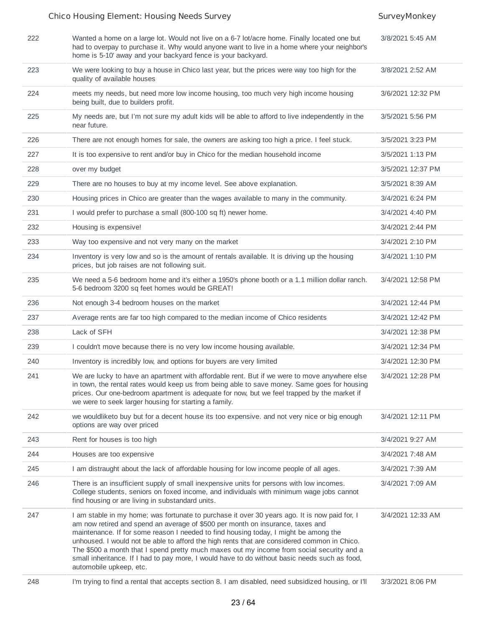### Chico Housing Element: Housing Needs Survey Survey SurveyMonkey 222 Wanted a home on a large lot. Would not live on a 6-7 lot/acre home. Finally located one but had to overpay to purchase it. Why would anyone want to live in a home where your neighbor's home is 5-10' away and your backyard fence is your backyard. 3/8/2021 5:45 AM 223 We were looking to buy a house in Chico last year, but the prices were way too high for the quality of available houses 3/8/2021 2:52 AM 224 meets my needs, but need more low income housing, too much very high income housing being built, due to builders profit. 3/6/2021 12:32 PM 225 My needs are, but I'm not sure my adult kids will be able to afford to live independently in the near future. 3/5/2021 5:56 PM 226 There are not enough homes for sale, the owners are asking too high a price. I feel stuck. 3/5/2021 3:23 PM 227 It is too expensive to rent and/or buy in Chico for the median household income 3/5/2021 1:13 PM over my budget and the state of the state of the state 3/5/2021 12:37 PM 229 There are no houses to buy at my income level. See above explanation. 3/5/2021 8:39 AM 230 Housing prices in Chico are greater than the wages available to many in the community. 3/4/2021 6:24 PM 231 I would prefer to purchase a small (800-100 sq ft) newer home. 3/4/2021 4:40 PM 232 Housing is expensive! 3/4/2021 2:44 PM 233 Way too expensive and not very many on the market 3/4/2021 2:10 PM 234 Inventory is very low and so is the amount of rentals available. It is driving up the housing prices, but job raises are not following suit. 3/4/2021 1:10 PM 235 We need a 5-6 bedroom home and it's either a 1950's phone booth or a 1.1 million dollar ranch. 5-6 bedroom 3200 sq feet homes would be GREAT! 3/4/2021 12:58 PM 236 Not enough 3-4 bedroom houses on the market 3/4/2021 12:44 PM 237 Average rents are far too high compared to the median income of Chico residents 3/4/2021 12:42 PM 238 Lack of SFH 3/4/2021 12:38 PM 239 I couldn't move because there is no very low income housing available. 3/4/2021 12:34 PM 240 Inventory is incredibly low, and options for buyers are very limited 3/4/2021 12:30 PM 241 We are lucky to have an apartment with affordable rent. But if we were to move anywhere else in town, the rental rates would keep us from being able to save money. Same goes for housing prices. Our one-bedroom apartment is adequate for now, but we feel trapped by the market if we were to seek larger housing for starting a family. 3/4/2021 12:28 PM 242 we wouldliketo buy but for a decent house its too expensive. and not very nice or big enough options are way over priced 3/4/2021 12:11 PM 243 Rent for houses is too high 3/4/2021 9:27 AM 244 Houses are too expensive 3/4/2021 7:48 AM 245 I am distraught about the lack of affordable housing for low income people of all ages. 3/4/2021 7:39 AM 246 There is an insufficient supply of small inexpensive units for persons with low incomes. 3/4/2021 7:09 AM

find housing or are living in substandard units. 247 I am stable in my home; was fortunate to purchase it over 30 years ago. It is now paid for, I am now retired and spend an average of \$500 per month on insurance, taxes and maintenance. If for some reason I needed to find housing today, I might be among the unhoused. I would not be able to afford the high rents that are considered common in Chico. The \$500 a month that I spend pretty much maxes out my income from social security and a small inheritance. If I had to pay more, I would have to do without basic needs such as food, automobile upkeep, etc. 3/4/2021 12:33 AM

College students, seniors on foxed income, and individuals with minimum wage jobs cannot

248 I'm trying to find a rental that accepts section 8. I am disabled, need subsidized housing, or I'll 3/3/2021 8:06 PM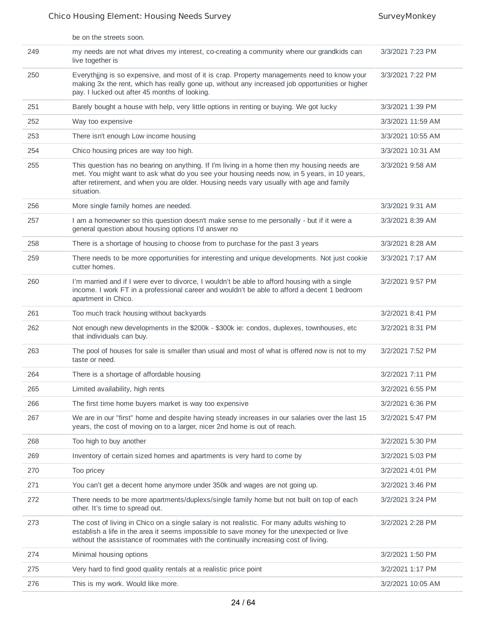|     | be on the streets soon.                                                                                                                                                                                                                                                                              |                   |
|-----|------------------------------------------------------------------------------------------------------------------------------------------------------------------------------------------------------------------------------------------------------------------------------------------------------|-------------------|
| 249 | my needs are not what drives my interest, co-creating a community where our grandkids can<br>live together is                                                                                                                                                                                        | 3/3/2021 7:23 PM  |
| 250 | Everythjing is so expensive, and most of it is crap. Property managements need to know your<br>making 3x the rent, which has really gone up, without any increased job opportunities or higher<br>pay. I lucked out after 45 months of looking.                                                      | 3/3/2021 7:22 PM  |
| 251 | Barely bought a house with help, very little options in renting or buying. We got lucky                                                                                                                                                                                                              | 3/3/2021 1:39 PM  |
| 252 | Way too expensive                                                                                                                                                                                                                                                                                    | 3/3/2021 11:59 AM |
| 253 | There isn't enough Low income housing                                                                                                                                                                                                                                                                | 3/3/2021 10:55 AM |
| 254 | Chico housing prices are way too high.                                                                                                                                                                                                                                                               | 3/3/2021 10:31 AM |
| 255 | This question has no bearing on anything. If I'm living in a home then my housing needs are<br>met. You might want to ask what do you see your housing needs now, in 5 years, in 10 years,<br>after retirement, and when you are older. Housing needs vary usually with age and family<br>situation. | 3/3/2021 9:58 AM  |
| 256 | More single family homes are needed.                                                                                                                                                                                                                                                                 | 3/3/2021 9:31 AM  |
| 257 | I am a homeowner so this question doesn't make sense to me personally - but if it were a<br>general question about housing options I'd answer no                                                                                                                                                     | 3/3/2021 8:39 AM  |
| 258 | There is a shortage of housing to choose from to purchase for the past 3 years                                                                                                                                                                                                                       | 3/3/2021 8:28 AM  |
| 259 | There needs to be more opportunities for interesting and unique developments. Not just cookie<br>cutter homes.                                                                                                                                                                                       | 3/3/2021 7:17 AM  |
| 260 | I'm married and if I were ever to divorce, I wouldn't be able to afford housing with a single<br>income. I work FT in a professional career and wouldn't be able to afford a decent 1 bedroom<br>apartment in Chico.                                                                                 | 3/2/2021 9:57 PM  |
| 261 | Too much track housing without backyards                                                                                                                                                                                                                                                             | 3/2/2021 8:41 PM  |
| 262 | Not enough new developments in the \$200k - \$300k ie: condos, duplexes, townhouses, etc<br>that individuals can buy.                                                                                                                                                                                | 3/2/2021 8:31 PM  |
| 263 | The pool of houses for sale is smaller than usual and most of what is offered now is not to my<br>taste or need.                                                                                                                                                                                     | 3/2/2021 7:52 PM  |
| 264 | There is a shortage of affordable housing                                                                                                                                                                                                                                                            | 3/2/2021 7:11 PM  |
| 265 | Limited availability, high rents                                                                                                                                                                                                                                                                     | 3/2/2021 6:55 PM  |
| 266 | The first time home buyers market is way too expensive                                                                                                                                                                                                                                               | 3/2/2021 6:36 PM  |
| 267 | We are in our "first" home and despite having steady increases in our salaries over the last 15<br>years, the cost of moving on to a larger, nicer 2nd home is out of reach.                                                                                                                         | 3/2/2021 5:47 PM  |
| 268 | Too high to buy another                                                                                                                                                                                                                                                                              | 3/2/2021 5:30 PM  |
| 269 | Inventory of certain sized homes and apartments is very hard to come by                                                                                                                                                                                                                              | 3/2/2021 5:03 PM  |
| 270 | Too pricey                                                                                                                                                                                                                                                                                           | 3/2/2021 4:01 PM  |
| 271 | You can't get a decent home anymore under 350k and wages are not going up.                                                                                                                                                                                                                           | 3/2/2021 3:46 PM  |
| 272 | There needs to be more apartments/duplexs/single family home but not built on top of each<br>other. It's time to spread out.                                                                                                                                                                         | 3/2/2021 3:24 PM  |
| 273 | The cost of living in Chico on a single salary is not realistic. For many adults wishing to<br>establish a life in the area it seems impossible to save money for the unexpected or live<br>without the assistance of roommates with the continually increasing cost of living.                      | 3/2/2021 2:28 PM  |
| 274 | Minimal housing options                                                                                                                                                                                                                                                                              | 3/2/2021 1:50 PM  |
| 275 | Very hard to find good quality rentals at a realistic price point                                                                                                                                                                                                                                    | 3/2/2021 1:17 PM  |
| 276 | This is my work. Would like more.                                                                                                                                                                                                                                                                    | 3/2/2021 10:05 AM |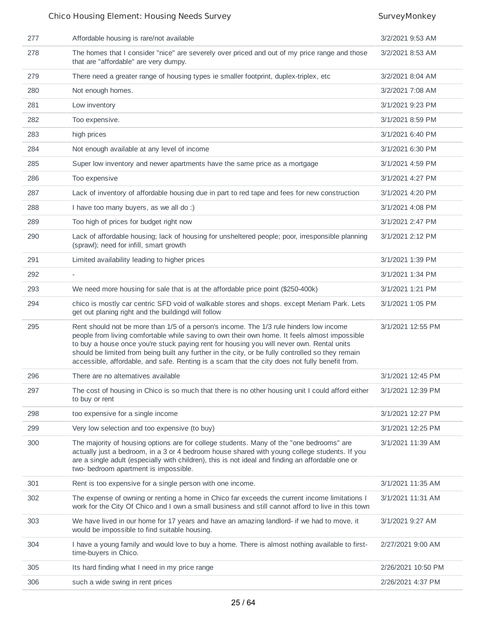| 277 | Affordable housing is rare/not available                                                                                                                                                                                                                                                                                                                                                                                                                                                    | 3/2/2021 9:53 AM   |
|-----|---------------------------------------------------------------------------------------------------------------------------------------------------------------------------------------------------------------------------------------------------------------------------------------------------------------------------------------------------------------------------------------------------------------------------------------------------------------------------------------------|--------------------|
| 278 | The homes that I consider "nice" are severely over priced and out of my price range and those<br>that are "affordable" are very dumpy.                                                                                                                                                                                                                                                                                                                                                      | 3/2/2021 8:53 AM   |
| 279 | There need a greater range of housing types ie smaller footprint, duplex-triplex, etc.                                                                                                                                                                                                                                                                                                                                                                                                      | 3/2/2021 8:04 AM   |
| 280 | Not enough homes.                                                                                                                                                                                                                                                                                                                                                                                                                                                                           | 3/2/2021 7:08 AM   |
| 281 | Low inventory                                                                                                                                                                                                                                                                                                                                                                                                                                                                               | 3/1/2021 9:23 PM   |
| 282 | Too expensive.                                                                                                                                                                                                                                                                                                                                                                                                                                                                              | 3/1/2021 8:59 PM   |
| 283 | high prices                                                                                                                                                                                                                                                                                                                                                                                                                                                                                 | 3/1/2021 6:40 PM   |
| 284 | Not enough available at any level of income                                                                                                                                                                                                                                                                                                                                                                                                                                                 | 3/1/2021 6:30 PM   |
| 285 | Super low inventory and newer apartments have the same price as a mortgage                                                                                                                                                                                                                                                                                                                                                                                                                  | 3/1/2021 4:59 PM   |
| 286 | Too expensive                                                                                                                                                                                                                                                                                                                                                                                                                                                                               | 3/1/2021 4:27 PM   |
| 287 | Lack of inventory of affordable housing due in part to red tape and fees for new construction                                                                                                                                                                                                                                                                                                                                                                                               | 3/1/2021 4:20 PM   |
| 288 | I have too many buyers, as we all do :)                                                                                                                                                                                                                                                                                                                                                                                                                                                     | 3/1/2021 4:08 PM   |
| 289 | Too high of prices for budget right now                                                                                                                                                                                                                                                                                                                                                                                                                                                     | 3/1/2021 2:47 PM   |
| 290 | Lack of affordable housing; lack of housing for unsheltered people; poor, irresponsible planning<br>(sprawl); need for infill, smart growth                                                                                                                                                                                                                                                                                                                                                 | 3/1/2021 2:12 PM   |
| 291 | Limited availability leading to higher prices                                                                                                                                                                                                                                                                                                                                                                                                                                               | 3/1/2021 1:39 PM   |
| 292 |                                                                                                                                                                                                                                                                                                                                                                                                                                                                                             | 3/1/2021 1:34 PM   |
| 293 | We need more housing for sale that is at the affordable price point (\$250-400k)                                                                                                                                                                                                                                                                                                                                                                                                            | 3/1/2021 1:21 PM   |
| 294 | chico is mostly car centric SFD void of walkable stores and shops. except Meriam Park. Lets<br>get out planing right and the buildingd will follow                                                                                                                                                                                                                                                                                                                                          | 3/1/2021 1:05 PM   |
| 295 | Rent should not be more than 1/5 of a person's income. The 1/3 rule hinders low income<br>people from living comfortable while saving to own their own home. It feels almost impossible<br>to buy a house once you're stuck paying rent for housing you will never own. Rental units<br>should be limited from being built any further in the city, or be fully controlled so they remain<br>accessible, affordable, and safe. Renting is a scam that the city does not fully benefit from. | 3/1/2021 12:55 PM  |
| 296 | There are no alternatives available                                                                                                                                                                                                                                                                                                                                                                                                                                                         | 3/1/2021 12:45 PM  |
| 297 | The cost of housing in Chico is so much that there is no other housing unit I could afford either<br>to buy or rent                                                                                                                                                                                                                                                                                                                                                                         | 3/1/2021 12:39 PM  |
| 298 | too expensive for a single income                                                                                                                                                                                                                                                                                                                                                                                                                                                           | 3/1/2021 12:27 PM  |
| 299 | Very low selection and too expensive (to buy)                                                                                                                                                                                                                                                                                                                                                                                                                                               | 3/1/2021 12:25 PM  |
| 300 | The majority of housing options are for college students. Many of the "one bedrooms" are<br>actually just a bedroom, in a 3 or 4 bedroom house shared with young college students. If you<br>are a single adult (especially with children), this is not ideal and finding an affordable one or<br>two- bedroom apartment is impossible.                                                                                                                                                     | 3/1/2021 11:39 AM  |
| 301 | Rent is too expensive for a single person with one income.                                                                                                                                                                                                                                                                                                                                                                                                                                  | 3/1/2021 11:35 AM  |
| 302 | The expense of owning or renting a home in Chico far exceeds the current income limitations I<br>work for the City Of Chico and I own a small business and still cannot afford to live in this town                                                                                                                                                                                                                                                                                         | 3/1/2021 11:31 AM  |
| 303 | We have lived in our home for 17 years and have an amazing landlord- if we had to move, it<br>would be impossible to find suitable housing.                                                                                                                                                                                                                                                                                                                                                 | 3/1/2021 9:27 AM   |
| 304 | I have a young family and would love to buy a home. There is almost nothing available to first-<br>time-buyers in Chico.                                                                                                                                                                                                                                                                                                                                                                    | 2/27/2021 9:00 AM  |
| 305 | Its hard finding what I need in my price range                                                                                                                                                                                                                                                                                                                                                                                                                                              | 2/26/2021 10:50 PM |
| 306 | such a wide swing in rent prices                                                                                                                                                                                                                                                                                                                                                                                                                                                            | 2/26/2021 4:37 PM  |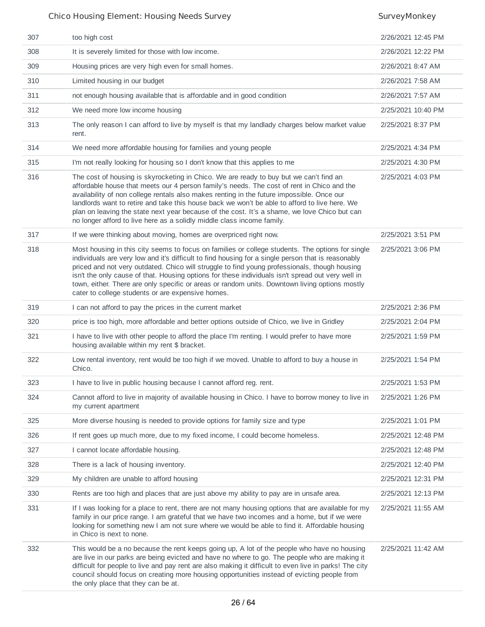| 307 | too high cost                                                                                                                                                                                                                                                                                                                                                                                                                                                                                                                                                       | 2/26/2021 12:45 PM |
|-----|---------------------------------------------------------------------------------------------------------------------------------------------------------------------------------------------------------------------------------------------------------------------------------------------------------------------------------------------------------------------------------------------------------------------------------------------------------------------------------------------------------------------------------------------------------------------|--------------------|
| 308 | It is severely limited for those with low income.                                                                                                                                                                                                                                                                                                                                                                                                                                                                                                                   | 2/26/2021 12:22 PM |
| 309 | Housing prices are very high even for small homes.                                                                                                                                                                                                                                                                                                                                                                                                                                                                                                                  | 2/26/2021 8:47 AM  |
| 310 | Limited housing in our budget                                                                                                                                                                                                                                                                                                                                                                                                                                                                                                                                       | 2/26/2021 7:58 AM  |
| 311 | not enough housing available that is affordable and in good condition                                                                                                                                                                                                                                                                                                                                                                                                                                                                                               | 2/26/2021 7:57 AM  |
| 312 | We need more low income housing                                                                                                                                                                                                                                                                                                                                                                                                                                                                                                                                     | 2/25/2021 10:40 PM |
| 313 | The only reason I can afford to live by myself is that my landlady charges below market value<br>rent.                                                                                                                                                                                                                                                                                                                                                                                                                                                              | 2/25/2021 8:37 PM  |
| 314 | We need more affordable housing for families and young people                                                                                                                                                                                                                                                                                                                                                                                                                                                                                                       | 2/25/2021 4:34 PM  |
| 315 | I'm not really looking for housing so I don't know that this applies to me                                                                                                                                                                                                                                                                                                                                                                                                                                                                                          | 2/25/2021 4:30 PM  |
| 316 | The cost of housing is skyrocketing in Chico. We are ready to buy but we can't find an<br>affordable house that meets our 4 person family's needs. The cost of rent in Chico and the<br>availability of non college rentals also makes renting in the future impossible. Once our<br>landlords want to retire and take this house back we won't be able to afford to live here. We<br>plan on leaving the state next year because of the cost. It's a shame, we love Chico but can<br>no longer afford to live here as a solidly middle class income family.        | 2/25/2021 4:03 PM  |
| 317 | If we were thinking about moving, homes are overpriced right now.                                                                                                                                                                                                                                                                                                                                                                                                                                                                                                   | 2/25/2021 3:51 PM  |
| 318 | Most housing in this city seems to focus on families or college students. The options for single<br>individuals are very low and it's difficult to find housing for a single person that is reasonably<br>priced and not very outdated. Chico will struggle to find young professionals, though housing<br>isn't the only cause of that. Housing options for these individuals isn't spread out very well in<br>town, either. There are only specific or areas or random units. Downtown living options mostly<br>cater to college students or are expensive homes. | 2/25/2021 3:06 PM  |
| 319 | I can not afford to pay the prices in the current market                                                                                                                                                                                                                                                                                                                                                                                                                                                                                                            | 2/25/2021 2:36 PM  |
| 320 | price is too high, more affordable and better options outside of Chico, we live in Gridley                                                                                                                                                                                                                                                                                                                                                                                                                                                                          | 2/25/2021 2:04 PM  |
| 321 | I have to live with other people to afford the place I'm renting. I would prefer to have more<br>housing available within my rent \$ bracket.                                                                                                                                                                                                                                                                                                                                                                                                                       | 2/25/2021 1:59 PM  |
| 322 | Low rental inventory, rent would be too high if we moved. Unable to afford to buy a house in<br>Chico.                                                                                                                                                                                                                                                                                                                                                                                                                                                              | 2/25/2021 1:54 PM  |
| 323 | I have to live in public housing because I cannot afford reg. rent.                                                                                                                                                                                                                                                                                                                                                                                                                                                                                                 | 2/25/2021 1:53 PM  |
| 324 | Cannot afford to live in majority of available housing in Chico. I have to borrow money to live in<br>my current apartment                                                                                                                                                                                                                                                                                                                                                                                                                                          | 2/25/2021 1:26 PM  |
| 325 | More diverse housing is needed to provide options for family size and type                                                                                                                                                                                                                                                                                                                                                                                                                                                                                          | 2/25/2021 1:01 PM  |
| 326 | If rent goes up much more, due to my fixed income, I could become homeless.                                                                                                                                                                                                                                                                                                                                                                                                                                                                                         | 2/25/2021 12:48 PM |
| 327 | I cannot locate affordable housing.                                                                                                                                                                                                                                                                                                                                                                                                                                                                                                                                 | 2/25/2021 12:48 PM |
| 328 | There is a lack of housing inventory.                                                                                                                                                                                                                                                                                                                                                                                                                                                                                                                               | 2/25/2021 12:40 PM |
| 329 | My children are unable to afford housing                                                                                                                                                                                                                                                                                                                                                                                                                                                                                                                            | 2/25/2021 12:31 PM |
| 330 | Rents are too high and places that are just above my ability to pay are in unsafe area.                                                                                                                                                                                                                                                                                                                                                                                                                                                                             | 2/25/2021 12:13 PM |
| 331 | If I was looking for a place to rent, there are not many housing options that are available for my<br>family in our price range. I am grateful that we have two incomes and a home, but if we were<br>looking for something new I am not sure where we would be able to find it. Affordable housing<br>in Chico is next to none.                                                                                                                                                                                                                                    | 2/25/2021 11:55 AM |
| 332 | This would be a no because the rent keeps going up, A lot of the people who have no housing<br>are live in our parks are being evicted and have no where to go. The people who are making it<br>difficult for people to live and pay rent are also making it difficult to even live in parks! The city<br>council should focus on creating more housing opportunities instead of evicting people from<br>the only place that they can be at.                                                                                                                        | 2/25/2021 11:42 AM |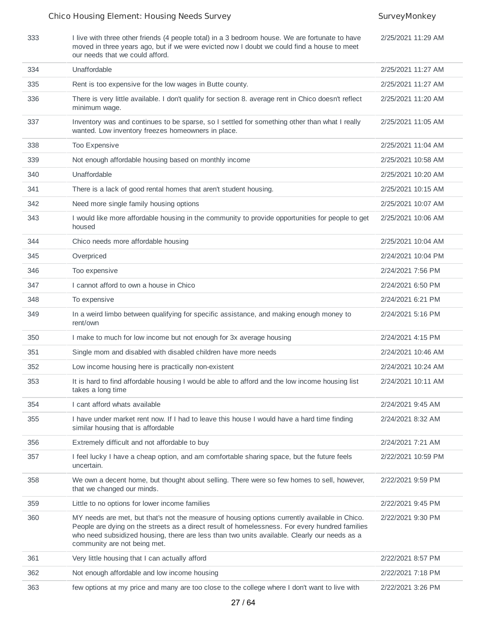2/25/2021 11:29 AM

| 333 | I live with three other friends (4 people total) in a 3 bedroom house. We are fortunate to have |
|-----|-------------------------------------------------------------------------------------------------|
|     | moved in three years ago, but if we were evicted now I doubt we could find a house to meet      |
|     | our needs that we could afford.                                                                 |

| 334 | Unaffordable                                                                                                                                                                                                                                                                                                                    | 2/25/2021 11:27 AM |
|-----|---------------------------------------------------------------------------------------------------------------------------------------------------------------------------------------------------------------------------------------------------------------------------------------------------------------------------------|--------------------|
| 335 | Rent is too expensive for the low wages in Butte county.                                                                                                                                                                                                                                                                        | 2/25/2021 11:27 AM |
| 336 | There is very little available. I don't qualify for section 8. average rent in Chico doesn't reflect<br>minimum wage.                                                                                                                                                                                                           | 2/25/2021 11:20 AM |
| 337 | Inventory was and continues to be sparse, so I settled for something other than what I really<br>wanted. Low inventory freezes homeowners in place.                                                                                                                                                                             | 2/25/2021 11:05 AM |
| 338 | Too Expensive                                                                                                                                                                                                                                                                                                                   | 2/25/2021 11:04 AM |
| 339 | Not enough affordable housing based on monthly income                                                                                                                                                                                                                                                                           | 2/25/2021 10:58 AM |
| 340 | Unaffordable                                                                                                                                                                                                                                                                                                                    | 2/25/2021 10:20 AM |
| 341 | There is a lack of good rental homes that aren't student housing.                                                                                                                                                                                                                                                               | 2/25/2021 10:15 AM |
| 342 | Need more single family housing options                                                                                                                                                                                                                                                                                         | 2/25/2021 10:07 AM |
| 343 | I would like more affordable housing in the community to provide opportunities for people to get<br>housed                                                                                                                                                                                                                      | 2/25/2021 10:06 AM |
| 344 | Chico needs more affordable housing                                                                                                                                                                                                                                                                                             | 2/25/2021 10:04 AM |
| 345 | Overpriced                                                                                                                                                                                                                                                                                                                      | 2/24/2021 10:04 PM |
| 346 | Too expensive                                                                                                                                                                                                                                                                                                                   | 2/24/2021 7:56 PM  |
| 347 | I cannot afford to own a house in Chico                                                                                                                                                                                                                                                                                         | 2/24/2021 6:50 PM  |
| 348 | To expensive                                                                                                                                                                                                                                                                                                                    | 2/24/2021 6:21 PM  |
| 349 | In a weird limbo between qualifying for specific assistance, and making enough money to<br>rent/own                                                                                                                                                                                                                             | 2/24/2021 5:16 PM  |
| 350 | I make to much for low income but not enough for 3x average housing                                                                                                                                                                                                                                                             | 2/24/2021 4:15 PM  |
| 351 | Single mom and disabled with disabled children have more needs                                                                                                                                                                                                                                                                  | 2/24/2021 10:46 AM |
| 352 | Low income housing here is practically non-existent                                                                                                                                                                                                                                                                             | 2/24/2021 10:24 AM |
| 353 | It is hard to find affordable housing I would be able to afford and the low income housing list<br>takes a long time                                                                                                                                                                                                            | 2/24/2021 10:11 AM |
| 354 | I cant afford whats available                                                                                                                                                                                                                                                                                                   | 2/24/2021 9:45 AM  |
| 355 | I have under market rent now. If I had to leave this house I would have a hard time finding<br>similar housing that is affordable                                                                                                                                                                                               | 2/24/2021 8:32 AM  |
| 356 | Extremely difficult and not affordable to buy                                                                                                                                                                                                                                                                                   | 2/24/2021 7:21 AM  |
| 357 | I feel lucky I have a cheap option, and am comfortable sharing space, but the future feels<br>uncertain.                                                                                                                                                                                                                        | 2/22/2021 10:59 PM |
| 358 | We own a decent home, but thought about selling. There were so few homes to sell, however,<br>that we changed our minds.                                                                                                                                                                                                        | 2/22/2021 9:59 PM  |
| 359 | Little to no options for lower income families                                                                                                                                                                                                                                                                                  | 2/22/2021 9:45 PM  |
| 360 | MY needs are met, but that's not the measure of housing options currently available in Chico.<br>People are dying on the streets as a direct result of homelessness. For every hundred families<br>who need subsidized housing, there are less than two units available. Clearly our needs as a<br>community are not being met. | 2/22/2021 9:30 PM  |
| 361 | Very little housing that I can actually afford                                                                                                                                                                                                                                                                                  | 2/22/2021 8:57 PM  |
| 362 | Not enough affordable and low income housing                                                                                                                                                                                                                                                                                    | 2/22/2021 7:18 PM  |
| 363 | few options at my price and many are too close to the college where I don't want to live with                                                                                                                                                                                                                                   | 2/22/2021 3:26 PM  |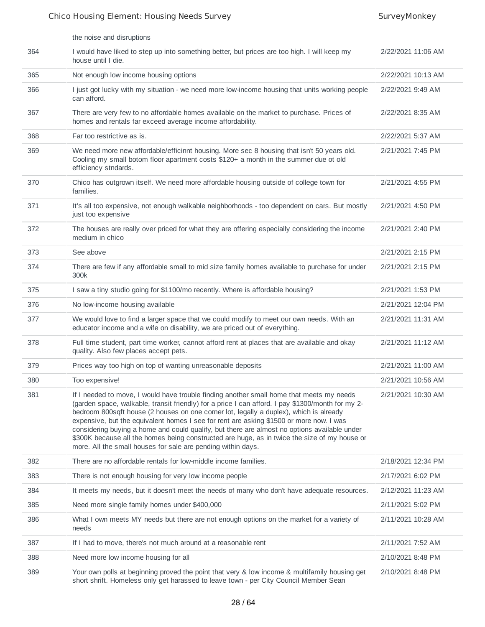|     | the noise and disruptions                                                                                                                                                                                                                                                                                                                                                                                                                                                                                                                                                                                                                          |                    |
|-----|----------------------------------------------------------------------------------------------------------------------------------------------------------------------------------------------------------------------------------------------------------------------------------------------------------------------------------------------------------------------------------------------------------------------------------------------------------------------------------------------------------------------------------------------------------------------------------------------------------------------------------------------------|--------------------|
| 364 | I would have liked to step up into something better, but prices are too high. I will keep my<br>house until I die.                                                                                                                                                                                                                                                                                                                                                                                                                                                                                                                                 | 2/22/2021 11:06 AM |
| 365 | Not enough low income housing options                                                                                                                                                                                                                                                                                                                                                                                                                                                                                                                                                                                                              | 2/22/2021 10:13 AM |
| 366 | I just got lucky with my situation - we need more low-income housing that units working people<br>can afford.                                                                                                                                                                                                                                                                                                                                                                                                                                                                                                                                      | 2/22/2021 9:49 AM  |
| 367 | There are very few to no affordable homes available on the market to purchase. Prices of<br>homes and rentals far exceed average income affordability.                                                                                                                                                                                                                                                                                                                                                                                                                                                                                             | 2/22/2021 8:35 AM  |
| 368 | Far too restrictive as is.                                                                                                                                                                                                                                                                                                                                                                                                                                                                                                                                                                                                                         | 2/22/2021 5:37 AM  |
| 369 | We need more new affordable/efficinnt housing. More sec 8 housing that isn't 50 years old.<br>Cooling my small botom floor apartment costs \$120+ a month in the summer due ot old<br>efficiency stndards.                                                                                                                                                                                                                                                                                                                                                                                                                                         | 2/21/2021 7:45 PM  |
| 370 | Chico has outgrown itself. We need more affordable housing outside of college town for<br>families.                                                                                                                                                                                                                                                                                                                                                                                                                                                                                                                                                | 2/21/2021 4:55 PM  |
| 371 | It's all too expensive, not enough walkable neighborhoods - too dependent on cars. But mostly<br>just too expensive                                                                                                                                                                                                                                                                                                                                                                                                                                                                                                                                | 2/21/2021 4:50 PM  |
| 372 | The houses are really over priced for what they are offering especially considering the income<br>medium in chico                                                                                                                                                                                                                                                                                                                                                                                                                                                                                                                                  | 2/21/2021 2:40 PM  |
| 373 | See above                                                                                                                                                                                                                                                                                                                                                                                                                                                                                                                                                                                                                                          | 2/21/2021 2:15 PM  |
| 374 | There are few if any affordable small to mid size family homes available to purchase for under<br>300k                                                                                                                                                                                                                                                                                                                                                                                                                                                                                                                                             | 2/21/2021 2:15 PM  |
| 375 | I saw a tiny studio going for \$1100/mo recently. Where is affordable housing?                                                                                                                                                                                                                                                                                                                                                                                                                                                                                                                                                                     | 2/21/2021 1:53 PM  |
| 376 | No low-income housing available                                                                                                                                                                                                                                                                                                                                                                                                                                                                                                                                                                                                                    | 2/21/2021 12:04 PM |
| 377 | We would love to find a larger space that we could modify to meet our own needs. With an<br>educator income and a wife on disability, we are priced out of everything.                                                                                                                                                                                                                                                                                                                                                                                                                                                                             | 2/21/2021 11:31 AM |
| 378 | Full time student, part time worker, cannot afford rent at places that are available and okay<br>quality. Also few places accept pets.                                                                                                                                                                                                                                                                                                                                                                                                                                                                                                             | 2/21/2021 11:12 AM |
| 379 | Prices way too high on top of wanting unreasonable deposits                                                                                                                                                                                                                                                                                                                                                                                                                                                                                                                                                                                        | 2/21/2021 11:00 AM |
| 380 | Too expensive!                                                                                                                                                                                                                                                                                                                                                                                                                                                                                                                                                                                                                                     | 2/21/2021 10:56 AM |
| 381 | If I needed to move, I would have trouble finding another small home that meets my needs<br>(garden space, walkable, transit friendly) for a price I can afford. I pay \$1300/month for my 2-<br>bedroom 800sqft house (2 houses on one corner lot, legally a duplex), which is already<br>expensive, but the equivalent homes I see for rent are asking \$1500 or more now. I was<br>considering buying a home and could qualify, but there are almost no options available under<br>\$300K because all the homes being constructed are huge, as in twice the size of my house or<br>more. All the small houses for sale are pending within days. | 2/21/2021 10:30 AM |
| 382 | There are no affordable rentals for low-middle income families.                                                                                                                                                                                                                                                                                                                                                                                                                                                                                                                                                                                    | 2/18/2021 12:34 PM |
| 383 | There is not enough housing for very low income people                                                                                                                                                                                                                                                                                                                                                                                                                                                                                                                                                                                             | 2/17/2021 6:02 PM  |
| 384 | It meets my needs, but it doesn't meet the needs of many who don't have adequate resources.                                                                                                                                                                                                                                                                                                                                                                                                                                                                                                                                                        | 2/12/2021 11:23 AM |
| 385 | Need more single family homes under \$400,000                                                                                                                                                                                                                                                                                                                                                                                                                                                                                                                                                                                                      | 2/11/2021 5:02 PM  |
| 386 | What I own meets MY needs but there are not enough options on the market for a variety of<br>needs                                                                                                                                                                                                                                                                                                                                                                                                                                                                                                                                                 | 2/11/2021 10:28 AM |
| 387 | If I had to move, there's not much around at a reasonable rent                                                                                                                                                                                                                                                                                                                                                                                                                                                                                                                                                                                     | 2/11/2021 7:52 AM  |
| 388 | Need more low income housing for all                                                                                                                                                                                                                                                                                                                                                                                                                                                                                                                                                                                                               | 2/10/2021 8:48 PM  |
| 389 | Your own polls at beginning proved the point that very & low income & multifamily housing get<br>short shrift. Homeless only get harassed to leave town - per City Council Member Sean                                                                                                                                                                                                                                                                                                                                                                                                                                                             | 2/10/2021 8:48 PM  |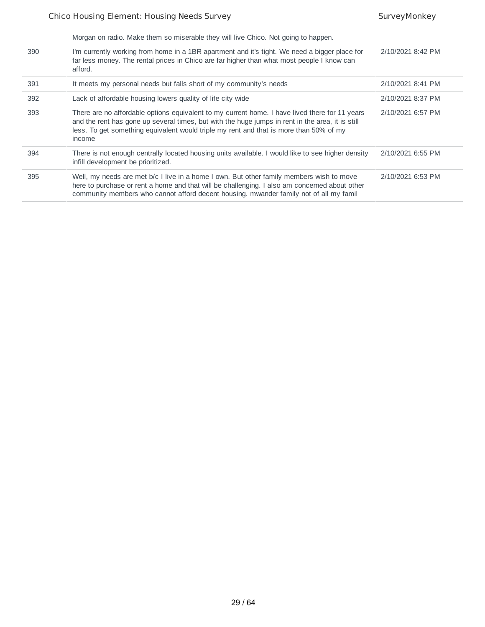|     | Morgan on radio. Make them so miserable they will live Chico. Not going to happen.                                                                                                                                                                                                                     |                   |
|-----|--------------------------------------------------------------------------------------------------------------------------------------------------------------------------------------------------------------------------------------------------------------------------------------------------------|-------------------|
| 390 | I'm currently working from home in a 1BR apartment and it's tight. We need a bigger place for<br>far less money. The rental prices in Chico are far higher than what most people I know can<br>afford.                                                                                                 | 2/10/2021 8:42 PM |
| 391 | It meets my personal needs but falls short of my community's needs                                                                                                                                                                                                                                     | 2/10/2021 8:41 PM |
| 392 | Lack of affordable housing lowers quality of life city wide                                                                                                                                                                                                                                            | 2/10/2021 8:37 PM |
| 393 | There are no affordable options equivalent to my current home. I have lived there for 11 years<br>and the rent has gone up several times, but with the huge jumps in rent in the area, it is still<br>less. To get something equivalent would triple my rent and that is more than 50% of my<br>income | 2/10/2021 6:57 PM |
| 394 | There is not enough centrally located housing units available. I would like to see higher density<br>infill development be prioritized.                                                                                                                                                                | 2/10/2021 6:55 PM |
| 395 | Well, my needs are met b/c I live in a home I own. But other family members wish to move<br>here to purchase or rent a home and that will be challenging. I also am concerned about other<br>community members who cannot afford decent housing. mwander family not of all my famil                    | 2/10/2021 6:53 PM |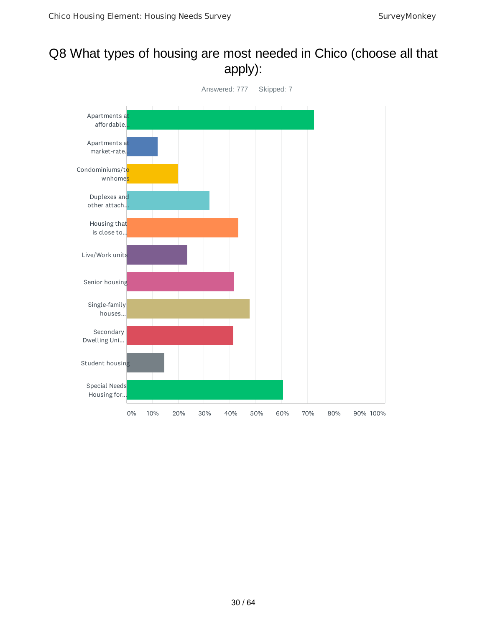## Q8 What types of housing are most needed in Chico (choose all that apply):

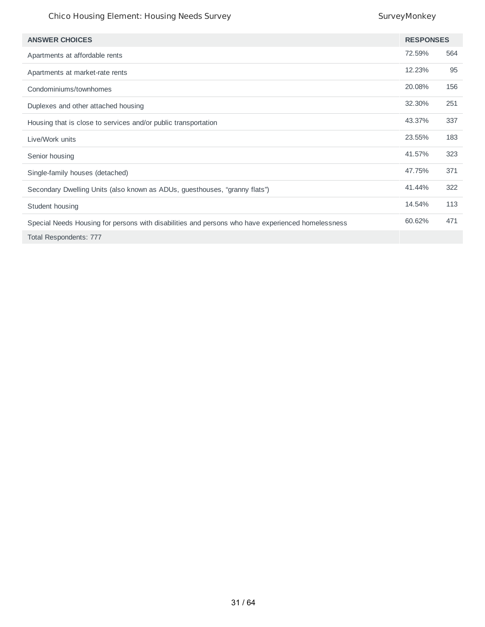| <b>ANSWER CHOICES</b>                                                                             | <b>RESPONSES</b> |     |
|---------------------------------------------------------------------------------------------------|------------------|-----|
| Apartments at affordable rents                                                                    | 72.59%           | 564 |
| Apartments at market-rate rents                                                                   | 12.23%           | 95  |
| Condominiums/townhomes                                                                            | 20.08%           | 156 |
| Duplexes and other attached housing                                                               | 32.30%           | 251 |
| Housing that is close to services and/or public transportation                                    | 43.37%           | 337 |
| Live/Work units                                                                                   | 23.55%           | 183 |
| Senior housing                                                                                    | 41.57%           | 323 |
| Single-family houses (detached)                                                                   | 47.75%           | 371 |
| Secondary Dwelling Units (also known as ADUs, guesthouses, "granny flats")                        | 41.44%           | 322 |
| Student housing                                                                                   | 14.54%           | 113 |
| Special Needs Housing for persons with disabilities and persons who have experienced homelessness | 60.62%           | 471 |
| Total Respondents: 777                                                                            |                  |     |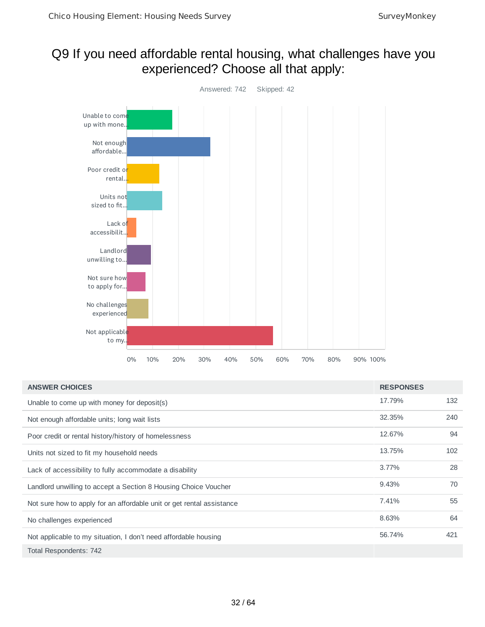## Q9 If you need affordable rental housing, what challenges have you experienced? Choose all that apply:



| <b>ANSWER CHOICES</b>                                                 | <b>RESPONSES</b> |     |
|-----------------------------------------------------------------------|------------------|-----|
| Unable to come up with money for deposit(s)                           | 17.79%           | 132 |
| Not enough affordable units; long wait lists                          | 32.35%           | 240 |
| Poor credit or rental history/history of homelessness                 | 12.67%           | 94  |
| Units not sized to fit my household needs                             | 13.75%           | 102 |
| Lack of accessibility to fully accommodate a disability               | 3.77%            | 28  |
| Landlord unwilling to accept a Section 8 Housing Choice Voucher       | 9.43%            | 70  |
| Not sure how to apply for an affordable unit or get rental assistance | 7.41%            | 55  |
| No challenges experienced                                             | 8.63%            | 64  |
| Not applicable to my situation, I don't need affordable housing       | 56.74%           | 421 |
| Total Respondents: 742                                                |                  |     |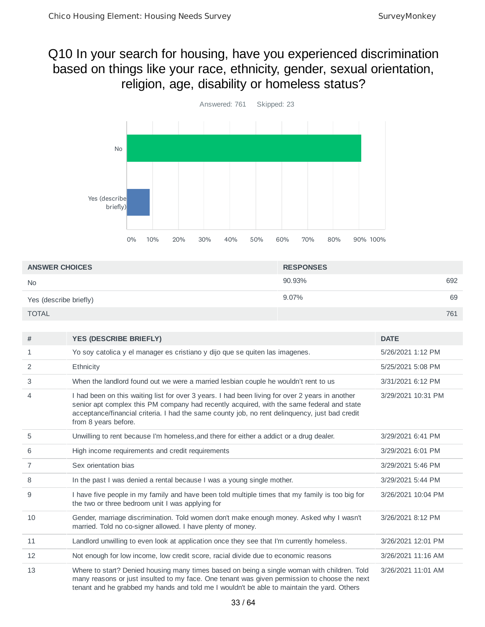## Q10 In your search for housing, have you experienced discrimination based on things like your race, ethnicity, gender, sexual orientation, religion, age, disability or homeless status?



| <b>ANSWER CHOICES</b>  | <b>RESPONSES</b> |     |
|------------------------|------------------|-----|
| <b>No</b>              | 90.93%           | 692 |
| Yes (describe briefly) | 9.07%            | 69  |
| <b>TOTAL</b>           |                  | 761 |

| #  | <b>YES (DESCRIBE BRIEFLY)</b>                                                                                                                                                                                                                                                                                          | <b>DATE</b>        |
|----|------------------------------------------------------------------------------------------------------------------------------------------------------------------------------------------------------------------------------------------------------------------------------------------------------------------------|--------------------|
| 1  | Yo soy catolica y el manager es cristiano y dijo que se quiten las imagenes.                                                                                                                                                                                                                                           | 5/26/2021 1:12 PM  |
| 2  | Ethnicity                                                                                                                                                                                                                                                                                                              | 5/25/2021 5:08 PM  |
| 3  | When the landlord found out we were a married lesbian couple he wouldn't rent to us                                                                                                                                                                                                                                    | 3/31/2021 6:12 PM  |
| 4  | I had been on this waiting list for over 3 years. I had been living for over 2 years in another<br>senior apt complex this PM company had recently acquired, with the same federal and state<br>acceptance/financial criteria. I had the same county job, no rent delinquency, just bad credit<br>from 8 years before. | 3/29/2021 10:31 PM |
| 5  | Unwilling to rent because I'm homeless, and there for either a addict or a drug dealer.                                                                                                                                                                                                                                | 3/29/2021 6:41 PM  |
| 6  | High income requirements and credit requirements                                                                                                                                                                                                                                                                       | 3/29/2021 6:01 PM  |
| 7  | Sex orientation bias                                                                                                                                                                                                                                                                                                   | 3/29/2021 5:46 PM  |
| 8  | In the past I was denied a rental because I was a young single mother.                                                                                                                                                                                                                                                 | 3/29/2021 5:44 PM  |
| 9  | I have five people in my family and have been told multiple times that my family is too big for<br>the two or three bedroom unit I was applying for                                                                                                                                                                    | 3/26/2021 10:04 PM |
| 10 | Gender, marriage discrimination. Told women don't make enough money. Asked why I wasn't<br>married. Told no co-signer allowed. I have plenty of money.                                                                                                                                                                 | 3/26/2021 8:12 PM  |
| 11 | Landlord unwilling to even look at application once they see that I'm currently homeless.                                                                                                                                                                                                                              | 3/26/2021 12:01 PM |
| 12 | Not enough for low income, low credit score, racial divide due to economic reasons                                                                                                                                                                                                                                     | 3/26/2021 11:16 AM |
| 13 | Where to start? Denied housing many times based on being a single woman with children. Told<br>many reasons or just insulted to my face. One tenant was given permission to choose the next<br>tenant and he grabbed my hands and told me I wouldn't be able to maintain the yard. Others                              | 3/26/2021 11:01 AM |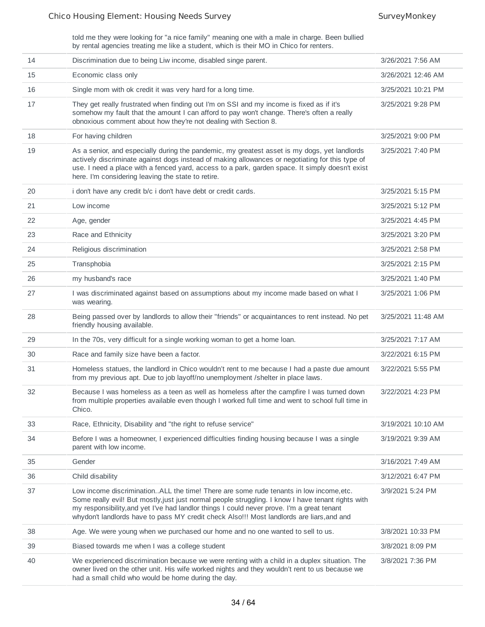told me they were looking for "a nice family" meaning one with a male in charge. Been bullied by rental agencies treating me like a student, which is their MO in Chico for renters.

| 14 | Discrimination due to being Liw income, disabled singe parent.                                                                                                                                                                                                                                                                                                                            | 3/26/2021 7:56 AM  |
|----|-------------------------------------------------------------------------------------------------------------------------------------------------------------------------------------------------------------------------------------------------------------------------------------------------------------------------------------------------------------------------------------------|--------------------|
| 15 | Economic class only                                                                                                                                                                                                                                                                                                                                                                       | 3/26/2021 12:46 AM |
| 16 | Single mom with ok credit it was very hard for a long time.                                                                                                                                                                                                                                                                                                                               | 3/25/2021 10:21 PM |
| 17 | They get really frustrated when finding out I'm on SSI and my income is fixed as if it's<br>somehow my fault that the amount I can afford to pay won't change. There's often a really<br>obnoxious comment about how they're not dealing with Section 8.                                                                                                                                  | 3/25/2021 9:28 PM  |
| 18 | For having children                                                                                                                                                                                                                                                                                                                                                                       | 3/25/2021 9:00 PM  |
| 19 | As a senior, and especially during the pandemic, my greatest asset is my dogs, yet landlords<br>actively discriminate against dogs instead of making allowances or negotiating for this type of<br>use. I need a place with a fenced yard, access to a park, garden space. It simply doesn't exist<br>here. I'm considering leaving the state to retire.                                  | 3/25/2021 7:40 PM  |
| 20 | i don't have any credit b/c i don't have debt or credit cards.                                                                                                                                                                                                                                                                                                                            | 3/25/2021 5:15 PM  |
| 21 | Low income                                                                                                                                                                                                                                                                                                                                                                                | 3/25/2021 5:12 PM  |
| 22 | Age, gender                                                                                                                                                                                                                                                                                                                                                                               | 3/25/2021 4:45 PM  |
| 23 | Race and Ethnicity                                                                                                                                                                                                                                                                                                                                                                        | 3/25/2021 3:20 PM  |
| 24 | Religious discrimination                                                                                                                                                                                                                                                                                                                                                                  | 3/25/2021 2:58 PM  |
| 25 | Transphobia                                                                                                                                                                                                                                                                                                                                                                               | 3/25/2021 2:15 PM  |
| 26 | my husband's race                                                                                                                                                                                                                                                                                                                                                                         | 3/25/2021 1:40 PM  |
| 27 | I was discriminated against based on assumptions about my income made based on what I<br>was wearing.                                                                                                                                                                                                                                                                                     | 3/25/2021 1:06 PM  |
| 28 | Being passed over by landlords to allow their "friends" or acquaintances to rent instead. No pet<br>friendly housing available.                                                                                                                                                                                                                                                           | 3/25/2021 11:48 AM |
| 29 | In the 70s, very difficult for a single working woman to get a home loan.                                                                                                                                                                                                                                                                                                                 | 3/25/2021 7:17 AM  |
| 30 | Race and family size have been a factor.                                                                                                                                                                                                                                                                                                                                                  | 3/22/2021 6:15 PM  |
| 31 | Homeless statues, the landlord in Chico wouldn't rent to me because I had a paste due amount<br>from my previous apt. Due to job layoff/no unemployment /shelter in place laws.                                                                                                                                                                                                           | 3/22/2021 5:55 PM  |
| 32 | Because I was homeless as a teen as well as homeless after the campfire I was turned down<br>from multiple properties available even though I worked full time and went to school full time in<br>Chico.                                                                                                                                                                                  | 3/22/2021 4:23 PM  |
| 33 | Race, Ethnicity, Disability and "the right to refuse service"                                                                                                                                                                                                                                                                                                                             | 3/19/2021 10:10 AM |
| 34 | Before I was a homeowner, I experienced difficulties finding housing because I was a single<br>parent with low income.                                                                                                                                                                                                                                                                    | 3/19/2021 9:39 AM  |
| 35 | Gender                                                                                                                                                                                                                                                                                                                                                                                    | 3/16/2021 7:49 AM  |
| 36 | Child disability                                                                                                                                                                                                                                                                                                                                                                          | 3/12/2021 6:47 PM  |
| 37 | Low income discrimination. ALL the time! There are some rude tenants in low income, etc.<br>Some really evil! But mostly, just just normal people struggling. I know I have tenant rights with<br>my responsibility, and yet I've had landlor things I could never prove. I'm a great tenant<br>whydon't landlords have to pass MY credit check Also!!! Most landlords are liars, and and | 3/9/2021 5:24 PM   |
| 38 | Age. We were young when we purchased our home and no one wanted to sell to us.                                                                                                                                                                                                                                                                                                            | 3/8/2021 10:33 PM  |
| 39 | Biased towards me when I was a college student                                                                                                                                                                                                                                                                                                                                            | 3/8/2021 8:09 PM   |
| 40 | We experienced discrimination because we were renting with a child in a duplex situation. The<br>owner lived on the other unit. His wife worked nights and they wouldn't rent to us because we<br>had a small child who would be home during the day.                                                                                                                                     | 3/8/2021 7:36 PM   |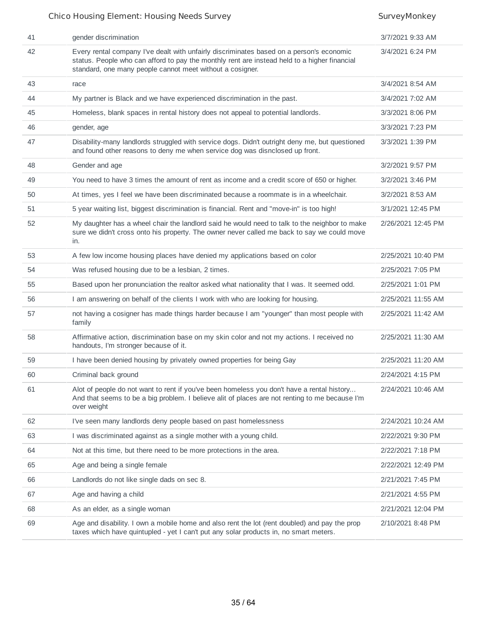| 41 | gender discrimination                                                                                                                                                                                                                                 | 3/7/2021 9:33 AM   |
|----|-------------------------------------------------------------------------------------------------------------------------------------------------------------------------------------------------------------------------------------------------------|--------------------|
| 42 | Every rental company I've dealt with unfairly discriminates based on a person's economic<br>status. People who can afford to pay the monthly rent are instead held to a higher financial<br>standard, one many people cannot meet without a cosigner. | 3/4/2021 6:24 PM   |
| 43 | race                                                                                                                                                                                                                                                  | 3/4/2021 8:54 AM   |
| 44 | My partner is Black and we have experienced discrimination in the past.                                                                                                                                                                               | 3/4/2021 7:02 AM   |
| 45 | Homeless, blank spaces in rental history does not appeal to potential landlords.                                                                                                                                                                      | 3/3/2021 8:06 PM   |
| 46 | gender, age                                                                                                                                                                                                                                           | 3/3/2021 7:23 PM   |
| 47 | Disability-many landlords struggled with service dogs. Didn't outright deny me, but questioned<br>and found other reasons to deny me when service dog was disnclosed up front.                                                                        | 3/3/2021 1:39 PM   |
| 48 | Gender and age                                                                                                                                                                                                                                        | 3/2/2021 9:57 PM   |
| 49 | You need to have 3 times the amount of rent as income and a credit score of 650 or higher.                                                                                                                                                            | 3/2/2021 3:46 PM   |
| 50 | At times, yes I feel we have been discriminated because a roommate is in a wheelchair.                                                                                                                                                                | 3/2/2021 8:53 AM   |
| 51 | 5 year waiting list, biggest discrimination is financial. Rent and "move-in" is too high!                                                                                                                                                             | 3/1/2021 12:45 PM  |
| 52 | My daughter has a wheel chair the landlord said he would need to talk to the neighbor to make<br>sure we didn't cross onto his property. The owner never called me back to say we could move<br>in.                                                   | 2/26/2021 12:45 PM |
| 53 | A few low income housing places have denied my applications based on color                                                                                                                                                                            | 2/25/2021 10:40 PM |
| 54 | Was refused housing due to be a lesbian, 2 times.                                                                                                                                                                                                     | 2/25/2021 7:05 PM  |
| 55 | Based upon her pronunciation the realtor asked what nationality that I was. It seemed odd.                                                                                                                                                            | 2/25/2021 1:01 PM  |
| 56 | I am answering on behalf of the clients I work with who are looking for housing.                                                                                                                                                                      | 2/25/2021 11:55 AM |
| 57 | not having a cosigner has made things harder because I am "younger" than most people with<br>family                                                                                                                                                   | 2/25/2021 11:42 AM |
| 58 | Affirmative action, discrimination base on my skin color and not my actions. I received no<br>handouts, I'm stronger because of it.                                                                                                                   | 2/25/2021 11:30 AM |
| 59 | I have been denied housing by privately owned properties for being Gay                                                                                                                                                                                | 2/25/2021 11:20 AM |
| 60 | Criminal back ground                                                                                                                                                                                                                                  | 2/24/2021 4:15 PM  |
| 61 | Alot of people do not want to rent if you've been homeless you don't have a rental history<br>And that seems to be a big problem. I believe alit of places are not renting to me because I'm<br>over weight                                           | 2/24/2021 10:46 AM |
| 62 | I've seen many landlords deny people based on past homelessness                                                                                                                                                                                       | 2/24/2021 10:24 AM |
| 63 | I was discriminated against as a single mother with a young child.                                                                                                                                                                                    | 2/22/2021 9:30 PM  |
| 64 | Not at this time, but there need to be more protections in the area.                                                                                                                                                                                  | 2/22/2021 7:18 PM  |
| 65 | Age and being a single female                                                                                                                                                                                                                         | 2/22/2021 12:49 PM |
| 66 | Landlords do not like single dads on sec 8.                                                                                                                                                                                                           | 2/21/2021 7:45 PM  |
| 67 | Age and having a child                                                                                                                                                                                                                                | 2/21/2021 4:55 PM  |
| 68 | As an elder, as a single woman                                                                                                                                                                                                                        | 2/21/2021 12:04 PM |
| 69 | Age and disability. I own a mobile home and also rent the lot (rent doubled) and pay the prop<br>taxes which have quintupled - yet I can't put any solar products in, no smart meters.                                                                | 2/10/2021 8:48 PM  |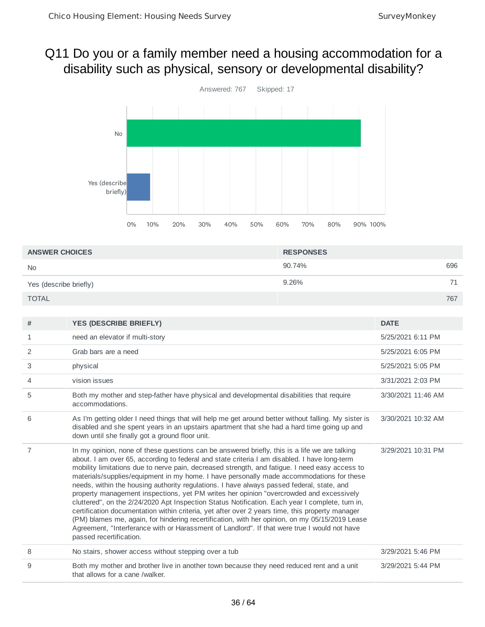## Q11 Do you or a family member need a housing accommodation for a disability such as physical, sensory or developmental disability?



| <b>ANSWER CHOICES</b>  | <b>RESPONSES</b> |     |
|------------------------|------------------|-----|
| <b>No</b>              | 90.74%           | 696 |
| Yes (describe briefly) | 9.26%            | 71  |
| <b>TOTAL</b>           |                  | 767 |

| #              | <b>YES (DESCRIBE BRIEFLY)</b>                                                                                                                                                                                                                                                                                                                                                                                                                                                                                                                                                                                                                                                                                                                                                                                                                                                                                                                                                                                          | <b>DATE</b>        |
|----------------|------------------------------------------------------------------------------------------------------------------------------------------------------------------------------------------------------------------------------------------------------------------------------------------------------------------------------------------------------------------------------------------------------------------------------------------------------------------------------------------------------------------------------------------------------------------------------------------------------------------------------------------------------------------------------------------------------------------------------------------------------------------------------------------------------------------------------------------------------------------------------------------------------------------------------------------------------------------------------------------------------------------------|--------------------|
| $\mathbf{1}$   | need an elevator if multi-story                                                                                                                                                                                                                                                                                                                                                                                                                                                                                                                                                                                                                                                                                                                                                                                                                                                                                                                                                                                        | 5/25/2021 6:11 PM  |
| 2              | Grab bars are a need                                                                                                                                                                                                                                                                                                                                                                                                                                                                                                                                                                                                                                                                                                                                                                                                                                                                                                                                                                                                   | 5/25/2021 6:05 PM  |
| 3              | physical                                                                                                                                                                                                                                                                                                                                                                                                                                                                                                                                                                                                                                                                                                                                                                                                                                                                                                                                                                                                               | 5/25/2021 5:05 PM  |
| 4              | vision issues                                                                                                                                                                                                                                                                                                                                                                                                                                                                                                                                                                                                                                                                                                                                                                                                                                                                                                                                                                                                          | 3/31/2021 2:03 PM  |
| 5              | Both my mother and step-father have physical and developmental disabilities that require<br>accommodations.                                                                                                                                                                                                                                                                                                                                                                                                                                                                                                                                                                                                                                                                                                                                                                                                                                                                                                            | 3/30/2021 11:46 AM |
| 6              | As I'm getting older I need things that will help me get around better without falling. My sister is<br>disabled and she spent years in an upstairs apartment that she had a hard time going up and<br>down until she finally got a ground floor unit.                                                                                                                                                                                                                                                                                                                                                                                                                                                                                                                                                                                                                                                                                                                                                                 | 3/30/2021 10:32 AM |
| $\overline{7}$ | In my opinion, none of these questions can be answered briefly, this is a life we are talking<br>about. I am over 65, according to federal and state criteria I am disabled. I have long-term<br>mobility limitations due to nerve pain, decreased strength, and fatigue. I need easy access to<br>materials/supplies/equipment in my home. I have personally made accommodations for these<br>needs, within the housing authority regulations. I have always passed federal, state, and<br>property management inspections, yet PM writes her opinion "overcrowded and excessively<br>cluttered", on the 2/24/2020 Apt Inspection Status Notification. Each year I complete, turn in,<br>certification documentation within criteria, yet after over 2 years time, this property manager<br>(PM) blames me, again, for hindering recertification, with her opinion, on my 05/15/2019 Lease<br>Agreement, "Interferance with or Harassment of Landlord". If that were true I would not have<br>passed recertification. | 3/29/2021 10:31 PM |
| 8              | No stairs, shower access without stepping over a tub                                                                                                                                                                                                                                                                                                                                                                                                                                                                                                                                                                                                                                                                                                                                                                                                                                                                                                                                                                   | 3/29/2021 5:46 PM  |
| 9              | Both my mother and brother live in another town because they need reduced rent and a unit<br>that allows for a cane /walker.                                                                                                                                                                                                                                                                                                                                                                                                                                                                                                                                                                                                                                                                                                                                                                                                                                                                                           | 3/29/2021 5:44 PM  |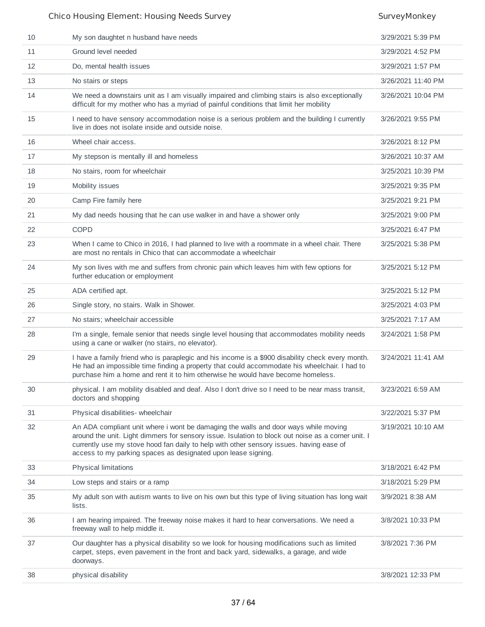| 10 | My son daughtet n husband have needs                                                                                                                                                                                                                                                                                                                  | 3/29/2021 5:39 PM  |
|----|-------------------------------------------------------------------------------------------------------------------------------------------------------------------------------------------------------------------------------------------------------------------------------------------------------------------------------------------------------|--------------------|
| 11 | Ground level needed                                                                                                                                                                                                                                                                                                                                   | 3/29/2021 4:52 PM  |
| 12 | Do, mental health issues                                                                                                                                                                                                                                                                                                                              | 3/29/2021 1:57 PM  |
| 13 | No stairs or steps                                                                                                                                                                                                                                                                                                                                    | 3/26/2021 11:40 PM |
| 14 | We need a downstairs unit as I am visually impaired and climbing stairs is also exceptionally<br>difficult for my mother who has a myriad of painful conditions that limit her mobility                                                                                                                                                               | 3/26/2021 10:04 PM |
| 15 | I need to have sensory accommodation noise is a serious problem and the building I currently<br>live in does not isolate inside and outside noise.                                                                                                                                                                                                    | 3/26/2021 9:55 PM  |
| 16 | Wheel chair access.                                                                                                                                                                                                                                                                                                                                   | 3/26/2021 8:12 PM  |
| 17 | My stepson is mentally ill and homeless                                                                                                                                                                                                                                                                                                               | 3/26/2021 10:37 AM |
| 18 | No stairs, room for wheelchair                                                                                                                                                                                                                                                                                                                        | 3/25/2021 10:39 PM |
| 19 | Mobility issues                                                                                                                                                                                                                                                                                                                                       | 3/25/2021 9:35 PM  |
| 20 | Camp Fire family here                                                                                                                                                                                                                                                                                                                                 | 3/25/2021 9:21 PM  |
| 21 | My dad needs housing that he can use walker in and have a shower only                                                                                                                                                                                                                                                                                 | 3/25/2021 9:00 PM  |
| 22 | <b>COPD</b>                                                                                                                                                                                                                                                                                                                                           | 3/25/2021 6:47 PM  |
| 23 | When I came to Chico in 2016, I had planned to live with a roommate in a wheel chair. There<br>are most no rentals in Chico that can accommodate a wheelchair                                                                                                                                                                                         | 3/25/2021 5:38 PM  |
| 24 | My son lives with me and suffers from chronic pain which leaves him with few options for<br>further education or employment                                                                                                                                                                                                                           | 3/25/2021 5:12 PM  |
| 25 | ADA certified apt.                                                                                                                                                                                                                                                                                                                                    | 3/25/2021 5:12 PM  |
| 26 | Single story, no stairs. Walk in Shower.                                                                                                                                                                                                                                                                                                              | 3/25/2021 4:03 PM  |
| 27 | No stairs; wheelchair accessible                                                                                                                                                                                                                                                                                                                      | 3/25/2021 7:17 AM  |
| 28 | I'm a single, female senior that needs single level housing that accommodates mobility needs<br>using a cane or walker (no stairs, no elevator).                                                                                                                                                                                                      | 3/24/2021 1:58 PM  |
| 29 | I have a family friend who is paraplegic and his income is a \$900 disability check every month.<br>He had an impossible time finding a property that could accommodate his wheelchair. I had to<br>purchase him a home and rent it to him otherwise he would have become homeless.                                                                   | 3/24/2021 11:41 AM |
| 30 | physical. I am mobility disabled and deaf. Also I don't drive so I need to be near mass transit,<br>doctors and shopping                                                                                                                                                                                                                              | 3/23/2021 6:59 AM  |
| 31 | Physical disabilities- wheelchair                                                                                                                                                                                                                                                                                                                     | 3/22/2021 5:37 PM  |
| 32 | An ADA compliant unit where i wont be damaging the walls and door ways while moving<br>around the unit. Light dimmers for sensory issue. Isulation to block out noise as a corner unit. I<br>currently use my stove hood fan daily to help with other sensory issues. having ease of<br>access to my parking spaces as designated upon lease signing. | 3/19/2021 10:10 AM |
| 33 | <b>Physical limitations</b>                                                                                                                                                                                                                                                                                                                           | 3/18/2021 6:42 PM  |
| 34 | Low steps and stairs or a ramp                                                                                                                                                                                                                                                                                                                        | 3/18/2021 5:29 PM  |
| 35 | My adult son with autism wants to live on his own but this type of living situation has long wait<br>lists.                                                                                                                                                                                                                                           | 3/9/2021 8:38 AM   |
| 36 | I am hearing impaired. The freeway noise makes it hard to hear conversations. We need a<br>freeway wall to help middle it.                                                                                                                                                                                                                            | 3/8/2021 10:33 PM  |
| 37 | Our daughter has a physical disability so we look for housing modifications such as limited<br>carpet, steps, even pavement in the front and back yard, sidewalks, a garage, and wide<br>doorways.                                                                                                                                                    | 3/8/2021 7:36 PM   |
| 38 | physical disability                                                                                                                                                                                                                                                                                                                                   | 3/8/2021 12:33 PM  |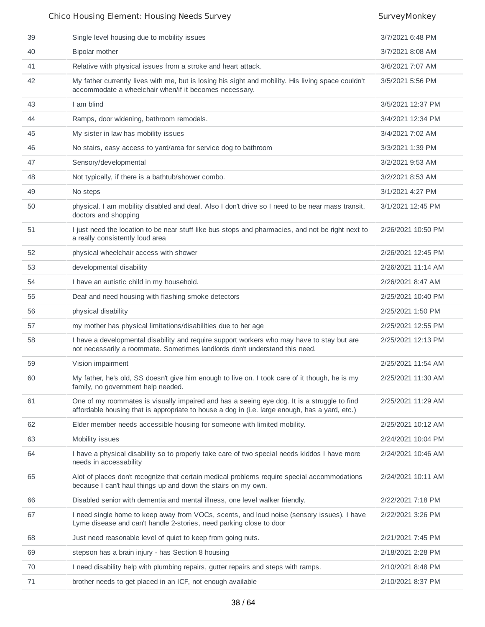| 39 | Single level housing due to mobility issues                                                                                                                                                   | 3/7/2021 6:48 PM   |
|----|-----------------------------------------------------------------------------------------------------------------------------------------------------------------------------------------------|--------------------|
| 40 | Bipolar mother                                                                                                                                                                                | 3/7/2021 8:08 AM   |
| 41 | Relative with physical issues from a stroke and heart attack.                                                                                                                                 | 3/6/2021 7:07 AM   |
| 42 | My father currently lives with me, but is losing his sight and mobility. His living space couldn't<br>accommodate a wheelchair when/if it becomes necessary.                                  | 3/5/2021 5:56 PM   |
| 43 | I am blind                                                                                                                                                                                    | 3/5/2021 12:37 PM  |
| 44 | Ramps, door widening, bathroom remodels.                                                                                                                                                      | 3/4/2021 12:34 PM  |
| 45 | My sister in law has mobility issues                                                                                                                                                          | 3/4/2021 7:02 AM   |
| 46 | No stairs, easy access to yard/area for service dog to bathroom                                                                                                                               | 3/3/2021 1:39 PM   |
| 47 | Sensory/developmental                                                                                                                                                                         | 3/2/2021 9:53 AM   |
| 48 | Not typically, if there is a bathtub/shower combo.                                                                                                                                            | 3/2/2021 8:53 AM   |
| 49 | No steps                                                                                                                                                                                      | 3/1/2021 4:27 PM   |
| 50 | physical. I am mobility disabled and deaf. Also I don't drive so I need to be near mass transit,<br>doctors and shopping                                                                      | 3/1/2021 12:45 PM  |
| 51 | I just need the location to be near stuff like bus stops and pharmacies, and not be right next to<br>a really consistently loud area                                                          | 2/26/2021 10:50 PM |
| 52 | physical wheelchair access with shower                                                                                                                                                        | 2/26/2021 12:45 PM |
| 53 | developmental disability                                                                                                                                                                      | 2/26/2021 11:14 AM |
| 54 | I have an autistic child in my household.                                                                                                                                                     | 2/26/2021 8:47 AM  |
| 55 | Deaf and need housing with flashing smoke detectors                                                                                                                                           | 2/25/2021 10:40 PM |
| 56 | physical disability                                                                                                                                                                           | 2/25/2021 1:50 PM  |
| 57 | my mother has physical limitations/disabilities due to her age                                                                                                                                | 2/25/2021 12:55 PM |
| 58 | I have a developmental disability and require support workers who may have to stay but are<br>not necessarily a roommate. Sometimes landlords don't understand this need.                     | 2/25/2021 12:13 PM |
| 59 | Vision impairment                                                                                                                                                                             | 2/25/2021 11:54 AM |
| 60 | My father, he's old, SS doesn't give him enough to live on. I took care of it though, he is my<br>family, no government help needed.                                                          | 2/25/2021 11:30 AM |
| 61 | One of my roommates is visually impaired and has a seeing eye dog. It is a struggle to find<br>affordable housing that is appropriate to house a dog in (i.e. large enough, has a yard, etc.) | 2/25/2021 11:29 AM |
| 62 | Elder member needs accessible housing for someone with limited mobility.                                                                                                                      | 2/25/2021 10:12 AM |
| 63 | Mobility issues                                                                                                                                                                               | 2/24/2021 10:04 PM |
| 64 | I have a physical disability so to properly take care of two special needs kiddos I have more<br>needs in accessability                                                                       | 2/24/2021 10:46 AM |
| 65 | Alot of places don't recognize that certain medical problems require special accommodations<br>because I can't haul things up and down the stairs on my own.                                  | 2/24/2021 10:11 AM |
| 66 | Disabled senior with dementia and mental illness, one level walker friendly.                                                                                                                  | 2/22/2021 7:18 PM  |
| 67 | I need single home to keep away from VOCs, scents, and loud noise (sensory issues). I have<br>Lyme disease and can't handle 2-stories, need parking close to door                             | 2/22/2021 3:26 PM  |
| 68 | Just need reasonable level of quiet to keep from going nuts.                                                                                                                                  | 2/21/2021 7:45 PM  |
| 69 | stepson has a brain injury - has Section 8 housing                                                                                                                                            | 2/18/2021 2:28 PM  |
| 70 | I need disability help with plumbing repairs, gutter repairs and steps with ramps.                                                                                                            | 2/10/2021 8:48 PM  |
| 71 | brother needs to get placed in an ICF, not enough available                                                                                                                                   | 2/10/2021 8:37 PM  |
|    |                                                                                                                                                                                               |                    |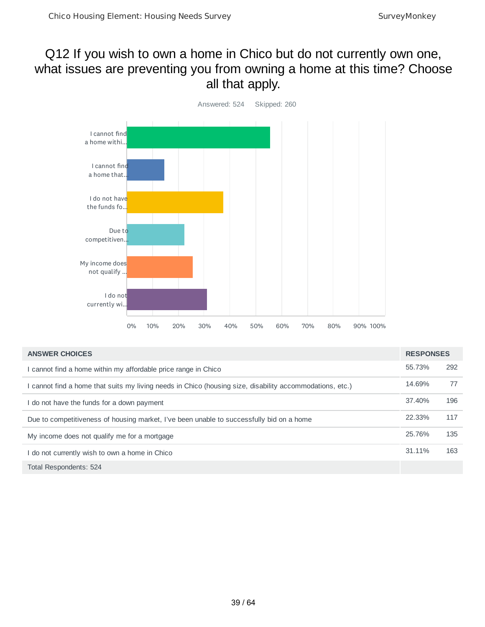## Q12 If you wish to own a home in Chico but do not currently own one, what issues are preventing you from owning a home at this time? Choose all that apply.



| <b>ANSWER CHOICES</b>                                                                                  | <b>RESPONSES</b> |     |
|--------------------------------------------------------------------------------------------------------|------------------|-----|
| cannot find a home within my affordable price range in Chico                                           | 55.73%           | 292 |
| cannot find a home that suits my living needs in Chico (housing size, disability accommodations, etc.) | 14.69%           | 77  |
| I do not have the funds for a down payment                                                             | 37.40%           | 196 |
| Due to competitiveness of housing market, I've been unable to successfully bid on a home               | 22.33%           | 117 |
| My income does not qualify me for a mortgage                                                           | 25.76%           | 135 |
| I do not currently wish to own a home in Chico                                                         | 31.11%           | 163 |
| Total Respondents: 524                                                                                 |                  |     |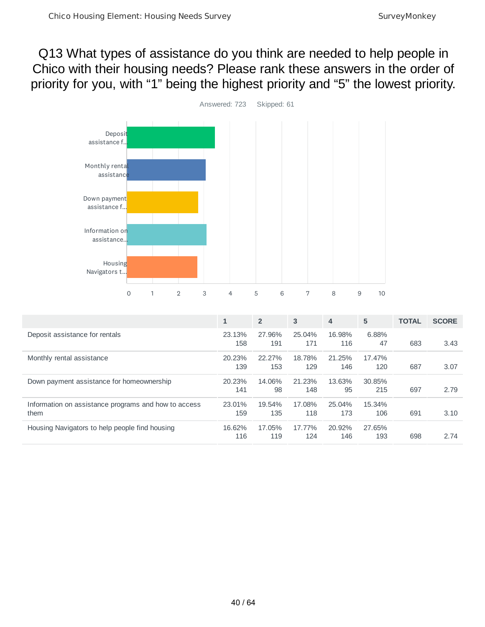## Q13 What types of assistance do you think are needed to help people in Chico with their housing needs? Please rank these answers in the order of priority for you, with "1" being the highest priority and "5" the lowest priority.



|                                                              | $\mathbf{1}$  | $\overline{2}$ | 3             | $\overline{4}$ | 5             | <b>TOTAL</b> | <b>SCORE</b> |
|--------------------------------------------------------------|---------------|----------------|---------------|----------------|---------------|--------------|--------------|
| Deposit assistance for rentals                               | 23.13%<br>158 | 27.96%<br>191  | 25.04%<br>171 | 16.98%<br>116  | 6.88%<br>47   | 683          | 3.43         |
| Monthly rental assistance                                    | 20.23%<br>139 | 22.27%<br>153  | 18.78%<br>129 | 21.25%<br>146  | 17.47%<br>120 | 687          | 3.07         |
| Down payment assistance for homeownership                    | 20.23%<br>141 | 14.06%<br>98   | 21.23%<br>148 | 13.63%<br>95   | 30.85%<br>215 | 697          | 2.79         |
| Information on assistance programs and how to access<br>them | 23.01%<br>159 | 19.54%<br>135  | 17.08%<br>118 | 25.04%<br>173  | 15.34%<br>106 | 691          | 3.10         |
| Housing Navigators to help people find housing               | 16.62%<br>116 | 17.05%<br>119  | 17.77%<br>124 | 20.92%<br>146  | 27.65%<br>193 | 698          | 2.74         |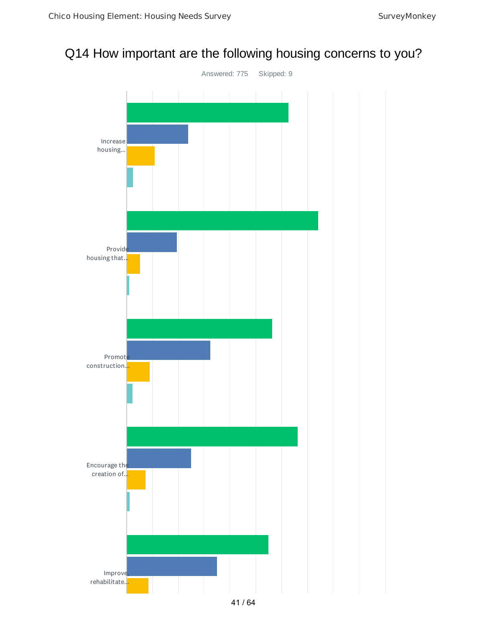## Q14 How important are the following housing concerns to you?

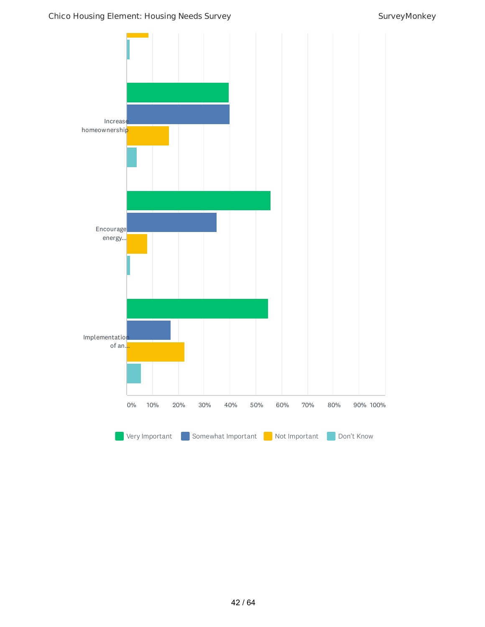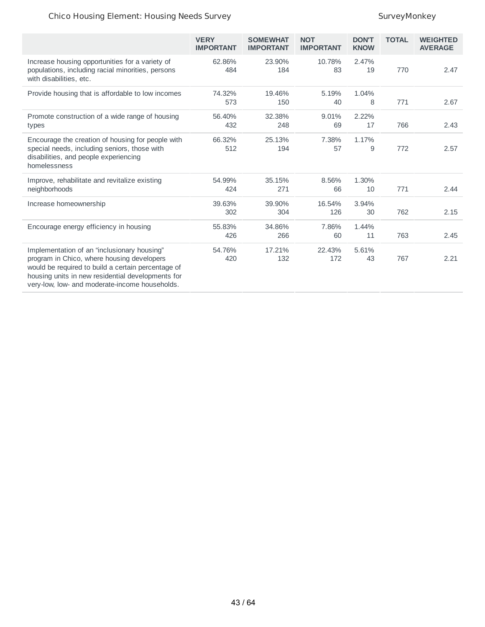|                                                                                                                                                                                                                                                        | <b>VERY</b><br><b>IMPORTANT</b> | <b>SOMEWHAT</b><br><b>IMPORTANT</b> | <b>NOT</b><br><b>IMPORTANT</b> | <b>DON'T</b><br><b>KNOW</b> | <b>TOTAL</b> | <b>WEIGHTED</b><br><b>AVERAGE</b> |
|--------------------------------------------------------------------------------------------------------------------------------------------------------------------------------------------------------------------------------------------------------|---------------------------------|-------------------------------------|--------------------------------|-----------------------------|--------------|-----------------------------------|
| Increase housing opportunities for a variety of<br>populations, including racial minorities, persons<br>with disabilities, etc.                                                                                                                        | 62.86%<br>484                   | 23.90%<br>184                       | 10.78%<br>83                   | 2.47%<br>19                 | 770          | 2.47                              |
| Provide housing that is affordable to low incomes                                                                                                                                                                                                      | 74.32%<br>573                   | 19.46%<br>150                       | 5.19%<br>40                    | 1.04%<br>8                  | 771          | 2.67                              |
| Promote construction of a wide range of housing<br>types                                                                                                                                                                                               | 56.40%<br>432                   | 32.38%<br>248                       | 9.01%<br>69                    | 2.22%<br>17                 | 766          | 2.43                              |
| Encourage the creation of housing for people with<br>special needs, including seniors, those with<br>disabilities, and people experiencing<br>homelessness                                                                                             | 66.32%<br>512                   | 25.13%<br>194                       | 7.38%<br>57                    | 1.17%<br>9                  | 772          | 2.57                              |
| Improve, rehabilitate and revitalize existing<br>neighborhoods                                                                                                                                                                                         | 54.99%<br>424                   | 35.15%<br>271                       | 8.56%<br>66                    | 1.30%<br>10                 | 771          | 2.44                              |
| Increase homeownership                                                                                                                                                                                                                                 | 39.63%<br>302                   | 39.90%<br>304                       | 16.54%<br>126                  | 3.94%<br>30                 | 762          | 2.15                              |
| Encourage energy efficiency in housing                                                                                                                                                                                                                 | 55.83%<br>426                   | 34.86%<br>266                       | 7.86%<br>60                    | 1.44%<br>11                 | 763          | 2.45                              |
| Implementation of an "inclusionary housing"<br>program in Chico, where housing developers<br>would be required to build a certain percentage of<br>housing units in new residential developments for<br>very-low, low- and moderate-income households. | 54.76%<br>420                   | 17.21%<br>132                       | 22.43%<br>172                  | 5.61%<br>43                 | 767          | 2.21                              |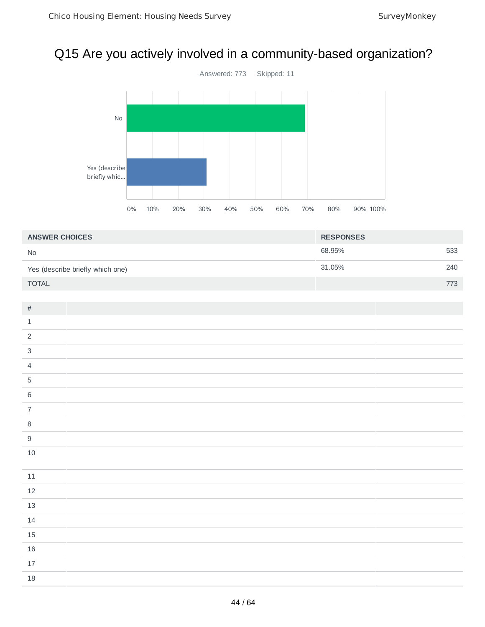# Q15 Are you actively involved in a community-based organization?



| <b>ANSWER CHOICES</b>            | <b>RESPONSES</b> |     |
|----------------------------------|------------------|-----|
| <b>No</b>                        | 68.95%           | 533 |
| Yes (describe briefly which one) | 31.05%           | 240 |
| <b>TOTAL</b>                     |                  | 773 |

| $\#$                       |  |
|----------------------------|--|
| $\ensuremath{\mathbbm{1}}$ |  |
| $\overline{2}$             |  |
| $\sqrt{3}$                 |  |
| $\overline{4}$             |  |
| $\sqrt{5}$                 |  |
| $\,6\,$                    |  |
| $\overline{7}$             |  |
| $\, 8$                     |  |
| $\boldsymbol{9}$           |  |
| $10\,$                     |  |
|                            |  |
| $11\,$                     |  |
| $12\,$                     |  |
| $13\,$                     |  |
| $14\,$                     |  |
| $15\,$                     |  |
| $16\,$                     |  |
| $17\,$                     |  |
| $18\,$                     |  |
|                            |  |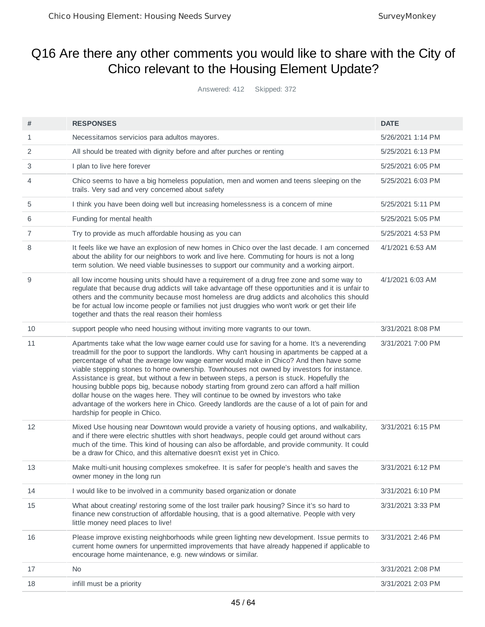## Q16 Are there any other comments you would like to share with the City of Chico relevant to the Housing Element Update?

Answered: 412 Skipped: 372

| #              | <b>RESPONSES</b>                                                                                                                                                                                                                                                                                                                                                                                                                                                                                                                                                                                                                                                                                                                                                                                               | <b>DATE</b>       |
|----------------|----------------------------------------------------------------------------------------------------------------------------------------------------------------------------------------------------------------------------------------------------------------------------------------------------------------------------------------------------------------------------------------------------------------------------------------------------------------------------------------------------------------------------------------------------------------------------------------------------------------------------------------------------------------------------------------------------------------------------------------------------------------------------------------------------------------|-------------------|
| 1              | Necessitamos servicios para adultos mayores.                                                                                                                                                                                                                                                                                                                                                                                                                                                                                                                                                                                                                                                                                                                                                                   | 5/26/2021 1:14 PM |
| 2              | All should be treated with dignity before and after purches or renting                                                                                                                                                                                                                                                                                                                                                                                                                                                                                                                                                                                                                                                                                                                                         | 5/25/2021 6:13 PM |
| 3              | I plan to live here forever                                                                                                                                                                                                                                                                                                                                                                                                                                                                                                                                                                                                                                                                                                                                                                                    | 5/25/2021 6:05 PM |
| 4              | Chico seems to have a big homeless population, men and women and teens sleeping on the<br>trails. Very sad and very concerned about safety                                                                                                                                                                                                                                                                                                                                                                                                                                                                                                                                                                                                                                                                     | 5/25/2021 6:03 PM |
| 5              | I think you have been doing well but increasing homelessness is a concern of mine                                                                                                                                                                                                                                                                                                                                                                                                                                                                                                                                                                                                                                                                                                                              | 5/25/2021 5:11 PM |
| 6              | Funding for mental health                                                                                                                                                                                                                                                                                                                                                                                                                                                                                                                                                                                                                                                                                                                                                                                      | 5/25/2021 5:05 PM |
| $\overline{7}$ | Try to provide as much affordable housing as you can                                                                                                                                                                                                                                                                                                                                                                                                                                                                                                                                                                                                                                                                                                                                                           | 5/25/2021 4:53 PM |
| 8              | It feels like we have an explosion of new homes in Chico over the last decade. I am concerned<br>about the ability for our neighbors to work and live here. Commuting for hours is not a long<br>term solution. We need viable businesses to support our community and a working airport.                                                                                                                                                                                                                                                                                                                                                                                                                                                                                                                      | 4/1/2021 6:53 AM  |
| 9              | all low income housing units should have a requirement of a drug free zone and some way to<br>regulate that because drug addicts will take advantage off these opportunities and it is unfair to<br>others and the community because most homeless are drug addicts and alcoholics this should<br>be for actual low income people or families not just druggies who won't work or get their life<br>together and thats the real reason their homless                                                                                                                                                                                                                                                                                                                                                           | 4/1/2021 6:03 AM  |
| 10             | support people who need housing without inviting more vagrants to our town.                                                                                                                                                                                                                                                                                                                                                                                                                                                                                                                                                                                                                                                                                                                                    | 3/31/2021 8:08 PM |
| 11             | Apartments take what the low wage earner could use for saving for a home. It's a neverending<br>treadmill for the poor to support the landlords. Why can't housing in apartments be capped at a<br>percentage of what the average low wage earner would make in Chico? And then have some<br>viable stepping stones to home ownership. Townhouses not owned by investors for instance.<br>Assistance is great, but without a few in between steps, a person is stuck. Hopefully the<br>housing bubble pops big, because nobody starting from ground zero can afford a half million<br>dollar house on the wages here. They will continue to be owned by investors who take<br>advantage of the workers here in Chico. Greedy landlords are the cause of a lot of pain for and<br>hardship for people in Chico. | 3/31/2021 7:00 PM |
| 12             | Mixed Use housing near Downtown would provide a variety of housing options, and walkability,<br>and if there were electric shuttles with short headways, people could get around without cars<br>much of the time. This kind of housing can also be affordable, and provide community. It could<br>be a draw for Chico, and this alternative doesn't exist yet in Chico.                                                                                                                                                                                                                                                                                                                                                                                                                                       | 3/31/2021 6:15 PM |
| 13             | Make multi-unit housing complexes smokefree. It is safer for people's health and saves the<br>owner money in the long run                                                                                                                                                                                                                                                                                                                                                                                                                                                                                                                                                                                                                                                                                      | 3/31/2021 6:12 PM |
| 14             | I would like to be involved in a community based organization or donate                                                                                                                                                                                                                                                                                                                                                                                                                                                                                                                                                                                                                                                                                                                                        | 3/31/2021 6:10 PM |
| 15             | What about creating/ restoring some of the lost trailer park housing? Since it's so hard to<br>finance new construction of affordable housing, that is a good alternative. People with very<br>little money need places to live!                                                                                                                                                                                                                                                                                                                                                                                                                                                                                                                                                                               | 3/31/2021 3:33 PM |
| 16             | Please improve existing neighborhoods while green lighting new development. Issue permits to<br>current home owners for unpermitted improvements that have already happened if applicable to<br>encourage home maintenance, e.g. new windows or similar.                                                                                                                                                                                                                                                                                                                                                                                                                                                                                                                                                       | 3/31/2021 2:46 PM |
| 17             | No                                                                                                                                                                                                                                                                                                                                                                                                                                                                                                                                                                                                                                                                                                                                                                                                             | 3/31/2021 2:08 PM |
| 18             | infill must be a priority                                                                                                                                                                                                                                                                                                                                                                                                                                                                                                                                                                                                                                                                                                                                                                                      | 3/31/2021 2:03 PM |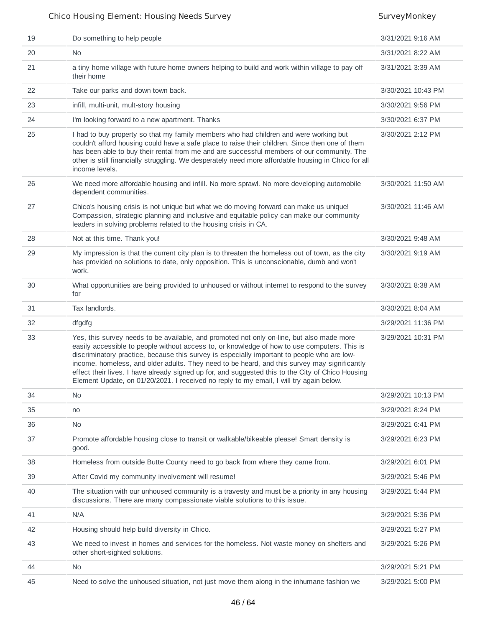| 19 | Do something to help people                                                                                                                                                                                                                                                                                                                                                                                                                                                                                                                                                              | 3/31/2021 9:16 AM  |
|----|------------------------------------------------------------------------------------------------------------------------------------------------------------------------------------------------------------------------------------------------------------------------------------------------------------------------------------------------------------------------------------------------------------------------------------------------------------------------------------------------------------------------------------------------------------------------------------------|--------------------|
| 20 | No.                                                                                                                                                                                                                                                                                                                                                                                                                                                                                                                                                                                      | 3/31/2021 8:22 AM  |
| 21 | a tiny home village with future home owners helping to build and work within village to pay off<br>their home                                                                                                                                                                                                                                                                                                                                                                                                                                                                            | 3/31/2021 3:39 AM  |
| 22 | Take our parks and down town back.                                                                                                                                                                                                                                                                                                                                                                                                                                                                                                                                                       | 3/30/2021 10:43 PM |
| 23 | infill, multi-unit, mult-story housing                                                                                                                                                                                                                                                                                                                                                                                                                                                                                                                                                   | 3/30/2021 9:56 PM  |
| 24 | I'm looking forward to a new apartment. Thanks                                                                                                                                                                                                                                                                                                                                                                                                                                                                                                                                           | 3/30/2021 6:37 PM  |
| 25 | I had to buy property so that my family members who had children and were working but<br>couldn't afford housing could have a safe place to raise their children. Since then one of them<br>has been able to buy their rental from me and are successful members of our community. The<br>other is still financially struggling. We desperately need more affordable housing in Chico for all<br>income levels.                                                                                                                                                                          | 3/30/2021 2:12 PM  |
| 26 | We need more affordable housing and infill. No more sprawl. No more developing automobile<br>dependent communities.                                                                                                                                                                                                                                                                                                                                                                                                                                                                      | 3/30/2021 11:50 AM |
| 27 | Chico's housing crisis is not unique but what we do moving forward can make us unique!<br>Compassion, strategic planning and inclusive and equitable policy can make our community<br>leaders in solving problems related to the housing crisis in CA.                                                                                                                                                                                                                                                                                                                                   | 3/30/2021 11:46 AM |
| 28 | Not at this time. Thank you!                                                                                                                                                                                                                                                                                                                                                                                                                                                                                                                                                             | 3/30/2021 9:48 AM  |
| 29 | My impression is that the current city plan is to threaten the homeless out of town, as the city<br>has provided no solutions to date, only opposition. This is unconscionable, dumb and won't<br>work.                                                                                                                                                                                                                                                                                                                                                                                  | 3/30/2021 9:19 AM  |
| 30 | What opportunities are being provided to unhoused or without internet to respond to the survey<br>for                                                                                                                                                                                                                                                                                                                                                                                                                                                                                    | 3/30/2021 8:38 AM  |
| 31 | Tax landlords.                                                                                                                                                                                                                                                                                                                                                                                                                                                                                                                                                                           | 3/30/2021 8:04 AM  |
| 32 | dfgdfg                                                                                                                                                                                                                                                                                                                                                                                                                                                                                                                                                                                   | 3/29/2021 11:36 PM |
| 33 | Yes, this survey needs to be available, and promoted not only on-line, but also made more<br>easily accessible to people without access to, or knowledge of how to use computers. This is<br>discriminatory practice, because this survey is especially important to people who are low-<br>income, homeless, and older adults. They need to be heard, and this survey may significantly<br>effect their lives. I have already signed up for, and suggested this to the City of Chico Housing<br>Element Update, on 01/20/2021. I received no reply to my email, I will try again below. | 3/29/2021 10:31 PM |
| 34 | No                                                                                                                                                                                                                                                                                                                                                                                                                                                                                                                                                                                       | 3/29/2021 10:13 PM |
| 35 | no                                                                                                                                                                                                                                                                                                                                                                                                                                                                                                                                                                                       | 3/29/2021 8:24 PM  |
| 36 | <b>No</b>                                                                                                                                                                                                                                                                                                                                                                                                                                                                                                                                                                                | 3/29/2021 6:41 PM  |
| 37 | Promote affordable housing close to transit or walkable/bikeable please! Smart density is<br>good.                                                                                                                                                                                                                                                                                                                                                                                                                                                                                       | 3/29/2021 6:23 PM  |
| 38 | Homeless from outside Butte County need to go back from where they came from.                                                                                                                                                                                                                                                                                                                                                                                                                                                                                                            | 3/29/2021 6:01 PM  |
| 39 | After Covid my community involvement will resume!                                                                                                                                                                                                                                                                                                                                                                                                                                                                                                                                        | 3/29/2021 5:46 PM  |
| 40 | The situation with our unhoused community is a travesty and must be a priority in any housing<br>discussions. There are many compassionate viable solutions to this issue.                                                                                                                                                                                                                                                                                                                                                                                                               | 3/29/2021 5:44 PM  |
| 41 | N/A                                                                                                                                                                                                                                                                                                                                                                                                                                                                                                                                                                                      | 3/29/2021 5:36 PM  |
| 42 | Housing should help build diversity in Chico.                                                                                                                                                                                                                                                                                                                                                                                                                                                                                                                                            | 3/29/2021 5:27 PM  |
| 43 | We need to invest in homes and services for the homeless. Not waste money on shelters and<br>other short-sighted solutions.                                                                                                                                                                                                                                                                                                                                                                                                                                                              | 3/29/2021 5:26 PM  |
| 44 | <b>No</b>                                                                                                                                                                                                                                                                                                                                                                                                                                                                                                                                                                                | 3/29/2021 5:21 PM  |
| 45 | Need to solve the unhoused situation, not just move them along in the inhumane fashion we                                                                                                                                                                                                                                                                                                                                                                                                                                                                                                | 3/29/2021 5:00 PM  |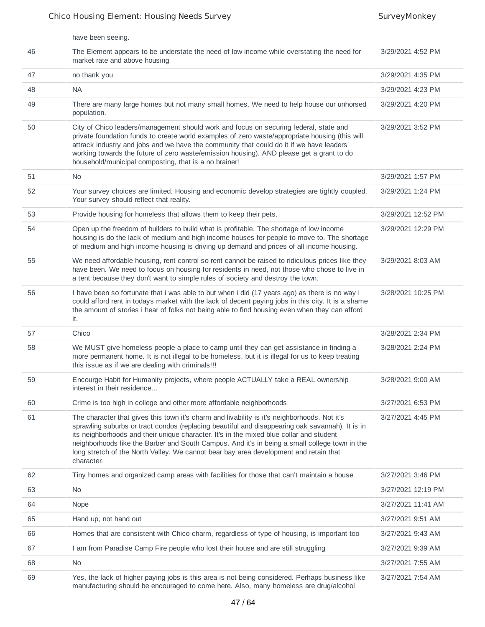|    | have been seeing.                                                                                                                                                                                                                                                                                                                                                                                                                                                                                  |                    |
|----|----------------------------------------------------------------------------------------------------------------------------------------------------------------------------------------------------------------------------------------------------------------------------------------------------------------------------------------------------------------------------------------------------------------------------------------------------------------------------------------------------|--------------------|
| 46 | The Element appears to be understate the need of low income while overstating the need for<br>market rate and above housing                                                                                                                                                                                                                                                                                                                                                                        | 3/29/2021 4:52 PM  |
| 47 | no thank you                                                                                                                                                                                                                                                                                                                                                                                                                                                                                       | 3/29/2021 4:35 PM  |
| 48 | <b>NA</b>                                                                                                                                                                                                                                                                                                                                                                                                                                                                                          | 3/29/2021 4:23 PM  |
| 49 | There are many large homes but not many small homes. We need to help house our unhorsed<br>population.                                                                                                                                                                                                                                                                                                                                                                                             | 3/29/2021 4:20 PM  |
| 50 | City of Chico leaders/management should work and focus on securing federal, state and<br>private foundation funds to create world examples of zero waste/appropriate housing (this will<br>attrack industry and jobs and we have the community that could do it if we have leaders<br>working towards the future of zero waste/emission housing). AND please get a grant to do<br>household/municipal composting, that is a no brainer!                                                            | 3/29/2021 3:52 PM  |
| 51 | N <sub>0</sub>                                                                                                                                                                                                                                                                                                                                                                                                                                                                                     | 3/29/2021 1:57 PM  |
| 52 | Your survey choices are limited. Housing and economic develop strategies are tightly coupled.<br>Your survey should reflect that reality.                                                                                                                                                                                                                                                                                                                                                          | 3/29/2021 1:24 PM  |
| 53 | Provide housing for homeless that allows them to keep their pets.                                                                                                                                                                                                                                                                                                                                                                                                                                  | 3/29/2021 12:52 PM |
| 54 | Open up the freedom of builders to build what is profitable. The shortage of low income<br>housing is do the lack of medium and high income houses for people to move to. The shortage<br>of medium and high income housing is driving up demand and prices of all income housing.                                                                                                                                                                                                                 | 3/29/2021 12:29 PM |
| 55 | We need affordable housing, rent control so rent cannot be raised to ridiculous prices like they<br>have been. We need to focus on housing for residents in need, not those who chose to live in<br>a tent because they don't want to simple rules of society and destroy the town.                                                                                                                                                                                                                | 3/29/2021 8:03 AM  |
| 56 | I have been so fortunate that i was able to but when i did (17 years ago) as there is no way i<br>could afford rent in todays market with the lack of decent paying jobs in this city. It is a shame<br>the amount of stories i hear of folks not being able to find housing even when they can afford<br>it.                                                                                                                                                                                      | 3/28/2021 10:25 PM |
| 57 | Chico                                                                                                                                                                                                                                                                                                                                                                                                                                                                                              | 3/28/2021 2:34 PM  |
| 58 | We MUST give homeless people a place to camp until they can get assistance in finding a<br>more permanent home. It is not illegal to be homeless, but it is illegal for us to keep treating<br>this issue as if we are dealing with criminals!!!                                                                                                                                                                                                                                                   | 3/28/2021 2:24 PM  |
| 59 | Encourge Habit for Humanity projects, where people ACTUALLY take a REAL ownership<br>interest in their residence                                                                                                                                                                                                                                                                                                                                                                                   | 3/28/2021 9:00 AM  |
| 60 | Crime is too high in college and other more affordable neighborhoods                                                                                                                                                                                                                                                                                                                                                                                                                               | 3/27/2021 6:53 PM  |
| 61 | The character that gives this town it's charm and livability is it's neighborhoods. Not it's<br>sprawling suburbs or tract condos (replacing beautiful and disappearing oak savannah). It is in<br>its neighborhoods and their unique character. It's in the mixed blue collar and student<br>neighborhoods like the Barber and South Campus. And it's in being a small college town in the<br>long stretch of the North Valley. We cannot bear bay area development and retain that<br>character. | 3/27/2021 4:45 PM  |
| 62 | Tiny homes and organized camp areas with facilities for those that can't maintain a house                                                                                                                                                                                                                                                                                                                                                                                                          | 3/27/2021 3:46 PM  |
| 63 | N <sub>0</sub>                                                                                                                                                                                                                                                                                                                                                                                                                                                                                     | 3/27/2021 12:19 PM |
| 64 | Nope                                                                                                                                                                                                                                                                                                                                                                                                                                                                                               | 3/27/2021 11:41 AM |
| 65 | Hand up, not hand out                                                                                                                                                                                                                                                                                                                                                                                                                                                                              | 3/27/2021 9:51 AM  |
| 66 | Homes that are consistent with Chico charm, regardless of type of housing, is important too                                                                                                                                                                                                                                                                                                                                                                                                        | 3/27/2021 9:43 AM  |
| 67 | I am from Paradise Camp Fire people who lost their house and are still struggling                                                                                                                                                                                                                                                                                                                                                                                                                  | 3/27/2021 9:39 AM  |
| 68 | No                                                                                                                                                                                                                                                                                                                                                                                                                                                                                                 | 3/27/2021 7:55 AM  |
| 69 | Yes, the lack of higher paying jobs is this area is not being considered. Perhaps business like<br>manufacturing should be encouraged to come here. Also, many homeless are drug/alcohol                                                                                                                                                                                                                                                                                                           | 3/27/2021 7:54 AM  |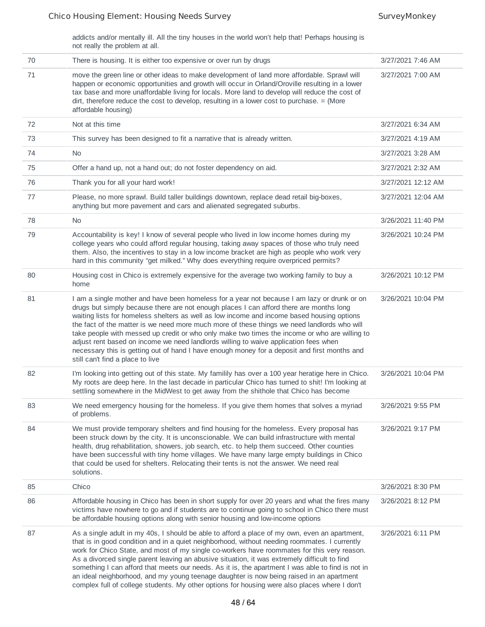addicts and/or mentally ill. All the tiny houses in the world won't help that! Perhaps housing is not really the problem at all.

| 70 | There is housing. It is either too expensive or over run by drugs                                                                                                                                                                                                                                                                                                                                                                                                                                                                                                                                                                                                                                                | 3/27/2021 7:46 AM  |
|----|------------------------------------------------------------------------------------------------------------------------------------------------------------------------------------------------------------------------------------------------------------------------------------------------------------------------------------------------------------------------------------------------------------------------------------------------------------------------------------------------------------------------------------------------------------------------------------------------------------------------------------------------------------------------------------------------------------------|--------------------|
| 71 | move the green line or other ideas to make development of land more affordable. Sprawl will<br>happen or economic opportunities and growth will occur in Orland/Oroville resulting in a lower<br>tax base and more unaffordable living for locals. More land to develop will reduce the cost of<br>dirt, therefore reduce the cost to develop, resulting in a lower cost to purchase. = (More<br>affordable housing)                                                                                                                                                                                                                                                                                             | 3/27/2021 7:00 AM  |
| 72 | Not at this time                                                                                                                                                                                                                                                                                                                                                                                                                                                                                                                                                                                                                                                                                                 | 3/27/2021 6:34 AM  |
| 73 | This survey has been designed to fit a narrative that is already written.                                                                                                                                                                                                                                                                                                                                                                                                                                                                                                                                                                                                                                        | 3/27/2021 4:19 AM  |
| 74 | <b>No</b>                                                                                                                                                                                                                                                                                                                                                                                                                                                                                                                                                                                                                                                                                                        | 3/27/2021 3:28 AM  |
| 75 | Offer a hand up, not a hand out; do not foster dependency on aid.                                                                                                                                                                                                                                                                                                                                                                                                                                                                                                                                                                                                                                                | 3/27/2021 2:32 AM  |
| 76 | Thank you for all your hard work!                                                                                                                                                                                                                                                                                                                                                                                                                                                                                                                                                                                                                                                                                | 3/27/2021 12:12 AM |
| 77 | Please, no more sprawl. Build taller buildings downtown, replace dead retail big-boxes,<br>anything but more pavement and cars and alienated segregated suburbs.                                                                                                                                                                                                                                                                                                                                                                                                                                                                                                                                                 | 3/27/2021 12:04 AM |
| 78 | No                                                                                                                                                                                                                                                                                                                                                                                                                                                                                                                                                                                                                                                                                                               | 3/26/2021 11:40 PM |
| 79 | Accountability is key! I know of several people who lived in low income homes during my<br>college years who could afford regular housing, taking away spaces of those who truly need<br>them. Also, the incentives to stay in a low income bracket are high as people who work very<br>hard in this community "get milked." Why does everything require overpriced permits?                                                                                                                                                                                                                                                                                                                                     | 3/26/2021 10:24 PM |
| 80 | Housing cost in Chico is extremely expensive for the average two working family to buy a<br>home                                                                                                                                                                                                                                                                                                                                                                                                                                                                                                                                                                                                                 | 3/26/2021 10:12 PM |
| 81 | I am a single mother and have been homeless for a year not because I am lazy or drunk or on<br>drugs but simply because there are not enough places I can afford there are months long<br>waiting lists for homeless shelters as well as low income and income based housing options<br>the fact of the matter is we need more much more of these things we need landlords who will<br>take people with messed up credit or who only make two times the income or who are willing to<br>adjust rent based on income we need landlords willing to waive application fees when<br>necessary this is getting out of hand I have enough money for a deposit and first months and<br>still can't find a place to live | 3/26/2021 10:04 PM |
| 82 | I'm looking into getting out of this state. My familily has over a 100 year heratige here in Chico.<br>My roots are deep here. In the last decade in particular Chico has turned to shit! I'm looking at<br>settling somewhere in the MidWest to get away from the shithole that Chico has become                                                                                                                                                                                                                                                                                                                                                                                                                | 3/26/2021 10:04 PM |
| 83 | We need emergency housing for the homeless. If you give them homes that solves a myriad<br>of problems.                                                                                                                                                                                                                                                                                                                                                                                                                                                                                                                                                                                                          | 3/26/2021 9:55 PM  |
| 84 | We must provide temporary shelters and find housing for the homeless. Every proposal has<br>been struck down by the city. It is unconscionable. We can build infrastructure with mental<br>health, drug rehabilitation, showers, job search, etc. to help them succeed. Other counties<br>have been successful with tiny home villages. We have many large empty buildings in Chico<br>that could be used for shelters. Relocating their tents is not the answer. We need real<br>solutions.                                                                                                                                                                                                                     | 3/26/2021 9:17 PM  |
| 85 | Chico                                                                                                                                                                                                                                                                                                                                                                                                                                                                                                                                                                                                                                                                                                            | 3/26/2021 8:30 PM  |
| 86 | Affordable housing in Chico has been in short supply for over 20 years and what the fires many<br>victims have nowhere to go and if students are to continue going to school in Chico there must<br>be affordable housing options along with senior housing and low-income options                                                                                                                                                                                                                                                                                                                                                                                                                               | 3/26/2021 8:12 PM  |
| 87 | As a single adult in my 40s, I should be able to afford a place of my own, even an apartment,<br>that is in good condition and in a quiet neighborhood, without needing roommates. I currently<br>work for Chico State, and most of my single co-workers have roommates for this very reason.<br>As a divorced single parent leaving an abusive situation, it was extremely difficult to find<br>something I can afford that meets our needs. As it is, the apartment I was able to find is not in<br>an ideal neighborhood, and my young teenage daughter is now being raised in an apartment<br>complex full of college students. My other options for housing were also places where I don't                  | 3/26/2021 6:11 PM  |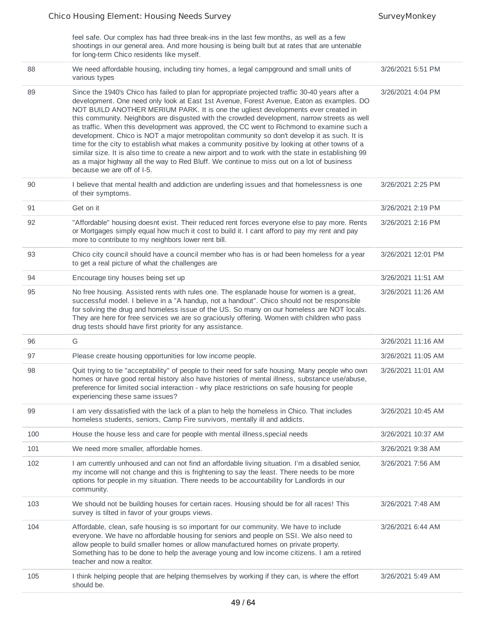| feel safe. Our complex has had three break-ins in the last few months, as well as a few        |
|------------------------------------------------------------------------------------------------|
| shootings in our general area. And more housing is being built but at rates that are untenable |
| for long-term Chico residents like myself.                                                     |

| 88  | We need affordable housing, including tiny homes, a legal campground and small units of<br>various types                                                                                                                                                                                                                                                                                                                                                                                                                                                                                                                                                                                                                                                                                                                                                                                                        | 3/26/2021 5:51 PM  |
|-----|-----------------------------------------------------------------------------------------------------------------------------------------------------------------------------------------------------------------------------------------------------------------------------------------------------------------------------------------------------------------------------------------------------------------------------------------------------------------------------------------------------------------------------------------------------------------------------------------------------------------------------------------------------------------------------------------------------------------------------------------------------------------------------------------------------------------------------------------------------------------------------------------------------------------|--------------------|
| 89  | Since the 1940's Chico has failed to plan for appropriate projected traffic 30-40 years after a<br>development. One need only look at East 1st Avenue, Forest Avenue, Eaton as examples. DO<br>NOT BUILD ANOTHER MERIUM PARK. It is one the ugliest developments ever created in<br>this community. Neighbors are disgusted with the crowded development, narrow streets as well<br>as traffic. When this development was approved, the CC went to Richmond to examine such a<br>development. Chico is NOT a major metropolitan community so don't develop it as such. It is<br>time for the city to establish what makes a community positive by looking at other towns of a<br>similar size. It is also time to create a new airport and to work with the state in establishing 99<br>as a major highway all the way to Red Bluff. We continue to miss out on a lot of business<br>because we are off of I-5. | 3/26/2021 4:04 PM  |
| 90  | I believe that mental health and addiction are underling issues and that homelessness is one<br>of their symptoms.                                                                                                                                                                                                                                                                                                                                                                                                                                                                                                                                                                                                                                                                                                                                                                                              | 3/26/2021 2:25 PM  |
| 91  | Get on it                                                                                                                                                                                                                                                                                                                                                                                                                                                                                                                                                                                                                                                                                                                                                                                                                                                                                                       | 3/26/2021 2:19 PM  |
| 92  | "Affordable" housing doesnt exist. Their reduced rent forces everyone else to pay more. Rents<br>or Mortgages simply equal how much it cost to build it. I cant afford to pay my rent and pay<br>more to contribute to my neighbors lower rent bill.                                                                                                                                                                                                                                                                                                                                                                                                                                                                                                                                                                                                                                                            | 3/26/2021 2:16 PM  |
| 93  | Chico city council should have a council member who has is or had been homeless for a year<br>to get a real picture of what the challenges are                                                                                                                                                                                                                                                                                                                                                                                                                                                                                                                                                                                                                                                                                                                                                                  | 3/26/2021 12:01 PM |
| 94  | Encourage tiny houses being set up                                                                                                                                                                                                                                                                                                                                                                                                                                                                                                                                                                                                                                                                                                                                                                                                                                                                              | 3/26/2021 11:51 AM |
| 95  | No free housing. Assisted rents with rules one. The esplanade house for women is a great,<br>successful model. I believe in a "A handup, not a handout". Chico should not be responsible<br>for solving the drug and homeless issue of the US. So many on our homeless are NOT locals.<br>They are here for free services we are so graciously offering. Women with children who pass<br>drug tests should have first priority for any assistance.                                                                                                                                                                                                                                                                                                                                                                                                                                                              | 3/26/2021 11:26 AM |
| 96  | G                                                                                                                                                                                                                                                                                                                                                                                                                                                                                                                                                                                                                                                                                                                                                                                                                                                                                                               | 3/26/2021 11:16 AM |
| 97  | Please create housing opportunities for low income people.                                                                                                                                                                                                                                                                                                                                                                                                                                                                                                                                                                                                                                                                                                                                                                                                                                                      | 3/26/2021 11:05 AM |
| 98  | Quit trying to tie "acceptability" of people to their need for safe housing. Many people who own<br>homes or have good rental history also have histories of mental illness, substance use/abuse,<br>preference for limited social interaction - why place restrictions on safe housing for people<br>experiencing these same issues?                                                                                                                                                                                                                                                                                                                                                                                                                                                                                                                                                                           | 3/26/2021 11:01 AM |
| 99  | I am very dissatisfied with the lack of a plan to help the homeless in Chico. That includes<br>homeless students, seniors, Camp Fire survivors, mentally ill and addicts.                                                                                                                                                                                                                                                                                                                                                                                                                                                                                                                                                                                                                                                                                                                                       | 3/26/2021 10:45 AM |
| 100 | House the house less and care for people with mental illness, special needs                                                                                                                                                                                                                                                                                                                                                                                                                                                                                                                                                                                                                                                                                                                                                                                                                                     | 3/26/2021 10:37 AM |
| 101 | We need more smaller, affordable homes.                                                                                                                                                                                                                                                                                                                                                                                                                                                                                                                                                                                                                                                                                                                                                                                                                                                                         | 3/26/2021 9:38 AM  |
| 102 | I am currently unhoused and can not find an affordable living situation. I'm a disabled senior,<br>my income will not change and this is frightening to say the least. There needs to be more<br>options for people in my situation. There needs to be accountability for Landlords in our<br>community.                                                                                                                                                                                                                                                                                                                                                                                                                                                                                                                                                                                                        | 3/26/2021 7:56 AM  |
| 103 | We should not be building houses for certain races. Housing should be for all races! This<br>survey is tilted in favor of your groups views.                                                                                                                                                                                                                                                                                                                                                                                                                                                                                                                                                                                                                                                                                                                                                                    | 3/26/2021 7:48 AM  |
| 104 | Affordable, clean, safe housing is so important for our community. We have to include<br>everyone. We have no affordable housing for seniors and people on SSI. We also need to<br>allow people to build smaller homes or allow manufactured homes on private property.<br>Something has to be done to help the average young and low income citizens. I am a retired<br>teacher and now a realtor.                                                                                                                                                                                                                                                                                                                                                                                                                                                                                                             | 3/26/2021 6:44 AM  |
| 105 | I think helping people that are helping themselves by working if they can, is where the effort<br>should be.                                                                                                                                                                                                                                                                                                                                                                                                                                                                                                                                                                                                                                                                                                                                                                                                    | 3/26/2021 5:49 AM  |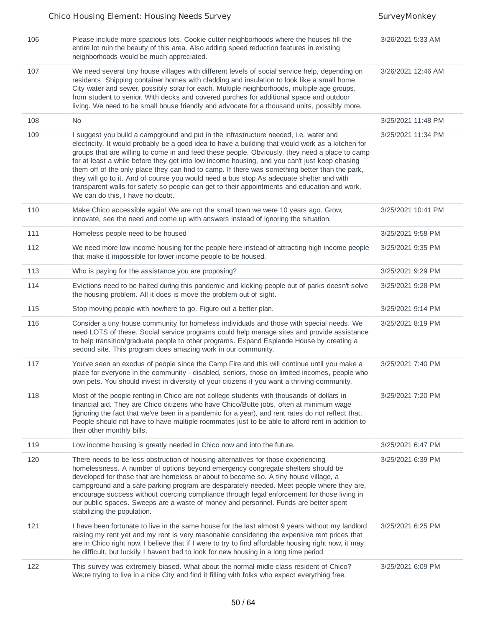| 106<br>Please include more spacious lots. Cookie cutter neighborhoods where the houses fill the<br>3/26/2021 5:33 AM<br>entire lot ruin the beauty of this area. Also adding speed reduction features in existing<br>neighborhoods would be much appreciated.<br>107<br>We need several tiny house villages with different levels of social service help, depending on<br>3/26/2021 12:46 AM<br>residents. Shipping container homes with cladding and insulation to look like a small home.<br>City water and sewer, possibly solar for each. Multiple neighborhoods, multiple age groups,<br>from student to senior. With decks and covered porches for additional space and outdoor<br>living. We need to be small bouse friendly and advocate for a thousand units, possibly more.<br>108<br><b>No</b><br>3/25/2021 11:48 PM<br>109<br>I suggest you build a campground and put in the infrastructure needed, i.e. water and<br>3/25/2021 11:34 PM<br>electricity. It would probably be a good idea to have a building that would work as a kitchen for<br>groups that are willing to come in and feed these people. Obviously, they need a place to camp<br>for at least a while before they get into low income housing, and you can't just keep chasing<br>them off of the only place they can find to camp. If there was something better than the park,<br>they will go to it. And of course you would need a bus stop As adequate shelter and with<br>transparent walls for safety so people can get to their appointments and education and work.<br>We can do this, I have no doubt.<br>110<br>Make Chico accessible again! We are not the small town we were 10 years ago. Grow,<br>3/25/2021 10:41 PM<br>innovate, see the need and come up with answers instead of ignoring the situation.<br>111<br>Homeless people need to be housed<br>3/25/2021 9:58 PM<br>112<br>We need more low income housing for the people here instead of attracting high income people<br>3/25/2021 9:35 PM<br>that make it impossible for lower income people to be housed.<br>113<br>Who is paying for the assistance you are proposing?<br>3/25/2021 9:29 PM<br>Evictions need to be halted during this pandemic and kicking people out of parks doesn't solve<br>114<br>3/25/2021 9:28 PM<br>the housing problem. All it does is move the problem out of sight.<br>115<br>Stop moving people with nowhere to go. Figure out a better plan.<br>3/25/2021 9:14 PM<br>Consider a tiny house community for homeless individuals and those with special needs. We<br>116<br>3/25/2021 8:19 PM<br>need LOTS of these. Social service programs could help manage sites and provide assistance<br>to help transition/graduate people to other programs. Expand Esplande House by creating a<br>second site. This program does amazing work in our community.<br>117<br>You've seen an exodus of people since the Camp Fire and this will continue until you make a<br>3/25/2021 7:40 PM<br>place for everyone in the community - disabled, seniors, those on limited incomes, people who<br>own pets. You should invest in diversity of your citizens if you want a thriving community.<br>118<br>Most of the people renting in Chico are not college students with thousands of dollars in<br>3/25/2021 7:20 PM<br>financial aid. They are Chico citizens who have Chico/Butte jobs, often at minimum wage<br>(ignoring the fact that we've been in a pandemic for a year), and rent rates do not reflect that.<br>People should not have to have multiple roommates just to be able to afford rent in addition to<br>their other monthly bills.<br>119<br>Low income housing is greatly needed in Chico now and into the future.<br>3/25/2021 6:47 PM<br>120<br>There needs to be less obstruction of housing alternatives for those experiencing<br>3/25/2021 6:39 PM<br>homelessness. A number of options beyond emergency congregate shelters should be<br>developed for those that are homeless or about to become so. A tiny house village, a<br>campground and a safe parking program are desparately needed. Meet people where they are,<br>encourage success without coercing compliance through legal enforcement for those living in<br>our public spaces. Sweeps are a waste of money and personnel. Funds are better spent<br>stabilizing the population.<br>121<br>I have been fortunate to live in the same house for the last almost 9 years without my landlord<br>3/25/2021 6:25 PM<br>raising my rent yet and my rent is very reasonable considering the expensive rent prices that<br>are in Chico right now. I believe that if I were to try to find affordable housing right now, it may<br>be difficult, but luckily I haven't had to look for new housing in a long time period<br>122<br>This survey was extremely biased. What about the normal midle class resident of Chico?<br>3/25/2021 6:09 PM<br>We;re trying to live in a nice City and find it filling with folks who expect everything free. |  |  |
|------------------------------------------------------------------------------------------------------------------------------------------------------------------------------------------------------------------------------------------------------------------------------------------------------------------------------------------------------------------------------------------------------------------------------------------------------------------------------------------------------------------------------------------------------------------------------------------------------------------------------------------------------------------------------------------------------------------------------------------------------------------------------------------------------------------------------------------------------------------------------------------------------------------------------------------------------------------------------------------------------------------------------------------------------------------------------------------------------------------------------------------------------------------------------------------------------------------------------------------------------------------------------------------------------------------------------------------------------------------------------------------------------------------------------------------------------------------------------------------------------------------------------------------------------------------------------------------------------------------------------------------------------------------------------------------------------------------------------------------------------------------------------------------------------------------------------------------------------------------------------------------------------------------------------------------------------------------------------------------------------------------------------------------------------------------------------------------------------------------------------------------------------------------------------------------------------------------------------------------------------------------------------------------------------------------------------------------------------------------------------------------------------------------------------------------------------------------------------------------------------------------------------------------------------------------------------------------------------------------------------------------------------------------------------------------------------------------------------------------------------------------------------------------------------------------------------------------------------------------------------------------------------------------------------------------------------------------------------------------------------------------------------------------------------------------------------------------------------------------------------------------------------------------------------------------------------------------------------------------------------------------------------------------------------------------------------------------------------------------------------------------------------------------------------------------------------------------------------------------------------------------------------------------------------------------------------------------------------------------------------------------------------------------------------------------------------------------------------------------------------------------------------------------------------------------------------------------------------------------------------------------------------------------------------------------------------------------------------------------------------------------------------------------------------------------------------------------------------------------------------------------------------------------------------------------------------------------------------------------------------------------------------------------------------------------------------------------------------------------------------------------------------------------------------------------------------------------------------------------------------------------------------------------------------------------------------------------------------------------------------------------------------------------------------------------------------------------------------------------------------------------------------------------------------------------------------------------------------------------------------------------------------------------------------------------------------------------------------------------------------------------------|--|--|
|                                                                                                                                                                                                                                                                                                                                                                                                                                                                                                                                                                                                                                                                                                                                                                                                                                                                                                                                                                                                                                                                                                                                                                                                                                                                                                                                                                                                                                                                                                                                                                                                                                                                                                                                                                                                                                                                                                                                                                                                                                                                                                                                                                                                                                                                                                                                                                                                                                                                                                                                                                                                                                                                                                                                                                                                                                                                                                                                                                                                                                                                                                                                                                                                                                                                                                                                                                                                                                                                                                                                                                                                                                                                                                                                                                                                                                                                                                                                                                                                                                                                                                                                                                                                                                                                                                                                                                                                                                                                                                                                                                                                                                                                                                                                                                                                                                                                                                                                                                                                                        |  |  |
|                                                                                                                                                                                                                                                                                                                                                                                                                                                                                                                                                                                                                                                                                                                                                                                                                                                                                                                                                                                                                                                                                                                                                                                                                                                                                                                                                                                                                                                                                                                                                                                                                                                                                                                                                                                                                                                                                                                                                                                                                                                                                                                                                                                                                                                                                                                                                                                                                                                                                                                                                                                                                                                                                                                                                                                                                                                                                                                                                                                                                                                                                                                                                                                                                                                                                                                                                                                                                                                                                                                                                                                                                                                                                                                                                                                                                                                                                                                                                                                                                                                                                                                                                                                                                                                                                                                                                                                                                                                                                                                                                                                                                                                                                                                                                                                                                                                                                                                                                                                                                        |  |  |
|                                                                                                                                                                                                                                                                                                                                                                                                                                                                                                                                                                                                                                                                                                                                                                                                                                                                                                                                                                                                                                                                                                                                                                                                                                                                                                                                                                                                                                                                                                                                                                                                                                                                                                                                                                                                                                                                                                                                                                                                                                                                                                                                                                                                                                                                                                                                                                                                                                                                                                                                                                                                                                                                                                                                                                                                                                                                                                                                                                                                                                                                                                                                                                                                                                                                                                                                                                                                                                                                                                                                                                                                                                                                                                                                                                                                                                                                                                                                                                                                                                                                                                                                                                                                                                                                                                                                                                                                                                                                                                                                                                                                                                                                                                                                                                                                                                                                                                                                                                                                                        |  |  |
|                                                                                                                                                                                                                                                                                                                                                                                                                                                                                                                                                                                                                                                                                                                                                                                                                                                                                                                                                                                                                                                                                                                                                                                                                                                                                                                                                                                                                                                                                                                                                                                                                                                                                                                                                                                                                                                                                                                                                                                                                                                                                                                                                                                                                                                                                                                                                                                                                                                                                                                                                                                                                                                                                                                                                                                                                                                                                                                                                                                                                                                                                                                                                                                                                                                                                                                                                                                                                                                                                                                                                                                                                                                                                                                                                                                                                                                                                                                                                                                                                                                                                                                                                                                                                                                                                                                                                                                                                                                                                                                                                                                                                                                                                                                                                                                                                                                                                                                                                                                                                        |  |  |
|                                                                                                                                                                                                                                                                                                                                                                                                                                                                                                                                                                                                                                                                                                                                                                                                                                                                                                                                                                                                                                                                                                                                                                                                                                                                                                                                                                                                                                                                                                                                                                                                                                                                                                                                                                                                                                                                                                                                                                                                                                                                                                                                                                                                                                                                                                                                                                                                                                                                                                                                                                                                                                                                                                                                                                                                                                                                                                                                                                                                                                                                                                                                                                                                                                                                                                                                                                                                                                                                                                                                                                                                                                                                                                                                                                                                                                                                                                                                                                                                                                                                                                                                                                                                                                                                                                                                                                                                                                                                                                                                                                                                                                                                                                                                                                                                                                                                                                                                                                                                                        |  |  |
|                                                                                                                                                                                                                                                                                                                                                                                                                                                                                                                                                                                                                                                                                                                                                                                                                                                                                                                                                                                                                                                                                                                                                                                                                                                                                                                                                                                                                                                                                                                                                                                                                                                                                                                                                                                                                                                                                                                                                                                                                                                                                                                                                                                                                                                                                                                                                                                                                                                                                                                                                                                                                                                                                                                                                                                                                                                                                                                                                                                                                                                                                                                                                                                                                                                                                                                                                                                                                                                                                                                                                                                                                                                                                                                                                                                                                                                                                                                                                                                                                                                                                                                                                                                                                                                                                                                                                                                                                                                                                                                                                                                                                                                                                                                                                                                                                                                                                                                                                                                                                        |  |  |
|                                                                                                                                                                                                                                                                                                                                                                                                                                                                                                                                                                                                                                                                                                                                                                                                                                                                                                                                                                                                                                                                                                                                                                                                                                                                                                                                                                                                                                                                                                                                                                                                                                                                                                                                                                                                                                                                                                                                                                                                                                                                                                                                                                                                                                                                                                                                                                                                                                                                                                                                                                                                                                                                                                                                                                                                                                                                                                                                                                                                                                                                                                                                                                                                                                                                                                                                                                                                                                                                                                                                                                                                                                                                                                                                                                                                                                                                                                                                                                                                                                                                                                                                                                                                                                                                                                                                                                                                                                                                                                                                                                                                                                                                                                                                                                                                                                                                                                                                                                                                                        |  |  |
|                                                                                                                                                                                                                                                                                                                                                                                                                                                                                                                                                                                                                                                                                                                                                                                                                                                                                                                                                                                                                                                                                                                                                                                                                                                                                                                                                                                                                                                                                                                                                                                                                                                                                                                                                                                                                                                                                                                                                                                                                                                                                                                                                                                                                                                                                                                                                                                                                                                                                                                                                                                                                                                                                                                                                                                                                                                                                                                                                                                                                                                                                                                                                                                                                                                                                                                                                                                                                                                                                                                                                                                                                                                                                                                                                                                                                                                                                                                                                                                                                                                                                                                                                                                                                                                                                                                                                                                                                                                                                                                                                                                                                                                                                                                                                                                                                                                                                                                                                                                                                        |  |  |
|                                                                                                                                                                                                                                                                                                                                                                                                                                                                                                                                                                                                                                                                                                                                                                                                                                                                                                                                                                                                                                                                                                                                                                                                                                                                                                                                                                                                                                                                                                                                                                                                                                                                                                                                                                                                                                                                                                                                                                                                                                                                                                                                                                                                                                                                                                                                                                                                                                                                                                                                                                                                                                                                                                                                                                                                                                                                                                                                                                                                                                                                                                                                                                                                                                                                                                                                                                                                                                                                                                                                                                                                                                                                                                                                                                                                                                                                                                                                                                                                                                                                                                                                                                                                                                                                                                                                                                                                                                                                                                                                                                                                                                                                                                                                                                                                                                                                                                                                                                                                                        |  |  |
|                                                                                                                                                                                                                                                                                                                                                                                                                                                                                                                                                                                                                                                                                                                                                                                                                                                                                                                                                                                                                                                                                                                                                                                                                                                                                                                                                                                                                                                                                                                                                                                                                                                                                                                                                                                                                                                                                                                                                                                                                                                                                                                                                                                                                                                                                                                                                                                                                                                                                                                                                                                                                                                                                                                                                                                                                                                                                                                                                                                                                                                                                                                                                                                                                                                                                                                                                                                                                                                                                                                                                                                                                                                                                                                                                                                                                                                                                                                                                                                                                                                                                                                                                                                                                                                                                                                                                                                                                                                                                                                                                                                                                                                                                                                                                                                                                                                                                                                                                                                                                        |  |  |
|                                                                                                                                                                                                                                                                                                                                                                                                                                                                                                                                                                                                                                                                                                                                                                                                                                                                                                                                                                                                                                                                                                                                                                                                                                                                                                                                                                                                                                                                                                                                                                                                                                                                                                                                                                                                                                                                                                                                                                                                                                                                                                                                                                                                                                                                                                                                                                                                                                                                                                                                                                                                                                                                                                                                                                                                                                                                                                                                                                                                                                                                                                                                                                                                                                                                                                                                                                                                                                                                                                                                                                                                                                                                                                                                                                                                                                                                                                                                                                                                                                                                                                                                                                                                                                                                                                                                                                                                                                                                                                                                                                                                                                                                                                                                                                                                                                                                                                                                                                                                                        |  |  |
|                                                                                                                                                                                                                                                                                                                                                                                                                                                                                                                                                                                                                                                                                                                                                                                                                                                                                                                                                                                                                                                                                                                                                                                                                                                                                                                                                                                                                                                                                                                                                                                                                                                                                                                                                                                                                                                                                                                                                                                                                                                                                                                                                                                                                                                                                                                                                                                                                                                                                                                                                                                                                                                                                                                                                                                                                                                                                                                                                                                                                                                                                                                                                                                                                                                                                                                                                                                                                                                                                                                                                                                                                                                                                                                                                                                                                                                                                                                                                                                                                                                                                                                                                                                                                                                                                                                                                                                                                                                                                                                                                                                                                                                                                                                                                                                                                                                                                                                                                                                                                        |  |  |
|                                                                                                                                                                                                                                                                                                                                                                                                                                                                                                                                                                                                                                                                                                                                                                                                                                                                                                                                                                                                                                                                                                                                                                                                                                                                                                                                                                                                                                                                                                                                                                                                                                                                                                                                                                                                                                                                                                                                                                                                                                                                                                                                                                                                                                                                                                                                                                                                                                                                                                                                                                                                                                                                                                                                                                                                                                                                                                                                                                                                                                                                                                                                                                                                                                                                                                                                                                                                                                                                                                                                                                                                                                                                                                                                                                                                                                                                                                                                                                                                                                                                                                                                                                                                                                                                                                                                                                                                                                                                                                                                                                                                                                                                                                                                                                                                                                                                                                                                                                                                                        |  |  |
|                                                                                                                                                                                                                                                                                                                                                                                                                                                                                                                                                                                                                                                                                                                                                                                                                                                                                                                                                                                                                                                                                                                                                                                                                                                                                                                                                                                                                                                                                                                                                                                                                                                                                                                                                                                                                                                                                                                                                                                                                                                                                                                                                                                                                                                                                                                                                                                                                                                                                                                                                                                                                                                                                                                                                                                                                                                                                                                                                                                                                                                                                                                                                                                                                                                                                                                                                                                                                                                                                                                                                                                                                                                                                                                                                                                                                                                                                                                                                                                                                                                                                                                                                                                                                                                                                                                                                                                                                                                                                                                                                                                                                                                                                                                                                                                                                                                                                                                                                                                                                        |  |  |
|                                                                                                                                                                                                                                                                                                                                                                                                                                                                                                                                                                                                                                                                                                                                                                                                                                                                                                                                                                                                                                                                                                                                                                                                                                                                                                                                                                                                                                                                                                                                                                                                                                                                                                                                                                                                                                                                                                                                                                                                                                                                                                                                                                                                                                                                                                                                                                                                                                                                                                                                                                                                                                                                                                                                                                                                                                                                                                                                                                                                                                                                                                                                                                                                                                                                                                                                                                                                                                                                                                                                                                                                                                                                                                                                                                                                                                                                                                                                                                                                                                                                                                                                                                                                                                                                                                                                                                                                                                                                                                                                                                                                                                                                                                                                                                                                                                                                                                                                                                                                                        |  |  |
|                                                                                                                                                                                                                                                                                                                                                                                                                                                                                                                                                                                                                                                                                                                                                                                                                                                                                                                                                                                                                                                                                                                                                                                                                                                                                                                                                                                                                                                                                                                                                                                                                                                                                                                                                                                                                                                                                                                                                                                                                                                                                                                                                                                                                                                                                                                                                                                                                                                                                                                                                                                                                                                                                                                                                                                                                                                                                                                                                                                                                                                                                                                                                                                                                                                                                                                                                                                                                                                                                                                                                                                                                                                                                                                                                                                                                                                                                                                                                                                                                                                                                                                                                                                                                                                                                                                                                                                                                                                                                                                                                                                                                                                                                                                                                                                                                                                                                                                                                                                                                        |  |  |
|                                                                                                                                                                                                                                                                                                                                                                                                                                                                                                                                                                                                                                                                                                                                                                                                                                                                                                                                                                                                                                                                                                                                                                                                                                                                                                                                                                                                                                                                                                                                                                                                                                                                                                                                                                                                                                                                                                                                                                                                                                                                                                                                                                                                                                                                                                                                                                                                                                                                                                                                                                                                                                                                                                                                                                                                                                                                                                                                                                                                                                                                                                                                                                                                                                                                                                                                                                                                                                                                                                                                                                                                                                                                                                                                                                                                                                                                                                                                                                                                                                                                                                                                                                                                                                                                                                                                                                                                                                                                                                                                                                                                                                                                                                                                                                                                                                                                                                                                                                                                                        |  |  |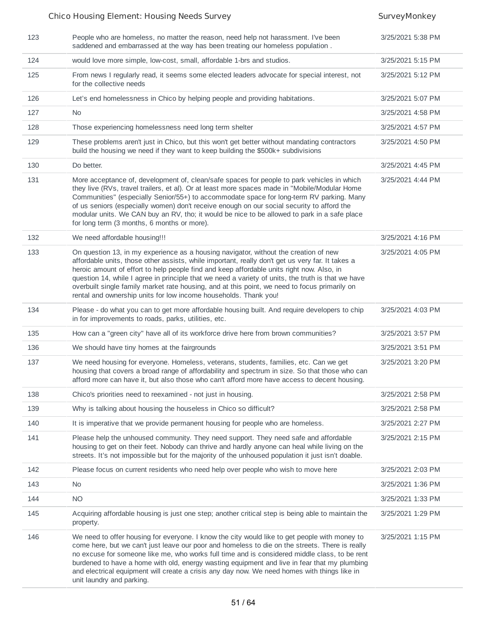### Chico Housing Element: Housing Needs Survey Survey SurveyMonkey 123 People who are homeless, no matter the reason, need help not harassment. I've been saddened and embarrassed at the way has been treating our homeless population . 3/25/2021 5:38 PM 124 would love more simple, low-cost, small, affordable 1-brs and studios. 3/25/2021 5:15 PM 125 From news I regularly read, it seems some elected leaders advocate for special interest, not for the collective needs 3/25/2021 5:12 PM 126 Let's end homelessness in Chico by helping people and providing habitations. 3/25/2021 5:07 PM 127 No 3/25/2021 4:58 PM 128 Those experiencing homelessness need long term shelter 3/25/2021 4:57 PM 129 These problems aren't just in Chico, but this won't get better without mandating contractors build the housing we need if they want to keep building the \$500k+ subdivisions 3/25/2021 4:50 PM 130 Do better. 3/25/2021 4:45 PM 131 More acceptance of, development of, clean/safe spaces for people to park vehicles in which they live (RVs, travel trailers, et al). Or at least more spaces made in "Mobile/Modular Home Communities" (especially Senior/55+) to accommodate space for long-term RV parking. Many of us seniors (especially women) don't receive enough on our social security to afford the modular units. We CAN buy an RV, tho; it would be nice to be allowed to park in a safe place for long term (3 months, 6 months or more). 3/25/2021 4:44 PM 132 We need affordable housing!!! 32 and 50 and 50 and 50 and 50 and 50 and 50 and 50 and 50 and 50 and 50 and 50 and 50 and 50 and 50 and 50 and 50 and 50 and 50 and 50 and 50 and 50 and 50 and 50 and 50 and 50 and 50 and 133 On question 13, in my experience as a housing navigator, without the creation of new affordable units, those other assists, while important, really don't get us very far. It takes a heroic amount of effort to help people find and keep affordable units right now. Also, in question 14, while I agree in principle that we need a variety of units, the truth is that we have overbuilt single family market rate housing, and at this point, we need to focus primarily on rental and ownership units for low income households. Thank you! 3/25/2021 4:05 PM 134 Please - do what you can to get more affordable housing built. And require developers to chip in for improvements to roads, parks, utilities, etc. 3/25/2021 4:03 PM 135 How can a "green city" have all of its workforce drive here from brown communities? 3/25/2021 3:57 PM 136 We should have tiny homes at the fairgrounds 3/25/2021 3:51 PM 137 We need housing for everyone. Homeless, veterans, students, families, etc. Can we get housing that covers a broad range of affordability and spectrum in size. So that those who can afford more can have it, but also those who can't afford more have access to decent housing. 3/25/2021 3:20 PM 138 Chico's priorities need to reexamined - not just in housing. 3/25/2021 2:58 PM 139 Why is talking about housing the houseless in Chico so difficult? 3/25/2021 2:58 PM 140 It is imperative that we provide permanent housing for people who are homeless. 3/25/2021 2:27 PM 141 Please help the unhoused community. They need support. They need safe and affordable housing to get on their feet. Nobody can thrive and hardly anyone can heal while living on the streets. It's not impossible but for the majority of the unhoused population it just isn't doable. 3/25/2021 2:15 PM 142 Please focus on current residents who need help over people who wish to move here 3/25/2021 2:03 PM 143 No 3/25/2021 1:36 PM 144 NO 3/25/2021 1:33 PM 145 Acquiring affordable housing is just one step; another critical step is being able to maintain the property. 3/25/2021 1:29 PM 146 We need to offer housing for everyone. I know the city would like to get people with money to come here, but we can't just leave our poor and homeless to die on the streets. There is really no excuse for someone like me, who works full time and is considered middle class, to be rent burdened to have a home with old, energy wasting equipment and live in fear that my plumbing and electrical equipment will create a crisis any day now. We need homes with things like in unit laundry and parking. 3/25/2021 1:15 PM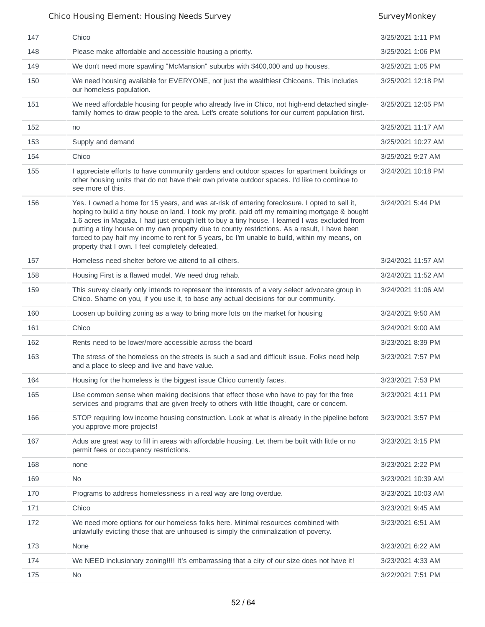| 147 | Chico                                                                                                                                                                                                                                                                                                                                                                                                                                                                                                                                                     | 3/25/2021 1:11 PM  |
|-----|-----------------------------------------------------------------------------------------------------------------------------------------------------------------------------------------------------------------------------------------------------------------------------------------------------------------------------------------------------------------------------------------------------------------------------------------------------------------------------------------------------------------------------------------------------------|--------------------|
| 148 | Please make affordable and accessible housing a priority.                                                                                                                                                                                                                                                                                                                                                                                                                                                                                                 | 3/25/2021 1:06 PM  |
| 149 | We don't need more spawling "McMansion" suburbs with \$400,000 and up houses.                                                                                                                                                                                                                                                                                                                                                                                                                                                                             | 3/25/2021 1:05 PM  |
| 150 | We need housing available for EVERYONE, not just the wealthiest Chicoans. This includes<br>our homeless population.                                                                                                                                                                                                                                                                                                                                                                                                                                       | 3/25/2021 12:18 PM |
| 151 | We need affordable housing for people who already live in Chico, not high-end detached single-<br>family homes to draw people to the area. Let's create solutions for our current population first.                                                                                                                                                                                                                                                                                                                                                       | 3/25/2021 12:05 PM |
| 152 | no                                                                                                                                                                                                                                                                                                                                                                                                                                                                                                                                                        | 3/25/2021 11:17 AM |
| 153 | Supply and demand                                                                                                                                                                                                                                                                                                                                                                                                                                                                                                                                         | 3/25/2021 10:27 AM |
| 154 | Chico                                                                                                                                                                                                                                                                                                                                                                                                                                                                                                                                                     | 3/25/2021 9:27 AM  |
| 155 | I appreciate efforts to have community gardens and outdoor spaces for apartment buildings or<br>other housing units that do not have their own private outdoor spaces. I'd like to continue to<br>see more of this.                                                                                                                                                                                                                                                                                                                                       | 3/24/2021 10:18 PM |
| 156 | Yes. I owned a home for 15 years, and was at-risk of entering foreclosure. I opted to sell it,<br>hoping to build a tiny house on land. I took my profit, paid off my remaining mortgage & bought<br>1.6 acres in Magalia. I had just enough left to buy a tiny house. I learned I was excluded from<br>putting a tiny house on my own property due to county restrictions. As a result, I have been<br>forced to pay half my income to rent for 5 years, bc I'm unable to build, within my means, on<br>property that I own. I feel completely defeated. | 3/24/2021 5:44 PM  |
| 157 | Homeless need shelter before we attend to all others.                                                                                                                                                                                                                                                                                                                                                                                                                                                                                                     | 3/24/2021 11:57 AM |
| 158 | Housing First is a flawed model. We need drug rehab.                                                                                                                                                                                                                                                                                                                                                                                                                                                                                                      | 3/24/2021 11:52 AM |
| 159 | This survey clearly only intends to represent the interests of a very select advocate group in<br>Chico. Shame on you, if you use it, to base any actual decisions for our community.                                                                                                                                                                                                                                                                                                                                                                     | 3/24/2021 11:06 AM |
| 160 | Loosen up building zoning as a way to bring more lots on the market for housing                                                                                                                                                                                                                                                                                                                                                                                                                                                                           | 3/24/2021 9:50 AM  |
| 161 | Chico                                                                                                                                                                                                                                                                                                                                                                                                                                                                                                                                                     | 3/24/2021 9:00 AM  |
| 162 | Rents need to be lower/more accessible across the board                                                                                                                                                                                                                                                                                                                                                                                                                                                                                                   | 3/23/2021 8:39 PM  |
| 163 | The stress of the homeless on the streets is such a sad and difficult issue. Folks need help<br>and a place to sleep and live and have value.                                                                                                                                                                                                                                                                                                                                                                                                             | 3/23/2021 7:57 PM  |
| 164 | Housing for the homeless is the biggest issue Chico currently faces.                                                                                                                                                                                                                                                                                                                                                                                                                                                                                      | 3/23/2021 7:53 PM  |
| 165 | Use common sense when making decisions that effect those who have to pay for the free<br>services and programs that are given freely to others with little thought, care or concern.                                                                                                                                                                                                                                                                                                                                                                      | 3/23/2021 4:11 PM  |
| 166 | STOP requiring low income housing construction. Look at what is already in the pipeline before<br>you approve more projects!                                                                                                                                                                                                                                                                                                                                                                                                                              | 3/23/2021 3:57 PM  |
| 167 | Adus are great way to fill in areas with affordable housing. Let them be built with little or no<br>permit fees or occupancy restrictions.                                                                                                                                                                                                                                                                                                                                                                                                                | 3/23/2021 3:15 PM  |
| 168 | none                                                                                                                                                                                                                                                                                                                                                                                                                                                                                                                                                      | 3/23/2021 2:22 PM  |
| 169 | No                                                                                                                                                                                                                                                                                                                                                                                                                                                                                                                                                        | 3/23/2021 10:39 AM |
| 170 | Programs to address homelessness in a real way are long overdue.                                                                                                                                                                                                                                                                                                                                                                                                                                                                                          | 3/23/2021 10:03 AM |
| 171 | Chico                                                                                                                                                                                                                                                                                                                                                                                                                                                                                                                                                     | 3/23/2021 9:45 AM  |
| 172 | We need more options for our homeless folks here. Minimal resources combined with<br>unlawfully evicting those that are unhoused is simply the criminalization of poverty.                                                                                                                                                                                                                                                                                                                                                                                | 3/23/2021 6:51 AM  |
| 173 | None                                                                                                                                                                                                                                                                                                                                                                                                                                                                                                                                                      | 3/23/2021 6:22 AM  |
| 174 | We NEED inclusionary zoning!!!! It's embarrassing that a city of our size does not have it!                                                                                                                                                                                                                                                                                                                                                                                                                                                               | 3/23/2021 4:33 AM  |
| 175 | No                                                                                                                                                                                                                                                                                                                                                                                                                                                                                                                                                        | 3/22/2021 7:51 PM  |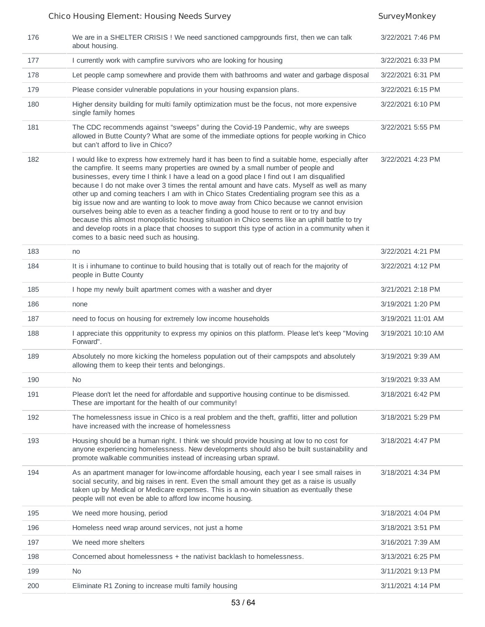| 176 | We are in a SHELTER CRISIS ! We need sanctioned campgrounds first, then we can talk<br>about housing.                                                                                                                                                                                                                                                                                                                                                                                                                                                                                                                                                                                                                                                                                                                                                                                                                | 3/22/2021 7:46 PM  |
|-----|----------------------------------------------------------------------------------------------------------------------------------------------------------------------------------------------------------------------------------------------------------------------------------------------------------------------------------------------------------------------------------------------------------------------------------------------------------------------------------------------------------------------------------------------------------------------------------------------------------------------------------------------------------------------------------------------------------------------------------------------------------------------------------------------------------------------------------------------------------------------------------------------------------------------|--------------------|
| 177 | I currently work with campfire survivors who are looking for housing                                                                                                                                                                                                                                                                                                                                                                                                                                                                                                                                                                                                                                                                                                                                                                                                                                                 | 3/22/2021 6:33 PM  |
| 178 | Let people camp somewhere and provide them with bathrooms and water and garbage disposal                                                                                                                                                                                                                                                                                                                                                                                                                                                                                                                                                                                                                                                                                                                                                                                                                             | 3/22/2021 6:31 PM  |
| 179 | Please consider vulnerable populations in your housing expansion plans.                                                                                                                                                                                                                                                                                                                                                                                                                                                                                                                                                                                                                                                                                                                                                                                                                                              | 3/22/2021 6:15 PM  |
| 180 | Higher density building for multi family optimization must be the focus, not more expensive<br>single family homes                                                                                                                                                                                                                                                                                                                                                                                                                                                                                                                                                                                                                                                                                                                                                                                                   | 3/22/2021 6:10 PM  |
| 181 | The CDC recommends against "sweeps" during the Covid-19 Pandemic, why are sweeps<br>allowed in Butte County? What are some of the immediate options for people working in Chico<br>but can't afford to live in Chico?                                                                                                                                                                                                                                                                                                                                                                                                                                                                                                                                                                                                                                                                                                | 3/22/2021 5:55 PM  |
| 182 | I would like to express how extremely hard it has been to find a suitable home, especially after<br>the campfire. It seems many properties are owned by a small number of people and<br>businesses, every time I think I have a lead on a good place I find out I am disqualified<br>because I do not make over 3 times the rental amount and have cats. Myself as well as many<br>other up and coming teachers I am with in Chico States Credentialing program see this as a<br>big issue now and are wanting to look to move away from Chico because we cannot envision<br>ourselves being able to even as a teacher finding a good house to rent or to try and buy<br>because this almost monopolistic housing situation in Chico seems like an uphill battle to try<br>and develop roots in a place that chooses to support this type of action in a community when it<br>comes to a basic need such as housing. | 3/22/2021 4:23 PM  |
| 183 | no                                                                                                                                                                                                                                                                                                                                                                                                                                                                                                                                                                                                                                                                                                                                                                                                                                                                                                                   | 3/22/2021 4:21 PM  |
| 184 | It is i inhumane to continue to build housing that is totally out of reach for the majority of<br>people in Butte County                                                                                                                                                                                                                                                                                                                                                                                                                                                                                                                                                                                                                                                                                                                                                                                             | 3/22/2021 4:12 PM  |
| 185 | I hope my newly built apartment comes with a washer and dryer                                                                                                                                                                                                                                                                                                                                                                                                                                                                                                                                                                                                                                                                                                                                                                                                                                                        | 3/21/2021 2:18 PM  |
| 186 | none                                                                                                                                                                                                                                                                                                                                                                                                                                                                                                                                                                                                                                                                                                                                                                                                                                                                                                                 | 3/19/2021 1:20 PM  |
| 187 | need to focus on housing for extremely low income households                                                                                                                                                                                                                                                                                                                                                                                                                                                                                                                                                                                                                                                                                                                                                                                                                                                         | 3/19/2021 11:01 AM |
| 188 | I appreciate this opppritunity to express my opinios on this platform. Please let's keep "Moving<br>Forward".                                                                                                                                                                                                                                                                                                                                                                                                                                                                                                                                                                                                                                                                                                                                                                                                        | 3/19/2021 10:10 AM |
| 189 | Absolutely no more kicking the homeless population out of their campspots and absolutely<br>allowing them to keep their tents and belongings.                                                                                                                                                                                                                                                                                                                                                                                                                                                                                                                                                                                                                                                                                                                                                                        | 3/19/2021 9:39 AM  |
| 190 | <b>No</b>                                                                                                                                                                                                                                                                                                                                                                                                                                                                                                                                                                                                                                                                                                                                                                                                                                                                                                            | 3/19/2021 9:33 AM  |
| 191 | Please don't let the need for affordable and supportive housing continue to be dismissed.<br>These are important for the health of our community!                                                                                                                                                                                                                                                                                                                                                                                                                                                                                                                                                                                                                                                                                                                                                                    | 3/18/2021 6:42 PM  |
| 192 | The homelessness issue in Chico is a real problem and the theft, graffiti, litter and pollution<br>have increased with the increase of homelessness                                                                                                                                                                                                                                                                                                                                                                                                                                                                                                                                                                                                                                                                                                                                                                  | 3/18/2021 5:29 PM  |
| 193 | Housing should be a human right. I think we should provide housing at low to no cost for<br>anyone experiencing homelessness. New developments should also be built sustainability and<br>promote walkable communities instead of increasing urban sprawl.                                                                                                                                                                                                                                                                                                                                                                                                                                                                                                                                                                                                                                                           | 3/18/2021 4:47 PM  |
| 194 | As an apartment manager for low-income affordable housing, each year I see small raises in<br>social security, and big raises in rent. Even the small amount they get as a raise is usually<br>taken up by Medical or Medicare expenses. This is a no-win situation as eventually these<br>people will not even be able to afford low income housing.                                                                                                                                                                                                                                                                                                                                                                                                                                                                                                                                                                | 3/18/2021 4:34 PM  |
| 195 | We need more housing, period                                                                                                                                                                                                                                                                                                                                                                                                                                                                                                                                                                                                                                                                                                                                                                                                                                                                                         | 3/18/2021 4:04 PM  |
| 196 | Homeless need wrap around services, not just a home                                                                                                                                                                                                                                                                                                                                                                                                                                                                                                                                                                                                                                                                                                                                                                                                                                                                  | 3/18/2021 3:51 PM  |
| 197 | We need more shelters                                                                                                                                                                                                                                                                                                                                                                                                                                                                                                                                                                                                                                                                                                                                                                                                                                                                                                | 3/16/2021 7:39 AM  |
| 198 | Concerned about homelessness + the nativist backlash to homelessness.                                                                                                                                                                                                                                                                                                                                                                                                                                                                                                                                                                                                                                                                                                                                                                                                                                                | 3/13/2021 6:25 PM  |
| 199 | <b>No</b>                                                                                                                                                                                                                                                                                                                                                                                                                                                                                                                                                                                                                                                                                                                                                                                                                                                                                                            | 3/11/2021 9:13 PM  |
| 200 | Eliminate R1 Zoning to increase multi family housing                                                                                                                                                                                                                                                                                                                                                                                                                                                                                                                                                                                                                                                                                                                                                                                                                                                                 | 3/11/2021 4:14 PM  |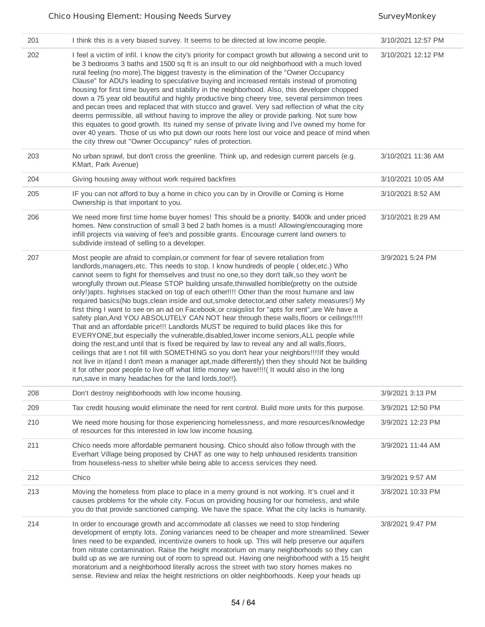| 201 | I think this is a very biased survey. It seems to be directed at low income people.                                                                                                                                                                                                                                                                                                                                                                                                                                                                                                                                                                                                                                                                                                                                                                                                                                                                                                                                                                                                                                                                                                                                                                                                                                                                                                                                                        | 3/10/2021 12:57 PM |
|-----|--------------------------------------------------------------------------------------------------------------------------------------------------------------------------------------------------------------------------------------------------------------------------------------------------------------------------------------------------------------------------------------------------------------------------------------------------------------------------------------------------------------------------------------------------------------------------------------------------------------------------------------------------------------------------------------------------------------------------------------------------------------------------------------------------------------------------------------------------------------------------------------------------------------------------------------------------------------------------------------------------------------------------------------------------------------------------------------------------------------------------------------------------------------------------------------------------------------------------------------------------------------------------------------------------------------------------------------------------------------------------------------------------------------------------------------------|--------------------|
| 202 | I feel a victim of infil. I know the city's priority for compact growth but allowing a second unit to<br>be 3 bedrooms 3 baths and 1500 sq ft is an insult to our old neighborhood with a much loved<br>rural feeling (no more). The biggest travesty is the elimination of the "Owner Occupancy<br>Clause" for ADU's leading to speculative buying and increased rentals instead of promoting<br>housing for first time buyers and stability in the neighborhood. Also, this developer chopped<br>down a 75 year old beautiful and highly productive bing cheery tree, several persimmon trees<br>and pecan trees and replaced that with stucco and gravel. Very sad reflection of what the city<br>deems permissible, all without having to improve the alley or provide parking. Not sure how<br>this equates to good growth. Its ruined my sense of private living and I've owned my home for<br>over 40 years. Those of us who put down our roots here lost our voice and peace of mind when<br>the city threw out "Owner Occupancy" rules of protection.                                                                                                                                                                                                                                                                                                                                                                             | 3/10/2021 12:12 PM |
| 203 | No urban sprawl, but don't cross the greenline. Think up, and redesign current parcels (e.g.<br>KMart, Park Avenue)                                                                                                                                                                                                                                                                                                                                                                                                                                                                                                                                                                                                                                                                                                                                                                                                                                                                                                                                                                                                                                                                                                                                                                                                                                                                                                                        | 3/10/2021 11:36 AM |
| 204 | Giving housing away without work required backfires                                                                                                                                                                                                                                                                                                                                                                                                                                                                                                                                                                                                                                                                                                                                                                                                                                                                                                                                                                                                                                                                                                                                                                                                                                                                                                                                                                                        | 3/10/2021 10:05 AM |
| 205 | IF you can not afford to buy a home in chico you can by in Oroville or Corning is Home<br>Ownership is that important to you.                                                                                                                                                                                                                                                                                                                                                                                                                                                                                                                                                                                                                                                                                                                                                                                                                                                                                                                                                                                                                                                                                                                                                                                                                                                                                                              | 3/10/2021 8:52 AM  |
| 206 | We need more first time home buyer homes! This should be a priority. \$400k and under priced<br>homes. New construction of small 3 bed 2 bath homes is a must! Allowing/encouraging more<br>infill projects via waiving of fee's and possible grants. Encourage current land owners to<br>subdivide instead of selling to a developer.                                                                                                                                                                                                                                                                                                                                                                                                                                                                                                                                                                                                                                                                                                                                                                                                                                                                                                                                                                                                                                                                                                     | 3/10/2021 8:29 AM  |
| 207 | Most people are afraid to complain, or comment for fear of severe retaliation from<br>landlords, managers, etc. This needs to stop. I know hundreds of people (older, etc.) Who<br>cannot seem to fight for themselves and trust no one, so they don't talk, so they won't be<br>wrongfully thrown out.Please STOP building unsafe, thinwalled horrible(pretty on the outside<br>only!)apts. highrises stacked on top of each other!!!! Other than the most humane and law<br>required basics(No bugs, clean inside and out, smoke detector, and other safety measures!) My<br>first thing I want to see on an ad on Facebook, or craigslist for "apts for rent", are We have a<br>safety plan, And YOU ABSOLUTELY CAN NOT hear through these walls, floors or ceilings!!!!!<br>That and an affordable price!!! Landlords MUST be required to build places like this for<br>EVERYONE, but especially the vulnerable, disabled, lower income seniors, ALL people while<br>doing the rest, and until that is fixed be required by law to reveal any and all walls, floors,<br>ceilings that are t not fill with SOMETHING so you don't hear your neighbors!!!!If they would<br>not live in it(and I don't mean a manager apt, made differently) then they should Not be building<br>it for other poor people to live off what little money we have!!!! (It would also in the long<br>run, save in many headaches for the land lords, too!!). | 3/9/2021 5:24 PM   |
| 208 | Don't destroy neighborhoods with low income housing.                                                                                                                                                                                                                                                                                                                                                                                                                                                                                                                                                                                                                                                                                                                                                                                                                                                                                                                                                                                                                                                                                                                                                                                                                                                                                                                                                                                       | 3/9/2021 3:13 PM   |
| 209 | Tax credit housing would eliminate the need for rent control. Build more units for this purpose.                                                                                                                                                                                                                                                                                                                                                                                                                                                                                                                                                                                                                                                                                                                                                                                                                                                                                                                                                                                                                                                                                                                                                                                                                                                                                                                                           | 3/9/2021 12:50 PM  |
| 210 | We need more housing for those experiencing homelessness, and more resources/knowledge<br>of resources for this interested in low low income housing.                                                                                                                                                                                                                                                                                                                                                                                                                                                                                                                                                                                                                                                                                                                                                                                                                                                                                                                                                                                                                                                                                                                                                                                                                                                                                      | 3/9/2021 12:23 PM  |
| 211 | Chico needs more affordable permanent housing. Chico should also follow through with the<br>Everhart Village being proposed by CHAT as one way to help unhoused residents transition<br>from houseless-ness to shelter while being able to access services they need.                                                                                                                                                                                                                                                                                                                                                                                                                                                                                                                                                                                                                                                                                                                                                                                                                                                                                                                                                                                                                                                                                                                                                                      | 3/9/2021 11:44 AM  |
| 212 | Chico                                                                                                                                                                                                                                                                                                                                                                                                                                                                                                                                                                                                                                                                                                                                                                                                                                                                                                                                                                                                                                                                                                                                                                                                                                                                                                                                                                                                                                      | 3/9/2021 9:57 AM   |
| 213 | Moving the homeless from place to place in a merry ground is not working. It's cruel and it<br>causes problems for the whole city. Focus on providing housing for our homeless, and while<br>you do that provide sanctioned camping. We have the space. What the city lacks is humanity.                                                                                                                                                                                                                                                                                                                                                                                                                                                                                                                                                                                                                                                                                                                                                                                                                                                                                                                                                                                                                                                                                                                                                   | 3/8/2021 10:33 PM  |
| 214 | In order to encourage growth and accommodate all classes we need to stop hindering<br>development of empty lots. Zoning variances need to be cheaper and more streamlined. Sewer<br>lines need to be expanded, incentivize owners to hook up. This will help preserve our aquifers<br>from nitrate contamination. Raise the height moratorium on many neighborhoods so they can<br>build up as we are running out of room to spread out. Having one neighborhood with a 15 height<br>moratorium and a neighborhood literally across the street with two story homes makes no<br>sense. Review and relax the height restrictions on older neighborhoods. Keep your heads up                                                                                                                                                                                                                                                                                                                                                                                                                                                                                                                                                                                                                                                                                                                                                                 | 3/8/2021 9:47 PM   |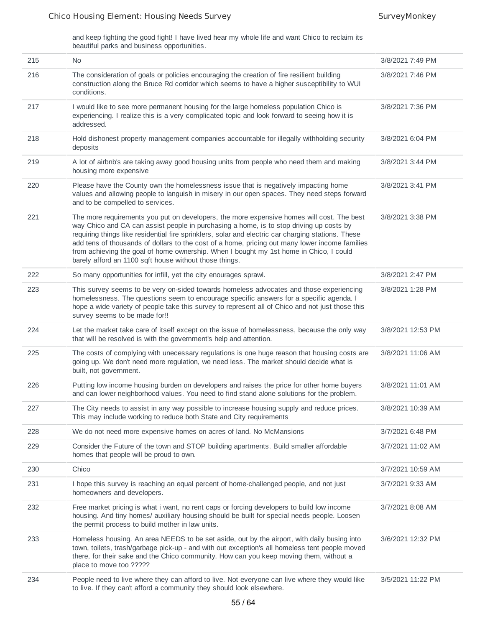and keep fighting the good fight! I have lived hear my whole life and want Chico to reclaim its beautiful parks and business opportunities.

| 215 | <b>No</b>                                                                                                                                                                                                                                                                                                                                                                                                                                                                                                                                        | 3/8/2021 7:49 PM  |
|-----|--------------------------------------------------------------------------------------------------------------------------------------------------------------------------------------------------------------------------------------------------------------------------------------------------------------------------------------------------------------------------------------------------------------------------------------------------------------------------------------------------------------------------------------------------|-------------------|
| 216 | The consideration of goals or policies encouraging the creation of fire resilient building<br>construction along the Bruce Rd corridor which seems to have a higher susceptibility to WUI<br>conditions.                                                                                                                                                                                                                                                                                                                                         | 3/8/2021 7:46 PM  |
| 217 | I would like to see more permanent housing for the large homeless population Chico is<br>experiencing. I realize this is a very complicated topic and look forward to seeing how it is<br>addressed.                                                                                                                                                                                                                                                                                                                                             | 3/8/2021 7:36 PM  |
| 218 | Hold dishonest property management companies accountable for illegally withholding security<br>deposits                                                                                                                                                                                                                                                                                                                                                                                                                                          | 3/8/2021 6:04 PM  |
| 219 | A lot of airbnb's are taking away good housing units from people who need them and making<br>housing more expensive                                                                                                                                                                                                                                                                                                                                                                                                                              | 3/8/2021 3:44 PM  |
| 220 | Please have the County own the homelessness issue that is negatively impacting home<br>values and allowing people to languish in misery in our open spaces. They need steps forward<br>and to be compelled to services.                                                                                                                                                                                                                                                                                                                          | 3/8/2021 3:41 PM  |
| 221 | The more requirements you put on developers, the more expensive homes will cost. The best<br>way Chico and CA can assist people in purchasing a home, is to stop driving up costs by<br>requiring things like residential fire sprinklers, solar and electric car charging stations. These<br>add tens of thousands of dollars to the cost of a home, pricing out many lower income families<br>from achieving the goal of home ownership. When I bought my 1st home in Chico, I could<br>barely afford an 1100 sqft house without those things. | 3/8/2021 3:38 PM  |
| 222 | So many opportunities for infill, yet the city enourages sprawl.                                                                                                                                                                                                                                                                                                                                                                                                                                                                                 | 3/8/2021 2:47 PM  |
| 223 | This survey seems to be very on-sided towards homeless advocates and those experiencing<br>homelessness. The questions seem to encourage specific answers for a specific agenda. I<br>hope a wide variety of people take this survey to represent all of Chico and not just those this<br>survey seems to be made for!!                                                                                                                                                                                                                          | 3/8/2021 1:28 PM  |
| 224 | Let the market take care of itself except on the issue of homelessness, because the only way<br>that will be resolved is with the government's help and attention.                                                                                                                                                                                                                                                                                                                                                                               | 3/8/2021 12:53 PM |
| 225 | The costs of complying with unecessary regulations is one huge reason that housing costs are<br>going up. We don't need more regulation, we need less. The market should decide what is<br>built, not government.                                                                                                                                                                                                                                                                                                                                | 3/8/2021 11:06 AM |
| 226 | Putting low income housing burden on developers and raises the price for other home buyers<br>and can lower neighborhood values. You need to find stand alone solutions for the problem.                                                                                                                                                                                                                                                                                                                                                         | 3/8/2021 11:01 AM |
| 227 | The City needs to assist in any way possible to increase housing supply and reduce prices.<br>This may include working to reduce both State and City requirements                                                                                                                                                                                                                                                                                                                                                                                | 3/8/2021 10:39 AM |
| 228 | We do not need more expensive homes on acres of land. No McMansions                                                                                                                                                                                                                                                                                                                                                                                                                                                                              | 3/7/2021 6:48 PM  |
| 229 | Consider the Future of the town and STOP building apartments. Build smaller affordable<br>homes that people will be proud to own.                                                                                                                                                                                                                                                                                                                                                                                                                | 3/7/2021 11:02 AM |
| 230 | Chico                                                                                                                                                                                                                                                                                                                                                                                                                                                                                                                                            | 3/7/2021 10:59 AM |
| 231 | I hope this survey is reaching an equal percent of home-challenged people, and not just<br>homeowners and developers.                                                                                                                                                                                                                                                                                                                                                                                                                            | 3/7/2021 9:33 AM  |
| 232 | Free market pricing is what i want, no rent caps or forcing developers to build low income<br>housing. And tiny homes/ auxiliary housing should be built for special needs people. Loosen<br>the permit process to build mother in law units.                                                                                                                                                                                                                                                                                                    | 3/7/2021 8:08 AM  |
| 233 | Homeless housing. An area NEEDS to be set aside, out by the airport, with daily busing into<br>town, toilets, trash/garbage pick-up - and with out exception's all homeless tent people moved<br>there, for their sake and the Chico community. How can you keep moving them, without a<br>place to move too ?????                                                                                                                                                                                                                               | 3/6/2021 12:32 PM |
| 234 | People need to live where they can afford to live. Not everyone can live where they would like<br>to live. If they can't afford a community they should look elsewhere.                                                                                                                                                                                                                                                                                                                                                                          | 3/5/2021 11:22 PM |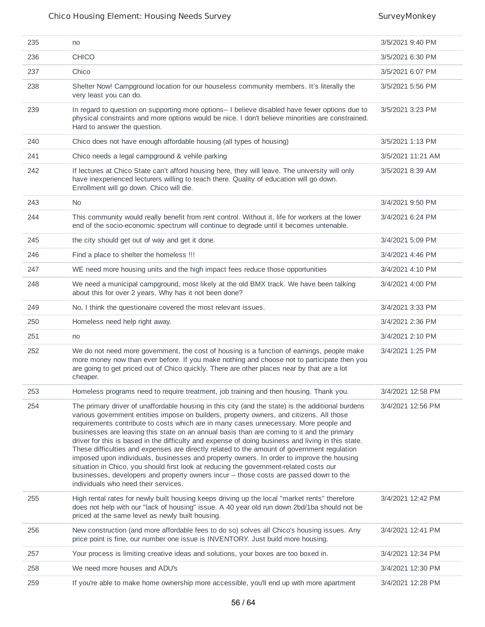| 235 | no                                                                                                                                                                                                                                                                                                                                                                                                                                                                                                                                                                                                                                                                                                                                                                                                                                                                                                                 | 3/5/2021 9:40 PM  |
|-----|--------------------------------------------------------------------------------------------------------------------------------------------------------------------------------------------------------------------------------------------------------------------------------------------------------------------------------------------------------------------------------------------------------------------------------------------------------------------------------------------------------------------------------------------------------------------------------------------------------------------------------------------------------------------------------------------------------------------------------------------------------------------------------------------------------------------------------------------------------------------------------------------------------------------|-------------------|
| 236 | <b>CHICO</b>                                                                                                                                                                                                                                                                                                                                                                                                                                                                                                                                                                                                                                                                                                                                                                                                                                                                                                       | 3/5/2021 6:30 PM  |
| 237 | Chico                                                                                                                                                                                                                                                                                                                                                                                                                                                                                                                                                                                                                                                                                                                                                                                                                                                                                                              | 3/5/2021 6:07 PM  |
| 238 | Shelter Now! Campground location for our houseless community members. It's literally the<br>very least you can do.                                                                                                                                                                                                                                                                                                                                                                                                                                                                                                                                                                                                                                                                                                                                                                                                 | 3/5/2021 5:56 PM  |
| 239 | In regard to question on supporting more options-- I believe disabled have fewer options due to<br>physical constraints and more options would be nice. I don't believe minorities are constrained.<br>Hard to answer the question.                                                                                                                                                                                                                                                                                                                                                                                                                                                                                                                                                                                                                                                                                | 3/5/2021 3:23 PM  |
| 240 | Chico does not have enough affordable housing (all types of housing)                                                                                                                                                                                                                                                                                                                                                                                                                                                                                                                                                                                                                                                                                                                                                                                                                                               | 3/5/2021 1:13 PM  |
| 241 | Chico needs a legal campground & vehile parking                                                                                                                                                                                                                                                                                                                                                                                                                                                                                                                                                                                                                                                                                                                                                                                                                                                                    | 3/5/2021 11:21 AM |
| 242 | If lectures at Chico State can't afford housing here, they will leave. The university will only<br>have inexperienced lecturers willing to teach there. Quality of education will go down.<br>Enrollment will go down. Chico will die.                                                                                                                                                                                                                                                                                                                                                                                                                                                                                                                                                                                                                                                                             | 3/5/2021 8:39 AM  |
| 243 | <b>No</b>                                                                                                                                                                                                                                                                                                                                                                                                                                                                                                                                                                                                                                                                                                                                                                                                                                                                                                          | 3/4/2021 9:50 PM  |
| 244 | This community would really benefit from rent control. Without it, life for workers at the lower<br>end of the socio-economic spectrum will continue to degrade until it becomes untenable.                                                                                                                                                                                                                                                                                                                                                                                                                                                                                                                                                                                                                                                                                                                        | 3/4/2021 6:24 PM  |
| 245 | the city should get out of way and get it done.                                                                                                                                                                                                                                                                                                                                                                                                                                                                                                                                                                                                                                                                                                                                                                                                                                                                    | 3/4/2021 5:09 PM  |
| 246 | Find a place to shelter the homeless !!!                                                                                                                                                                                                                                                                                                                                                                                                                                                                                                                                                                                                                                                                                                                                                                                                                                                                           | 3/4/2021 4:46 PM  |
| 247 | WE need more housing units and the high impact fees reduce those opportunities                                                                                                                                                                                                                                                                                                                                                                                                                                                                                                                                                                                                                                                                                                                                                                                                                                     | 3/4/2021 4:10 PM  |
| 248 | We need a municipal campground, most likely at the old BMX track. We have been talking<br>about this for over 2 years. Why has it not been done?                                                                                                                                                                                                                                                                                                                                                                                                                                                                                                                                                                                                                                                                                                                                                                   | 3/4/2021 4:00 PM  |
| 249 | No, I think the questionaire covered the most relevant issues.                                                                                                                                                                                                                                                                                                                                                                                                                                                                                                                                                                                                                                                                                                                                                                                                                                                     | 3/4/2021 3:33 PM  |
| 250 | Homeless need help right away.                                                                                                                                                                                                                                                                                                                                                                                                                                                                                                                                                                                                                                                                                                                                                                                                                                                                                     | 3/4/2021 2:36 PM  |
| 251 | no                                                                                                                                                                                                                                                                                                                                                                                                                                                                                                                                                                                                                                                                                                                                                                                                                                                                                                                 | 3/4/2021 2:10 PM  |
| 252 | We do not need more government, the cost of housing is a function of earnings, people make<br>more money now than ever before. If you make nothing and choose not to participate then you<br>are going to get priced out of Chico quickly. There are other places near by that are a lot<br>cheaper.                                                                                                                                                                                                                                                                                                                                                                                                                                                                                                                                                                                                               | 3/4/2021 1:25 PM  |
| 253 | Homeless programs need to require treatment, job training and then housing. Thank you.                                                                                                                                                                                                                                                                                                                                                                                                                                                                                                                                                                                                                                                                                                                                                                                                                             | 3/4/2021 12:58 PM |
| 254 | The primary driver of unaffordable housing in this city (and the state) is the additional burdens<br>various government entities impose on builders, property owners, and citizens. All those<br>requirements contribute to costs which are in many cases unnecessary. More people and<br>businesses are leaving this state on an annual basis than are coming to it and the primary<br>driver for this is based in the difficulty and expense of doing business and living in this state.<br>These difficulties and expenses are directly related to the amount of government regulation<br>imposed upon individuals, businesses and property owners. In order to improve the housing<br>situation in Chico, you should first look at reducing the government-related costs our<br>businesses, developers and property owners incur -- those costs are passed down to the<br>individuals who need their services. | 3/4/2021 12:56 PM |
| 255 | High rental rates for newly built housing keeps driving up the local "market rents" therefore<br>does not help with our "lack of housing" issue. A 40 year old run down 2bd/1ba should not be<br>priced at the same level as newly built housing.                                                                                                                                                                                                                                                                                                                                                                                                                                                                                                                                                                                                                                                                  | 3/4/2021 12:42 PM |
| 256 | New construction (and more affordable fees to do so) solves all Chico's housing issues. Any<br>price point is fine, our number one issue is INVENTORY. Just build more housing.                                                                                                                                                                                                                                                                                                                                                                                                                                                                                                                                                                                                                                                                                                                                    | 3/4/2021 12:41 PM |
| 257 | Your process is limiting creative ideas and solutions, your boxes are too boxed in.                                                                                                                                                                                                                                                                                                                                                                                                                                                                                                                                                                                                                                                                                                                                                                                                                                | 3/4/2021 12:34 PM |
| 258 | We need more houses and ADU's                                                                                                                                                                                                                                                                                                                                                                                                                                                                                                                                                                                                                                                                                                                                                                                                                                                                                      | 3/4/2021 12:30 PM |
| 259 | If you're able to make home ownership more accessible, you'll end up with more apartment                                                                                                                                                                                                                                                                                                                                                                                                                                                                                                                                                                                                                                                                                                                                                                                                                           | 3/4/2021 12:28 PM |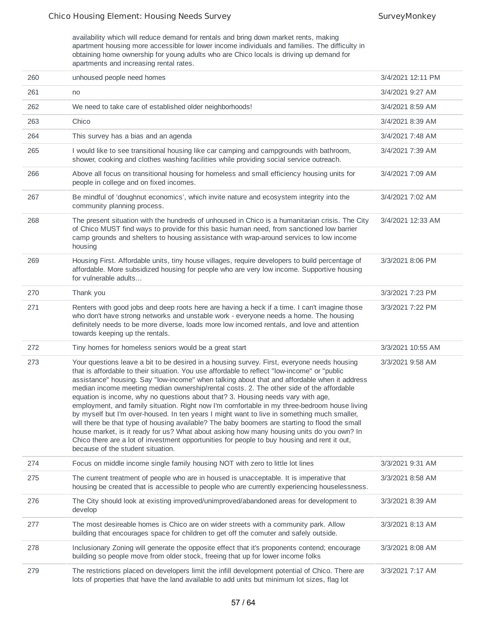availability which will reduce demand for rentals and bring down market rents, making apartment housing more accessible for lower income individuals and families. The difficulty in obtaining home ownership for young adults who are Chico locals is driving up demand for apartments and increasing rental rates.

| 260 | unhoused people need homes                                                                                                                                                                                                                                                                                                                                                                                                                                                                                                                                                                                                                                                                                                                                                                                                                                                                                                                                                                                     | 3/4/2021 12:11 PM |
|-----|----------------------------------------------------------------------------------------------------------------------------------------------------------------------------------------------------------------------------------------------------------------------------------------------------------------------------------------------------------------------------------------------------------------------------------------------------------------------------------------------------------------------------------------------------------------------------------------------------------------------------------------------------------------------------------------------------------------------------------------------------------------------------------------------------------------------------------------------------------------------------------------------------------------------------------------------------------------------------------------------------------------|-------------------|
| 261 | no                                                                                                                                                                                                                                                                                                                                                                                                                                                                                                                                                                                                                                                                                                                                                                                                                                                                                                                                                                                                             | 3/4/2021 9:27 AM  |
| 262 | We need to take care of established older neighborhoods!                                                                                                                                                                                                                                                                                                                                                                                                                                                                                                                                                                                                                                                                                                                                                                                                                                                                                                                                                       | 3/4/2021 8:59 AM  |
| 263 | Chico                                                                                                                                                                                                                                                                                                                                                                                                                                                                                                                                                                                                                                                                                                                                                                                                                                                                                                                                                                                                          | 3/4/2021 8:39 AM  |
| 264 | This survey has a bias and an agenda                                                                                                                                                                                                                                                                                                                                                                                                                                                                                                                                                                                                                                                                                                                                                                                                                                                                                                                                                                           | 3/4/2021 7:48 AM  |
| 265 | I would like to see transitional housing like car camping and campgrounds with bathroom,<br>shower, cooking and clothes washing facilities while providing social service outreach.                                                                                                                                                                                                                                                                                                                                                                                                                                                                                                                                                                                                                                                                                                                                                                                                                            | 3/4/2021 7:39 AM  |
| 266 | Above all focus on transitional housing for homeless and small efficiency housing units for<br>people in college and on fixed incomes.                                                                                                                                                                                                                                                                                                                                                                                                                                                                                                                                                                                                                                                                                                                                                                                                                                                                         | 3/4/2021 7:09 AM  |
| 267 | Be mindful of 'doughnut economics', which invite nature and ecosystem integrity into the<br>community planning process.                                                                                                                                                                                                                                                                                                                                                                                                                                                                                                                                                                                                                                                                                                                                                                                                                                                                                        | 3/4/2021 7:02 AM  |
| 268 | The present situation with the hundreds of unhoused in Chico is a humanitarian crisis. The City<br>of Chico MUST find ways to provide for this basic human need, from sanctioned low barrier<br>camp grounds and shelters to housing assistance with wrap-around services to low income<br>housing                                                                                                                                                                                                                                                                                                                                                                                                                                                                                                                                                                                                                                                                                                             | 3/4/2021 12:33 AM |
| 269 | Housing First. Affordable units, tiny house villages, require developers to build percentage of<br>affordable. More subsidized housing for people who are very low income. Supportive housing<br>for vulnerable adults                                                                                                                                                                                                                                                                                                                                                                                                                                                                                                                                                                                                                                                                                                                                                                                         | 3/3/2021 8:06 PM  |
| 270 | Thank you                                                                                                                                                                                                                                                                                                                                                                                                                                                                                                                                                                                                                                                                                                                                                                                                                                                                                                                                                                                                      | 3/3/2021 7:23 PM  |
| 271 | Renters with good jobs and deep roots here are having a heck if a time. I can't imagine those<br>who don't have strong networks and unstable work - everyone needs a home. The housing<br>definitely needs to be more diverse, loads more low incomed rentals, and love and attention<br>towards keeping up the rentals.                                                                                                                                                                                                                                                                                                                                                                                                                                                                                                                                                                                                                                                                                       | 3/3/2021 7:22 PM  |
| 272 | Tiny homes for homeless seniors would be a great start                                                                                                                                                                                                                                                                                                                                                                                                                                                                                                                                                                                                                                                                                                                                                                                                                                                                                                                                                         | 3/3/2021 10:55 AM |
| 273 | Your questions leave a bit to be desired in a housing survey. First, everyone needs housing<br>that is affordable to their situation. You use affordable to reflect "low-income" or "public<br>assistance" housing. Say "low-income" when talking about that and affordable when it address<br>median income meeting median ownership/rental costs. 2. The other side of the affordable<br>equation is income, why no questions about that? 3. Housing needs vary with age,<br>employment, and family situation. Right now I'm comfortable in my three-bedroom house living<br>by myself but I'm over-housed. In ten years I might want to live in something much smaller,<br>will there be that type of housing available? The baby boomers are starting to flood the small<br>house market, is it ready for us? What about asking how many housing units do you own? In<br>Chico there are a lot of investment opportunities for people to buy housing and rent it out,<br>because of the student situation. | 3/3/2021 9:58 AM  |
| 274 | Focus on middle income single family housing NOT with zero to little lot lines                                                                                                                                                                                                                                                                                                                                                                                                                                                                                                                                                                                                                                                                                                                                                                                                                                                                                                                                 | 3/3/2021 9:31 AM  |
| 275 | The current treatment of people who are in housed is unacceptable. It is imperative that<br>housing be created that is accessible to people who are currently experiencing houselessness.                                                                                                                                                                                                                                                                                                                                                                                                                                                                                                                                                                                                                                                                                                                                                                                                                      | 3/3/2021 8:58 AM  |
| 276 | The City should look at existing improved/unimproved/abandoned areas for development to<br>develop                                                                                                                                                                                                                                                                                                                                                                                                                                                                                                                                                                                                                                                                                                                                                                                                                                                                                                             | 3/3/2021 8:39 AM  |
| 277 | The most desireable homes is Chico are on wider streets with a community park. Allow<br>building that encourages space for children to get off the comuter and safely outside.                                                                                                                                                                                                                                                                                                                                                                                                                                                                                                                                                                                                                                                                                                                                                                                                                                 | 3/3/2021 8:13 AM  |
| 278 | Inclusionary Zoning will generate the opposite effect that it's proponents contend; encourage<br>building so people move from older stock, freeing that up for lower income folks                                                                                                                                                                                                                                                                                                                                                                                                                                                                                                                                                                                                                                                                                                                                                                                                                              | 3/3/2021 8:08 AM  |
| 279 | The restrictions placed on developers limit the infill development potential of Chico. There are<br>lots of properties that have the land available to add units but minimum lot sizes, flag lot                                                                                                                                                                                                                                                                                                                                                                                                                                                                                                                                                                                                                                                                                                                                                                                                               | 3/3/2021 7:17 AM  |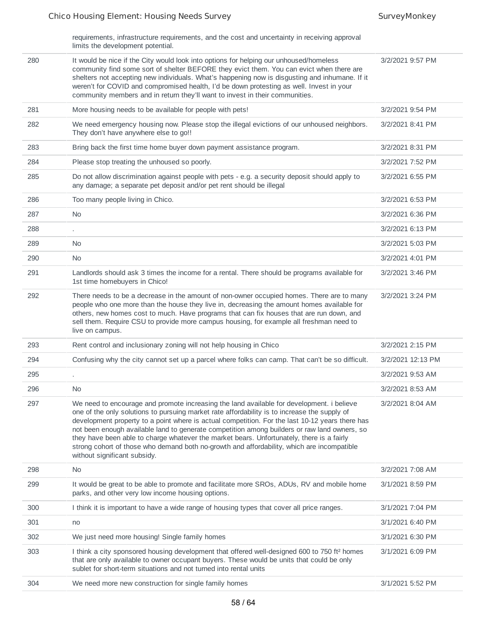| requirements, infrastructure requirements, and the cost and uncertainty in receiving approval |
|-----------------------------------------------------------------------------------------------|
| limits the development potential.                                                             |

| 280 | It would be nice if the City would look into options for helping our unhoused/homeless<br>community find some sort of shelter BEFORE they evict them. You can evict when there are<br>shelters not accepting new individuals. What's happening now is disgusting and inhumane. If it<br>weren't for COVID and compromised health, I'd be down protesting as well. Invest in your<br>community members and in return they'll want to invest in their communities.                                                                                                                                                        | 3/2/2021 9:57 PM  |
|-----|-------------------------------------------------------------------------------------------------------------------------------------------------------------------------------------------------------------------------------------------------------------------------------------------------------------------------------------------------------------------------------------------------------------------------------------------------------------------------------------------------------------------------------------------------------------------------------------------------------------------------|-------------------|
| 281 | More housing needs to be available for people with pets!                                                                                                                                                                                                                                                                                                                                                                                                                                                                                                                                                                | 3/2/2021 9:54 PM  |
| 282 | We need emergency housing now. Please stop the illegal evictions of our unhoused neighbors.<br>They don't have anywhere else to go!!                                                                                                                                                                                                                                                                                                                                                                                                                                                                                    | 3/2/2021 8:41 PM  |
| 283 | Bring back the first time home buyer down payment assistance program.                                                                                                                                                                                                                                                                                                                                                                                                                                                                                                                                                   | 3/2/2021 8:31 PM  |
| 284 | Please stop treating the unhoused so poorly.                                                                                                                                                                                                                                                                                                                                                                                                                                                                                                                                                                            | 3/2/2021 7:52 PM  |
| 285 | Do not allow discrimination against people with pets - e.g. a security deposit should apply to<br>any damage; a separate pet deposit and/or pet rent should be illegal                                                                                                                                                                                                                                                                                                                                                                                                                                                  | 3/2/2021 6:55 PM  |
| 286 | Too many people living in Chico.                                                                                                                                                                                                                                                                                                                                                                                                                                                                                                                                                                                        | 3/2/2021 6:53 PM  |
| 287 | No                                                                                                                                                                                                                                                                                                                                                                                                                                                                                                                                                                                                                      | 3/2/2021 6:36 PM  |
| 288 |                                                                                                                                                                                                                                                                                                                                                                                                                                                                                                                                                                                                                         | 3/2/2021 6:13 PM  |
| 289 | No                                                                                                                                                                                                                                                                                                                                                                                                                                                                                                                                                                                                                      | 3/2/2021 5:03 PM  |
| 290 | No                                                                                                                                                                                                                                                                                                                                                                                                                                                                                                                                                                                                                      | 3/2/2021 4:01 PM  |
| 291 | Landlords should ask 3 times the income for a rental. There should be programs available for<br>1st time homebuyers in Chico!                                                                                                                                                                                                                                                                                                                                                                                                                                                                                           | 3/2/2021 3:46 PM  |
| 292 | There needs to be a decrease in the amount of non-owner occupied homes. There are to many<br>people who one more than the house they live in, decreasing the amount homes available for<br>others, new homes cost to much. Have programs that can fix houses that are run down, and<br>sell them. Require CSU to provide more campus housing, for example all freshman need to<br>live on campus.                                                                                                                                                                                                                       | 3/2/2021 3:24 PM  |
| 293 | Rent control and inclusionary zoning will not help housing in Chico                                                                                                                                                                                                                                                                                                                                                                                                                                                                                                                                                     | 3/2/2021 2:15 PM  |
| 294 | Confusing why the city cannot set up a parcel where folks can camp. That can't be so difficult.                                                                                                                                                                                                                                                                                                                                                                                                                                                                                                                         | 3/2/2021 12:13 PM |
| 295 | ä,                                                                                                                                                                                                                                                                                                                                                                                                                                                                                                                                                                                                                      | 3/2/2021 9:53 AM  |
| 296 | N <sub>0</sub>                                                                                                                                                                                                                                                                                                                                                                                                                                                                                                                                                                                                          | 3/2/2021 8:53 AM  |
| 297 | We need to encourage and promote increasing the land available for development. i believe<br>one of the only solutions to pursuing market rate affordability is to increase the supply of<br>development property to a point where is actual competition. For the last 10-12 years there has<br>not been enough available land to generate competition among builders or raw land owners, so<br>they have been able to charge whatever the market bears. Unfortunately, there is a fairly<br>strong cohort of those who demand both no-growth and affordability, which are incompatible<br>without significant subsidy. | 3/2/2021 8:04 AM  |
| 298 | No                                                                                                                                                                                                                                                                                                                                                                                                                                                                                                                                                                                                                      | 3/2/2021 7:08 AM  |
| 299 | It would be great to be able to promote and facilitate more SROs, ADUs, RV and mobile home<br>parks, and other very low income housing options.                                                                                                                                                                                                                                                                                                                                                                                                                                                                         | 3/1/2021 8:59 PM  |
| 300 | I think it is important to have a wide range of housing types that cover all price ranges.                                                                                                                                                                                                                                                                                                                                                                                                                                                                                                                              | 3/1/2021 7:04 PM  |
| 301 | no                                                                                                                                                                                                                                                                                                                                                                                                                                                                                                                                                                                                                      | 3/1/2021 6:40 PM  |
| 302 | We just need more housing! Single family homes                                                                                                                                                                                                                                                                                                                                                                                                                                                                                                                                                                          | 3/1/2021 6:30 PM  |
| 303 | I think a city sponsored housing development that offered well-designed 600 to 750 ft <sup>2</sup> homes<br>that are only available to owner occupant buyers. These would be units that could be only<br>sublet for short-term situations and not turned into rental units                                                                                                                                                                                                                                                                                                                                              | 3/1/2021 6:09 PM  |
| 304 | We need more new construction for single family homes                                                                                                                                                                                                                                                                                                                                                                                                                                                                                                                                                                   | 3/1/2021 5:52 PM  |
|     |                                                                                                                                                                                                                                                                                                                                                                                                                                                                                                                                                                                                                         |                   |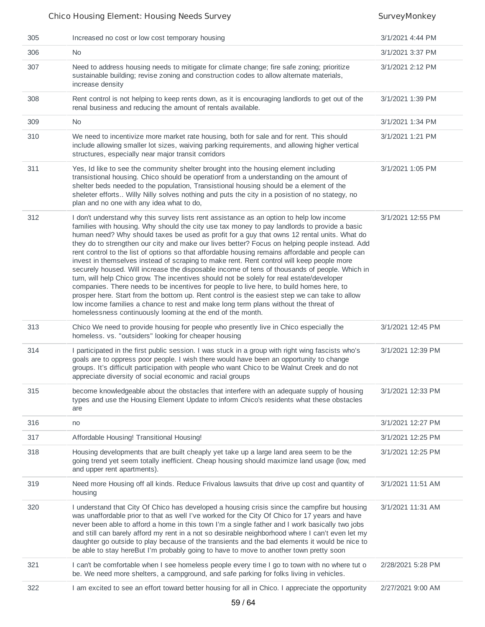| 305 | Increased no cost or low cost temporary housing                                                                                                                                                                                                                                                                                                                                                                                                                                                                                                                                                                                                                                                                                                                                                                                                                                                                                                                                                                                                                                                                                            | 3/1/2021 4:44 PM  |
|-----|--------------------------------------------------------------------------------------------------------------------------------------------------------------------------------------------------------------------------------------------------------------------------------------------------------------------------------------------------------------------------------------------------------------------------------------------------------------------------------------------------------------------------------------------------------------------------------------------------------------------------------------------------------------------------------------------------------------------------------------------------------------------------------------------------------------------------------------------------------------------------------------------------------------------------------------------------------------------------------------------------------------------------------------------------------------------------------------------------------------------------------------------|-------------------|
| 306 | N <sub>0</sub>                                                                                                                                                                                                                                                                                                                                                                                                                                                                                                                                                                                                                                                                                                                                                                                                                                                                                                                                                                                                                                                                                                                             | 3/1/2021 3:37 PM  |
| 307 | Need to address housing needs to mitigate for climate change; fire safe zoning; prioritize<br>sustainable building; revise zoning and construction codes to allow alternate materials,<br>increase density                                                                                                                                                                                                                                                                                                                                                                                                                                                                                                                                                                                                                                                                                                                                                                                                                                                                                                                                 | 3/1/2021 2:12 PM  |
| 308 | Rent control is not helping to keep rents down, as it is encouraging landlords to get out of the<br>renal business and reducing the amount of rentals available.                                                                                                                                                                                                                                                                                                                                                                                                                                                                                                                                                                                                                                                                                                                                                                                                                                                                                                                                                                           | 3/1/2021 1:39 PM  |
| 309 | <b>No</b>                                                                                                                                                                                                                                                                                                                                                                                                                                                                                                                                                                                                                                                                                                                                                                                                                                                                                                                                                                                                                                                                                                                                  | 3/1/2021 1:34 PM  |
| 310 | We need to incentivize more market rate housing, both for sale and for rent. This should<br>include allowing smaller lot sizes, waiving parking requirements, and allowing higher vertical<br>structures, especially near major transit corridors                                                                                                                                                                                                                                                                                                                                                                                                                                                                                                                                                                                                                                                                                                                                                                                                                                                                                          | 3/1/2021 1:21 PM  |
| 311 | Yes, Id like to see the community shelter brought into the housing element including<br>transistional housing. Chico should be operationf from a understanding on the amount of<br>shelter beds needed to the population, Transistional housing should be a element of the<br>sheleter efforts Willy Nilly solves nothing and puts the city in a posistion of no stategy, no<br>plan and no one with any idea what to do,                                                                                                                                                                                                                                                                                                                                                                                                                                                                                                                                                                                                                                                                                                                  | 3/1/2021 1:05 PM  |
| 312 | I don't understand why this survey lists rent assistance as an option to help low income<br>families with housing. Why should the city use tax money to pay landlords to provide a basic<br>human need? Why should taxes be used as profit for a guy that owns 12 rental units. What do<br>they do to strengthen our city and make our lives better? Focus on helping people instead. Add<br>rent control to the list of options so that affordable housing remains affordable and people can<br>invest in themselves instead of scraping to make rent. Rent control will keep people more<br>securely housed. Will increase the disposable income of tens of thousands of people. Which in<br>turn, will help Chico grow. The incentives should not be solely for real estate/developer<br>companies. There needs to be incentives for people to live here, to build homes here, to<br>prosper here. Start from the bottom up. Rent control is the easiest step we can take to allow<br>low income families a chance to rest and make long term plans without the threat of<br>homelessness continuously looming at the end of the month. | 3/1/2021 12:55 PM |
| 313 | Chico We need to provide housing for people who presently live in Chico especially the<br>homeless. vs. "outsiders" looking for cheaper housing                                                                                                                                                                                                                                                                                                                                                                                                                                                                                                                                                                                                                                                                                                                                                                                                                                                                                                                                                                                            | 3/1/2021 12:45 PM |
| 314 | I participated in the first public session. I was stuck in a group with right wing fascists who's<br>goals are to oppress poor people. I wish there would have been an opportunity to change<br>groups. It's difficult participation with people who want Chico to be Walnut Creek and do not<br>appreciate diversity of social economic and racial groups                                                                                                                                                                                                                                                                                                                                                                                                                                                                                                                                                                                                                                                                                                                                                                                 | 3/1/2021 12:39 PM |
| 315 | become knowledgeable about the obstacles that interfere with an adequate supply of housing<br>types and use the Housing Element Update to inform Chico's residents what these obstacles<br>are                                                                                                                                                                                                                                                                                                                                                                                                                                                                                                                                                                                                                                                                                                                                                                                                                                                                                                                                             | 3/1/2021 12:33 PM |
| 316 | no                                                                                                                                                                                                                                                                                                                                                                                                                                                                                                                                                                                                                                                                                                                                                                                                                                                                                                                                                                                                                                                                                                                                         | 3/1/2021 12:27 PM |
| 317 | Affordable Housing! Transitional Housing!                                                                                                                                                                                                                                                                                                                                                                                                                                                                                                                                                                                                                                                                                                                                                                                                                                                                                                                                                                                                                                                                                                  | 3/1/2021 12:25 PM |
| 318 | Housing developments that are built cheaply yet take up a large land area seem to be the<br>going trend yet seem totally inefficient. Cheap housing should maximize land usage (low, med<br>and upper rent apartments).                                                                                                                                                                                                                                                                                                                                                                                                                                                                                                                                                                                                                                                                                                                                                                                                                                                                                                                    | 3/1/2021 12:25 PM |
| 319 | Need more Housing off all kinds. Reduce Frivalous lawsuits that drive up cost and quantity of<br>housing                                                                                                                                                                                                                                                                                                                                                                                                                                                                                                                                                                                                                                                                                                                                                                                                                                                                                                                                                                                                                                   | 3/1/2021 11:51 AM |
| 320 | I understand that City Of Chico has developed a housing crisis since the campfire but housing<br>was unaffordable prior to that as well I've worked for the City Of Chico for 17 years and have<br>never been able to afford a home in this town I'm a single father and I work basically two jobs<br>and still can barely afford my rent in a not so desirable neighborhood where I can't even let my<br>daughter go outside to play because of the transients and the bad elements it would be nice to<br>be able to stay hereBut I'm probably going to have to move to another town pretty soon                                                                                                                                                                                                                                                                                                                                                                                                                                                                                                                                         | 3/1/2021 11:31 AM |
| 321 | I can't be comfortable when I see homeless people every time I go to town with no where tut o<br>be. We need more shelters, a campground, and safe parking for folks living in vehicles.                                                                                                                                                                                                                                                                                                                                                                                                                                                                                                                                                                                                                                                                                                                                                                                                                                                                                                                                                   | 2/28/2021 5:28 PM |
| 322 | I am excited to see an effort toward better housing for all in Chico. I appreciate the opportunity                                                                                                                                                                                                                                                                                                                                                                                                                                                                                                                                                                                                                                                                                                                                                                                                                                                                                                                                                                                                                                         | 2/27/2021 9:00 AM |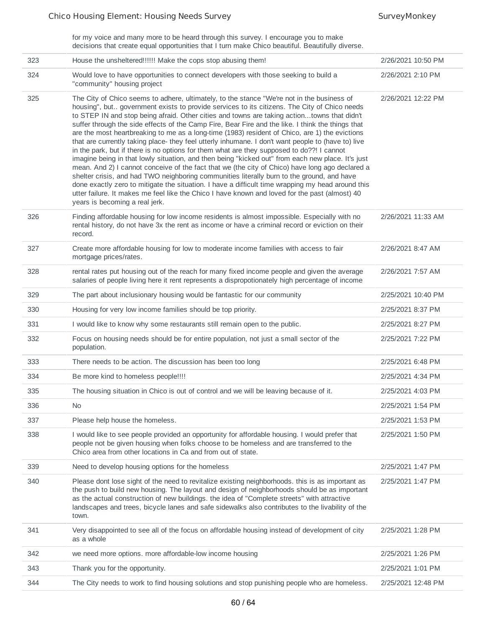for my voice and many more to be heard through this survey. I encourage you to make decisions that create equal opportunities that I turn make Chico beautiful. Beautifully diverse.

| 323 | House the unsheltered!!!!!! Make the cops stop abusing them!                                                                                                                                                                                                                                                                                                                                                                                                                                                                                                                                                                                                                                                                                                                                                                                                                                                                                                                                                                                                                                                                                                                                                                                       | 2/26/2021 10:50 PM |
|-----|----------------------------------------------------------------------------------------------------------------------------------------------------------------------------------------------------------------------------------------------------------------------------------------------------------------------------------------------------------------------------------------------------------------------------------------------------------------------------------------------------------------------------------------------------------------------------------------------------------------------------------------------------------------------------------------------------------------------------------------------------------------------------------------------------------------------------------------------------------------------------------------------------------------------------------------------------------------------------------------------------------------------------------------------------------------------------------------------------------------------------------------------------------------------------------------------------------------------------------------------------|--------------------|
| 324 | Would love to have opportunities to connect developers with those seeking to build a<br>"community" housing project                                                                                                                                                                                                                                                                                                                                                                                                                                                                                                                                                                                                                                                                                                                                                                                                                                                                                                                                                                                                                                                                                                                                | 2/26/2021 2:10 PM  |
| 325 | The City of Chico seems to adhere, ultimately, to the stance "We're not in the business of<br>housing", but government exists to provide services to its citizens. The City of Chico needs<br>to STEP IN and stop being afraid. Other cities and towns are taking actiontowns that didn't<br>suffer through the side effects of the Camp Fire, Bear Fire and the like. I think the things that<br>are the most heartbreaking to me as a long-time (1983) resident of Chico, are 1) the evictions<br>that are currently taking place- they feel utterly inhumane. I don't want people to (have to) live<br>in the park, but if there is no options for them what are they supposed to do??! I cannot<br>imagine being in that lowly situation, and then being "kicked out" from each new place. It's just<br>mean. And 2) I cannot conceive of the fact that we (the city of Chico) have long ago declared a<br>shelter crisis, and had TWO neighboring communities literally burn to the ground, and have<br>done exactly zero to mitigate the situation. I have a difficult time wrapping my head around this<br>utter failure. It makes me feel like the Chico I have known and loved for the past (almost) 40<br>years is becoming a real jerk. | 2/26/2021 12:22 PM |
| 326 | Finding affordable housing for low income residents is almost impossible. Especially with no<br>rental history, do not have 3x the rent as income or have a criminal record or eviction on their<br>record.                                                                                                                                                                                                                                                                                                                                                                                                                                                                                                                                                                                                                                                                                                                                                                                                                                                                                                                                                                                                                                        | 2/26/2021 11:33 AM |
| 327 | Create more affordable housing for low to moderate income families with access to fair<br>mortgage prices/rates.                                                                                                                                                                                                                                                                                                                                                                                                                                                                                                                                                                                                                                                                                                                                                                                                                                                                                                                                                                                                                                                                                                                                   | 2/26/2021 8:47 AM  |
| 328 | rental rates put housing out of the reach for many fixed income people and given the average<br>salaries of people living here it rent represents a dispropotionately high percentage of income                                                                                                                                                                                                                                                                                                                                                                                                                                                                                                                                                                                                                                                                                                                                                                                                                                                                                                                                                                                                                                                    | 2/26/2021 7:57 AM  |
| 329 | The part about inclusionary housing would be fantastic for our community                                                                                                                                                                                                                                                                                                                                                                                                                                                                                                                                                                                                                                                                                                                                                                                                                                                                                                                                                                                                                                                                                                                                                                           | 2/25/2021 10:40 PM |
| 330 | Housing for very low income families should be top priority.                                                                                                                                                                                                                                                                                                                                                                                                                                                                                                                                                                                                                                                                                                                                                                                                                                                                                                                                                                                                                                                                                                                                                                                       | 2/25/2021 8:37 PM  |
| 331 | I would like to know why some restaurants still remain open to the public.                                                                                                                                                                                                                                                                                                                                                                                                                                                                                                                                                                                                                                                                                                                                                                                                                                                                                                                                                                                                                                                                                                                                                                         | 2/25/2021 8:27 PM  |
| 332 | Focus on housing needs should be for entire population, not just a small sector of the<br>population.                                                                                                                                                                                                                                                                                                                                                                                                                                                                                                                                                                                                                                                                                                                                                                                                                                                                                                                                                                                                                                                                                                                                              | 2/25/2021 7:22 PM  |
| 333 | There needs to be action. The discussion has been too long                                                                                                                                                                                                                                                                                                                                                                                                                                                                                                                                                                                                                                                                                                                                                                                                                                                                                                                                                                                                                                                                                                                                                                                         | 2/25/2021 6:48 PM  |
| 334 | Be more kind to homeless people!!!!                                                                                                                                                                                                                                                                                                                                                                                                                                                                                                                                                                                                                                                                                                                                                                                                                                                                                                                                                                                                                                                                                                                                                                                                                | 2/25/2021 4:34 PM  |
| 335 | The housing situation in Chico is out of control and we will be leaving because of it.                                                                                                                                                                                                                                                                                                                                                                                                                                                                                                                                                                                                                                                                                                                                                                                                                                                                                                                                                                                                                                                                                                                                                             | 2/25/2021 4:03 PM  |
| 336 | <b>No</b>                                                                                                                                                                                                                                                                                                                                                                                                                                                                                                                                                                                                                                                                                                                                                                                                                                                                                                                                                                                                                                                                                                                                                                                                                                          | 2/25/2021 1:54 PM  |
| 337 | Please help house the homeless.                                                                                                                                                                                                                                                                                                                                                                                                                                                                                                                                                                                                                                                                                                                                                                                                                                                                                                                                                                                                                                                                                                                                                                                                                    | 2/25/2021 1:53 PM  |
| 338 | I would like to see people provided an opportunity for affordable housing. I would prefer that<br>people not be given housing when folks choose to be homeless and are transferred to the<br>Chico area from other locations in Ca and from out of state.                                                                                                                                                                                                                                                                                                                                                                                                                                                                                                                                                                                                                                                                                                                                                                                                                                                                                                                                                                                          | 2/25/2021 1:50 PM  |
| 339 | Need to develop housing options for the homeless                                                                                                                                                                                                                                                                                                                                                                                                                                                                                                                                                                                                                                                                                                                                                                                                                                                                                                                                                                                                                                                                                                                                                                                                   | 2/25/2021 1:47 PM  |
| 340 | Please dont lose sight of the need to revitalize existing neighborhoods. this is as important as<br>the push to build new housing. The layout and design of neighborhoods should be as important<br>as the actual construction of new buildings. the idea of "Complete streets" with attractive<br>landscapes and trees, bicycle lanes and safe sidewalks also contributes to the livability of the<br>town.                                                                                                                                                                                                                                                                                                                                                                                                                                                                                                                                                                                                                                                                                                                                                                                                                                       | 2/25/2021 1:47 PM  |
| 341 | Very disappointed to see all of the focus on affordable housing instead of development of city<br>as a whole                                                                                                                                                                                                                                                                                                                                                                                                                                                                                                                                                                                                                                                                                                                                                                                                                                                                                                                                                                                                                                                                                                                                       | 2/25/2021 1:28 PM  |
| 342 | we need more options. more affordable-low income housing                                                                                                                                                                                                                                                                                                                                                                                                                                                                                                                                                                                                                                                                                                                                                                                                                                                                                                                                                                                                                                                                                                                                                                                           | 2/25/2021 1:26 PM  |
| 343 | Thank you for the opportunity.                                                                                                                                                                                                                                                                                                                                                                                                                                                                                                                                                                                                                                                                                                                                                                                                                                                                                                                                                                                                                                                                                                                                                                                                                     | 2/25/2021 1:01 PM  |
| 344 | The City needs to work to find housing solutions and stop punishing people who are homeless.                                                                                                                                                                                                                                                                                                                                                                                                                                                                                                                                                                                                                                                                                                                                                                                                                                                                                                                                                                                                                                                                                                                                                       | 2/25/2021 12:48 PM |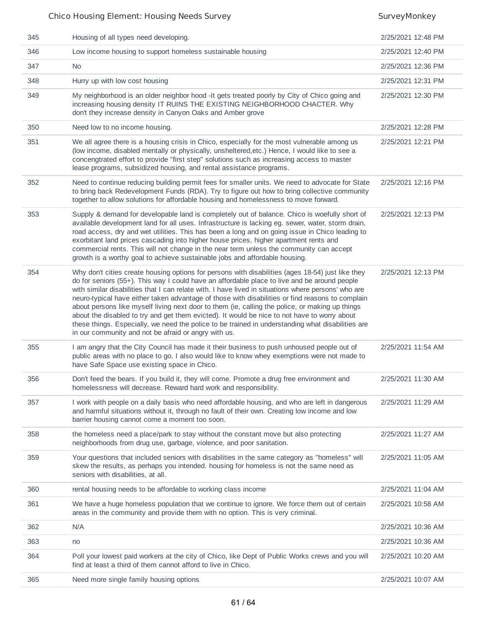| 345 | Housing of all types need developing.                                                                                                                                                                                                                                                                                                                                                                                                                                                                                                                                                                                                                                                                                                                                        | 2/25/2021 12:48 PM |
|-----|------------------------------------------------------------------------------------------------------------------------------------------------------------------------------------------------------------------------------------------------------------------------------------------------------------------------------------------------------------------------------------------------------------------------------------------------------------------------------------------------------------------------------------------------------------------------------------------------------------------------------------------------------------------------------------------------------------------------------------------------------------------------------|--------------------|
| 346 | Low income housing to support homeless sustainable housing                                                                                                                                                                                                                                                                                                                                                                                                                                                                                                                                                                                                                                                                                                                   | 2/25/2021 12:40 PM |
| 347 | No.                                                                                                                                                                                                                                                                                                                                                                                                                                                                                                                                                                                                                                                                                                                                                                          | 2/25/2021 12:36 PM |
| 348 | Hurry up with low cost housing                                                                                                                                                                                                                                                                                                                                                                                                                                                                                                                                                                                                                                                                                                                                               | 2/25/2021 12:31 PM |
| 349 | My neighborhood is an older neighbor hood - It gets treated poorly by City of Chico going and<br>increasing housing density IT RUINS THE EXISTING NEIGHBORHOOD CHACTER. Why<br>don't they increase density in Canyon Oaks and Amber grove                                                                                                                                                                                                                                                                                                                                                                                                                                                                                                                                    | 2/25/2021 12:30 PM |
| 350 | Need low to no income housing.                                                                                                                                                                                                                                                                                                                                                                                                                                                                                                                                                                                                                                                                                                                                               | 2/25/2021 12:28 PM |
| 351 | We all agree there is a housing crisis in Chico, especially for the most vulnerable among us<br>(low income, disabled mentally or physically, unsheltered, etc.) Hence, I would like to see a<br>concengtrated effort to provide "first step" solutions such as increasing access to master<br>lease programs, subsidized housing, and rental assistance programs.                                                                                                                                                                                                                                                                                                                                                                                                           | 2/25/2021 12:21 PM |
| 352 | Need to continue reducing building permit fees for smaller units. We need to advocate for State<br>to bring back Redevelopment Funds (RDA). Try to figure out how to bring collective community<br>together to allow solutions for affordable housing and homelessness to move forward.                                                                                                                                                                                                                                                                                                                                                                                                                                                                                      | 2/25/2021 12:16 PM |
| 353 | Supply & demand for developable land is completely out of balance. Chico is woefully short of<br>available development land for all uses. Infrastructure is lacking eg. sewer, water, storm drain,<br>road access, dry and wet utilities. This has been a long and on going issue in Chico leading to<br>exorbitant land prices cascading into higher house prices, higher apartment rents and<br>commercial rents. This will not change in the near term unless the community can accept<br>growth is a worthy goal to achieve sustainable jobs and affordable housing.                                                                                                                                                                                                     | 2/25/2021 12:13 PM |
| 354 | Why don't cities create housing options for persons with disabilities (ages 18-54) just like they<br>do for seniors (55+). This way I could have an affordable place to live and be around people<br>with similar disabilities that I can relate with. I have lived in situations where persons' who are<br>neuro-typical have either taken advantage of those with disabilities or find reasons to complain<br>about persons like myself living next door to them (ie, calling the police, or making up things<br>about the disabled to try and get them evicted). It would be nice to not have to worry about<br>these things. Especially, we need the police to be trained in understanding what disabilities are<br>in our community and not be afraid or angry with us. | 2/25/2021 12:13 PM |
| 355 | I am angry that the City Council has made it their business to push unhoused people out of<br>public areas with no place to go. I also would like to know whey exemptions were not made to<br>have Safe Space use existing space in Chico.                                                                                                                                                                                                                                                                                                                                                                                                                                                                                                                                   | 2/25/2021 11:54 AM |
| 356 | Don't feed the bears. If you build it, they will come. Promote a drug free environment and<br>homelessness will decrease. Reward hard work and responsibility.                                                                                                                                                                                                                                                                                                                                                                                                                                                                                                                                                                                                               | 2/25/2021 11:30 AM |
| 357 | I work with people on a daily basis who need affordable housing, and who are left in dangerous<br>and harmful situations without it, through no fault of their own. Creating low income and low<br>barrier housing cannot come a moment too soon.                                                                                                                                                                                                                                                                                                                                                                                                                                                                                                                            | 2/25/2021 11:29 AM |
| 358 | the homeless need a place/park to stay without the constant move but also protecting<br>neighborhoods from drug use, garbage, violence, and poor sanitation.                                                                                                                                                                                                                                                                                                                                                                                                                                                                                                                                                                                                                 | 2/25/2021 11:27 AM |
| 359 | Your questions that included seniors with disabilities in the same category as "homeless" will<br>skew the results, as perhaps you intended. housing for homeless is not the same need as<br>seniors with disabilities, at all.                                                                                                                                                                                                                                                                                                                                                                                                                                                                                                                                              | 2/25/2021 11:05 AM |
| 360 | rental housing needs to be affordable to working class income                                                                                                                                                                                                                                                                                                                                                                                                                                                                                                                                                                                                                                                                                                                | 2/25/2021 11:04 AM |
| 361 | We have a huge homeless population that we continue to ignore. We force them out of certain<br>areas in the community and provide them with no option. This is very criminal.                                                                                                                                                                                                                                                                                                                                                                                                                                                                                                                                                                                                | 2/25/2021 10:58 AM |
| 362 | N/A                                                                                                                                                                                                                                                                                                                                                                                                                                                                                                                                                                                                                                                                                                                                                                          | 2/25/2021 10:36 AM |
| 363 | no                                                                                                                                                                                                                                                                                                                                                                                                                                                                                                                                                                                                                                                                                                                                                                           | 2/25/2021 10:36 AM |
| 364 | Poll your lowest paid workers at the city of Chico, like Dept of Public Works crews and you will<br>find at least a third of them cannot afford to live in Chico.                                                                                                                                                                                                                                                                                                                                                                                                                                                                                                                                                                                                            | 2/25/2021 10:20 AM |
| 365 | Need more single family housing options                                                                                                                                                                                                                                                                                                                                                                                                                                                                                                                                                                                                                                                                                                                                      | 2/25/2021 10:07 AM |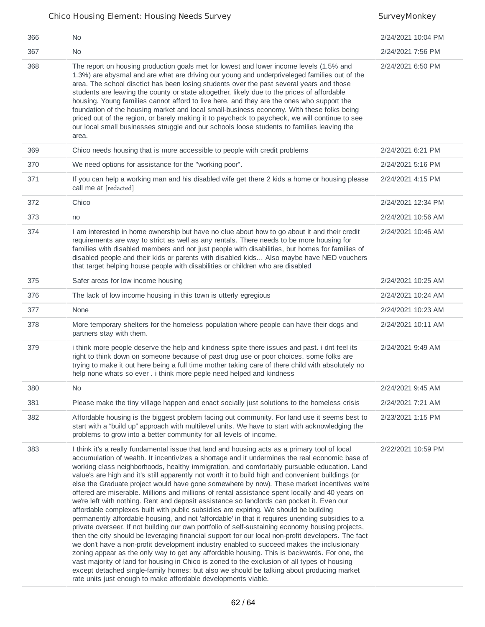| 366 | N <sub>0</sub>                                                                                                                                                                                                                                                                                                                                                                                                                                                                                                                                                                                                                                                                                                                                                                                                                                                                                                                                                                                                                                                                                                                                                                                                                                                                                                                                                                                                                                                                                                                                                       | 2/24/2021 10:04 PM |
|-----|----------------------------------------------------------------------------------------------------------------------------------------------------------------------------------------------------------------------------------------------------------------------------------------------------------------------------------------------------------------------------------------------------------------------------------------------------------------------------------------------------------------------------------------------------------------------------------------------------------------------------------------------------------------------------------------------------------------------------------------------------------------------------------------------------------------------------------------------------------------------------------------------------------------------------------------------------------------------------------------------------------------------------------------------------------------------------------------------------------------------------------------------------------------------------------------------------------------------------------------------------------------------------------------------------------------------------------------------------------------------------------------------------------------------------------------------------------------------------------------------------------------------------------------------------------------------|--------------------|
| 367 | <b>No</b>                                                                                                                                                                                                                                                                                                                                                                                                                                                                                                                                                                                                                                                                                                                                                                                                                                                                                                                                                                                                                                                                                                                                                                                                                                                                                                                                                                                                                                                                                                                                                            | 2/24/2021 7:56 PM  |
| 368 | The report on housing production goals met for lowest and lower income levels (1.5% and<br>1.3%) are abysmal and are what are driving our young and underpriveleged families out of the<br>area. The school disctict has been losing students over the past several years and those<br>students are leaving the county or state altogether, likely due to the prices of affordable<br>housing. Young families cannot afford to live here, and they are the ones who support the<br>foundation of the housing market and local small-business economy. With these folks being<br>priced out of the region, or barely making it to paycheck to paycheck, we will continue to see<br>our local small businesses struggle and our schools loose students to families leaving the<br>area.                                                                                                                                                                                                                                                                                                                                                                                                                                                                                                                                                                                                                                                                                                                                                                                | 2/24/2021 6:50 PM  |
| 369 | Chico needs housing that is more accessible to people with credit problems                                                                                                                                                                                                                                                                                                                                                                                                                                                                                                                                                                                                                                                                                                                                                                                                                                                                                                                                                                                                                                                                                                                                                                                                                                                                                                                                                                                                                                                                                           | 2/24/2021 6:21 PM  |
| 370 | We need options for assistance for the "working poor".                                                                                                                                                                                                                                                                                                                                                                                                                                                                                                                                                                                                                                                                                                                                                                                                                                                                                                                                                                                                                                                                                                                                                                                                                                                                                                                                                                                                                                                                                                               | 2/24/2021 5:16 PM  |
| 371 | If you can help a working man and his disabled wife get there 2 kids a home or housing please<br>call me at [redacted]                                                                                                                                                                                                                                                                                                                                                                                                                                                                                                                                                                                                                                                                                                                                                                                                                                                                                                                                                                                                                                                                                                                                                                                                                                                                                                                                                                                                                                               | 2/24/2021 4:15 PM  |
| 372 | Chico                                                                                                                                                                                                                                                                                                                                                                                                                                                                                                                                                                                                                                                                                                                                                                                                                                                                                                                                                                                                                                                                                                                                                                                                                                                                                                                                                                                                                                                                                                                                                                | 2/24/2021 12:34 PM |
| 373 | no                                                                                                                                                                                                                                                                                                                                                                                                                                                                                                                                                                                                                                                                                                                                                                                                                                                                                                                                                                                                                                                                                                                                                                                                                                                                                                                                                                                                                                                                                                                                                                   | 2/24/2021 10:56 AM |
| 374 | I am interested in home ownership but have no clue about how to go about it and their credit<br>requirements are way to strict as well as any rentals. There needs to be more housing for<br>families with disabled members and not just people with disabilities, but homes for families of<br>disabled people and their kids or parents with disabled kids Also maybe have NED vouchers<br>that target helping house people with disabilities or children who are disabled                                                                                                                                                                                                                                                                                                                                                                                                                                                                                                                                                                                                                                                                                                                                                                                                                                                                                                                                                                                                                                                                                         | 2/24/2021 10:46 AM |
| 375 | Safer areas for low income housing                                                                                                                                                                                                                                                                                                                                                                                                                                                                                                                                                                                                                                                                                                                                                                                                                                                                                                                                                                                                                                                                                                                                                                                                                                                                                                                                                                                                                                                                                                                                   | 2/24/2021 10:25 AM |
| 376 | The lack of low income housing in this town is utterly egregious                                                                                                                                                                                                                                                                                                                                                                                                                                                                                                                                                                                                                                                                                                                                                                                                                                                                                                                                                                                                                                                                                                                                                                                                                                                                                                                                                                                                                                                                                                     | 2/24/2021 10:24 AM |
| 377 | None                                                                                                                                                                                                                                                                                                                                                                                                                                                                                                                                                                                                                                                                                                                                                                                                                                                                                                                                                                                                                                                                                                                                                                                                                                                                                                                                                                                                                                                                                                                                                                 | 2/24/2021 10:23 AM |
| 378 | More temporary shelters for the homeless population where people can have their dogs and<br>partners stay with them.                                                                                                                                                                                                                                                                                                                                                                                                                                                                                                                                                                                                                                                                                                                                                                                                                                                                                                                                                                                                                                                                                                                                                                                                                                                                                                                                                                                                                                                 | 2/24/2021 10:11 AM |
| 379 | i think more people deserve the help and kindness spite there issues and past. i dnt feel its<br>right to think down on someone because of past drug use or poor choices. some folks are<br>trying to make it out here being a full time mother taking care of there child with absolutely no<br>help none whats so ever. i think more peple need helped and kindness                                                                                                                                                                                                                                                                                                                                                                                                                                                                                                                                                                                                                                                                                                                                                                                                                                                                                                                                                                                                                                                                                                                                                                                                | 2/24/2021 9:49 AM  |
| 380 | No.                                                                                                                                                                                                                                                                                                                                                                                                                                                                                                                                                                                                                                                                                                                                                                                                                                                                                                                                                                                                                                                                                                                                                                                                                                                                                                                                                                                                                                                                                                                                                                  | 2/24/2021 9:45 AM  |
| 381 | Please make the tiny village happen and enact socially just solutions to the homeless crisis                                                                                                                                                                                                                                                                                                                                                                                                                                                                                                                                                                                                                                                                                                                                                                                                                                                                                                                                                                                                                                                                                                                                                                                                                                                                                                                                                                                                                                                                         | 2/24/2021 7:21 AM  |
| 382 | Affordable housing is the biggest problem facing out community. For land use it seems best to<br>start with a "build up" approach with multilevel units. We have to start with acknowledging the<br>problems to grow into a better community for all levels of income.                                                                                                                                                                                                                                                                                                                                                                                                                                                                                                                                                                                                                                                                                                                                                                                                                                                                                                                                                                                                                                                                                                                                                                                                                                                                                               | 2/23/2021 1:15 PM  |
| 383 | I think it's a really fundamental issue that land and housing acts as a primary tool of local<br>accumulation of wealth. It incentivizes a shortage and it undermines the real economic base of<br>working class neighborhoods, healthy immigration, and comfortably pursuable education. Land<br>value's are high and it's still apparently not worth it to build high and convenient buildings (or<br>else the Graduate project would have gone somewhere by now). These market incentives we're<br>offered are miserable. Millions and millions of rental assistance spent locally and 40 years on<br>we're left with nothing. Rent and deposit assistance so landlords can pocket it. Even our<br>affordable complexes built with public subsidies are expiring. We should be building<br>permanently affordable housing, and not 'affordable' in that it requires unending subsidies to a<br>private overseer. If not building our own portfolio of self-sustaining economy housing projects,<br>then the city should be leveraging financial support for our local non-profit developers. The fact<br>we don't have a non-profit development industry enabled to succeed makes the inclusionary<br>zoning appear as the only way to get any affordable housing. This is backwards. For one, the<br>vast majority of land for housing in Chico is zoned to the exclusion of all types of housing<br>except detached single-family homes; but also we should be talking about producing market<br>rate units just enough to make affordable developments viable. | 2/22/2021 10:59 PM |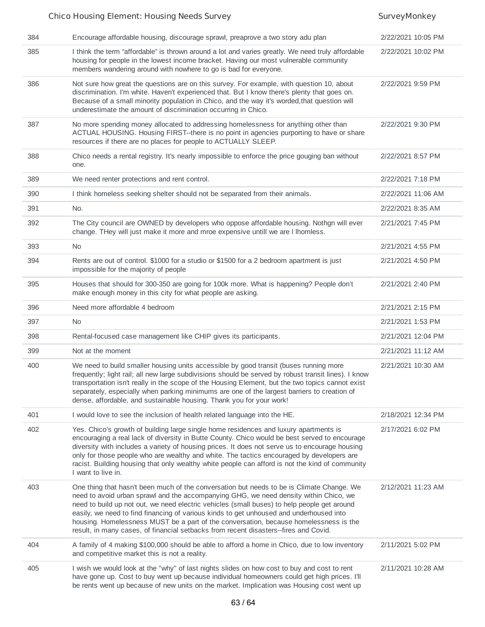### 384 Encourage affordable housing, discourage sprawl, preaprove a two story adu plan 2/22/2021 10:05 PM 385 I think the term "affordable" is thrown around a lot and varies greatly. We need truly affordable housing for people in the lowest income bracket. Having our most vulnerable community members wandering around with nowhere to go is bad for everyone. 2/22/2021 10:02 PM 386 Not sure how great the questions are on this survey. For example, with question 10, about discrimination. I'm white. Haven't experienced that. But I know there's plenty that goes on. Because of a small minority population in Chico, and the way it's worded,that question will underestimate the amount of discrimination occurring in Chico. 2/22/2021 9:59 PM 387 No more spending money allocated to addressing homelessness for anything other than ACTUAL HOUSING. Housing FIRST--there is no point in agencies purporting to have or share resources if there are no places for people to ACTUALLY SLEEP. 2/22/2021 9:30 PM 388 Chico needs a rental registry. It's nearly impossible to enforce the price gouging ban without one. 2/22/2021 8:57 PM 389 We need renter protections and rent control. 2/22/2021 7:18 PM 390 I think homeless seeking shelter should not be separated from their animals. 2/22/2021 11:06 AM 391 No. 2/22/2021 8:35 AM 392 The City council are OWNED by developers who oppose affordable housing. Nothgn will ever change. THey will just make it more and mroe expensive untill we are l lhomless. 2/21/2021 7:45 PM 393 No 2/21/2021 4:55 PM 394 Rents are out of control. \$1000 for a studio or \$1500 for a 2 bedroom apartment is just impossible for the majority of people 2/21/2021 4:50 PM 395 Houses that should for 300-350 are going for 100k more. What is happening? People don't make enough money in this city for what people are asking. 2/21/2021 2:40 PM 396 Need more affordable 4 bedroom 2/21/2021 2:15 PM 397 No 2/21/2021 1:53 PM 398 Rental-focused case management like CHIP gives its participants. 2/21/2021 12:04 PM 399 Not at the moment 2/21/2021 11:12 AM 400 We need to build smaller housing units accessible by good transit (buses running more frequently; light rail; all new large subdivisions should be served by robust transit lines). I know transportation isn't really in the scope of the Housing Element, but the two topics cannot exist separately, especially when parking minimums are one of the largest barriers to creation of dense, affordable, and sustainable housing. Thank you for your work! 2/21/2021 10:30 AM 401 I would love to see the inclusion of health related language into the HE. 2/18/2021 12:34 PM 402 Yes. Chico's growth of building large single home residences and luxury apartments is encouraging a real lack of diversity in Butte County. Chico would be best served to encourage diversity with includes a variety of housing prices. It does not serve us to encourage housing only for those people who are wealthy and white. The tactics encouraged by developers are racist. Building housing that only wealthy white people can afford is not the kind of community I want to live in. 2/17/2021 6:02 PM 403 One thing that hasn't been much of the conversation but needs to be is Climate Change. We need to avoid urban sprawl and the accompanying GHG, we need density within Chico, we need to build up not out, we need electric vehicles (small buses) to help people get around easily, we need to find financing of various kinds to get unhoused and underhoused into housing. Homelessness MUST be a part of the conversation, because homelessness is the result, in many cases, of financial setbacks from recent disasters--fires and Covid. 2/12/2021 11:23 AM 404 A family of 4 making \$100,000 should be able to afford a home in Chico, due to low inventory and competitive market this is not a reality. 2/11/2021 5:02 PM 405 I wish we would look at the "why" of last nights slides on how cost to buy and cost to rent 2/11/2021 10:28 AM

have gone up. Cost to buy went up because individual homeowners could get high prices. I'll be rents went up because of new units on the market. Implication was Housing cost went up